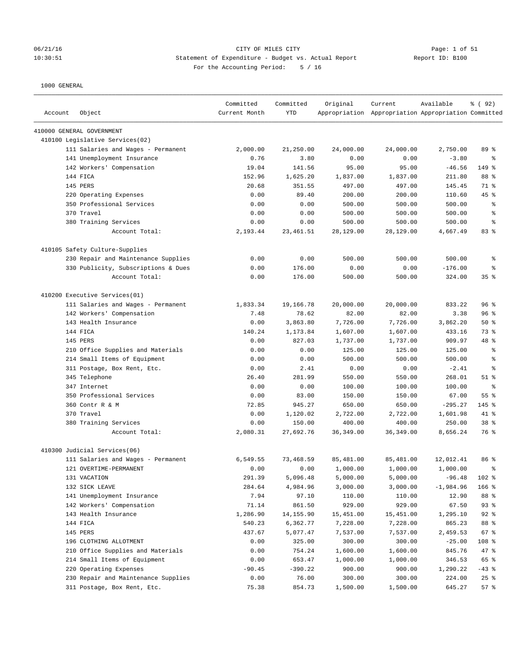#### 06/21/16 Page: 1 of 51 Page: 1 of 51 10:30:51 Statement of Expenditure - Budget vs. Actual Report Report ID: B100 For the Accounting Period: 5 / 16

| Account | Object                              | Committed<br>Current Month | Committed<br><b>YTD</b> | Original   | Current<br>Appropriation Appropriation Appropriation Committed | Available   | 8 ( 92)         |
|---------|-------------------------------------|----------------------------|-------------------------|------------|----------------------------------------------------------------|-------------|-----------------|
|         | 410000 GENERAL GOVERNMENT           |                            |                         |            |                                                                |             |                 |
|         | 410100 Legislative Services(02)     |                            |                         |            |                                                                |             |                 |
|         | 111 Salaries and Wages - Permanent  | 2,000.00                   | 21,250.00               | 24,000.00  | 24,000.00                                                      | 2,750.00    | 89 %            |
|         | 141 Unemployment Insurance          | 0.76                       | 3.80                    | 0.00       | 0.00                                                           | $-3.80$     | နွ              |
|         | 142 Workers' Compensation           | 19.04                      | 141.56                  | 95.00      | 95.00                                                          | $-46.56$    | 149 %           |
|         | 144 FICA                            | 152.96                     | 1,625.20                | 1,837.00   | 1,837.00                                                       | 211.80      | 88 %            |
|         | 145 PERS                            | 20.68                      | 351.55                  | 497.00     | 497.00                                                         | 145.45      | 71 %            |
|         | 220 Operating Expenses              | 0.00                       | 89.40                   | 200.00     | 200.00                                                         | 110.60      | 45 %            |
|         | 350 Professional Services           | 0.00                       | 0.00                    | 500.00     | 500.00                                                         | 500.00      | ႜ               |
|         | 370 Travel                          | 0.00                       | 0.00                    | 500.00     | 500.00                                                         | 500.00      | နွ              |
|         | 380 Training Services               | 0.00                       | 0.00                    | 500.00     | 500.00                                                         | 500.00      | နွ              |
|         | Account Total:                      | 2,193.44                   | 23,461.51               | 28,129.00  | 28,129.00                                                      | 4,667.49    | 83%             |
|         | 410105 Safety Culture-Supplies      |                            |                         |            |                                                                |             |                 |
|         | 230 Repair and Maintenance Supplies | 0.00                       | 0.00                    | 500.00     | 500.00                                                         | 500.00      | る               |
|         | 330 Publicity, Subscriptions & Dues | 0.00                       | 176.00                  | 0.00       | 0.00                                                           | $-176.00$   | る               |
|         | Account Total:                      | 0.00                       | 176.00                  | 500.00     | 500.00                                                         | 324.00      | 35%             |
|         | 410200 Executive Services(01)       |                            |                         |            |                                                                |             |                 |
|         | 111 Salaries and Wages - Permanent  | 1,833.34                   | 19,166.78               | 20,000.00  | 20,000.00                                                      | 833.22      | 96%             |
|         | 142 Workers' Compensation           | 7.48                       | 78.62                   | 82.00      | 82.00                                                          | 3.38        | 96%             |
|         | 143 Health Insurance                | 0.00                       | 3,863.80                | 7,726.00   | 7,726.00                                                       | 3,862.20    | 50%             |
|         | 144 FICA                            | 140.24                     | 1,173.84                | 1,607.00   | 1,607.00                                                       | 433.16      | 73 %            |
|         | 145 PERS                            | 0.00                       | 827.03                  | 1,737.00   | 1,737.00                                                       | 909.97      | 48 %            |
|         | 210 Office Supplies and Materials   | 0.00                       | 0.00                    | 125.00     | 125.00                                                         | 125.00      | る               |
|         | 214 Small Items of Equipment        | 0.00                       | 0.00                    | 500.00     | 500.00                                                         | 500.00      | နွ              |
|         | 311 Postage, Box Rent, Etc.         | 0.00                       | 2.41                    | 0.00       | 0.00                                                           | $-2.41$     | နွ              |
|         | 345 Telephone                       | 26.40                      | 281.99                  | 550.00     | 550.00                                                         | 268.01      | $51$ %          |
|         | 347 Internet                        | 0.00                       | 0.00                    | 100.00     | 100.00                                                         | 100.00      | နွ              |
|         | 350 Professional Services           | 0.00                       | 83.00                   | 150.00     | 150.00                                                         | 67.00       | 55 %            |
|         | 360 Contr R & M                     | 72.85                      | 945.27                  | 650.00     | 650.00                                                         | $-295.27$   | $145$ %         |
|         | 370 Travel                          | 0.00                       | 1,120.02                | 2,722.00   | 2,722.00                                                       | 1,601.98    | 41 %            |
|         | 380 Training Services               | 0.00                       | 150.00                  | 400.00     | 400.00                                                         | 250.00      | 38 <sup>8</sup> |
|         | Account Total:                      | 2,080.31                   | 27,692.76               | 36, 349.00 | 36, 349.00                                                     | 8,656.24    | 76 %            |
|         | 410300 Judicial Services(06)        |                            |                         |            |                                                                |             |                 |
|         | 111 Salaries and Wages - Permanent  | 6,549.55                   | 73,468.59               | 85,481.00  | 85,481.00                                                      | 12,012.41   | 86 %            |
|         | 121 OVERTIME-PERMANENT              | 0.00                       | 0.00                    | 1,000.00   | 1,000.00                                                       | 1,000.00    | ま               |
|         | 131 VACATION                        | 291.39                     | 5,096.48                | 5,000.00   | 5,000.00                                                       | $-96.48$    | 102 %           |
|         | 132 SICK LEAVE                      | 284.64                     | 4,984.96                | 3,000.00   | 3,000.00                                                       | $-1,984.96$ | 166 %           |
|         | 141 Unemployment Insurance          | 7.94                       | 97.10                   | 110.00     | 110.00                                                         | 12.90       | 88 %            |
|         | 142 Workers' Compensation           | 71.14                      | 861.50                  | 929.00     | 929.00                                                         | 67.50       | 93%             |
|         | 143 Health Insurance                | 1,286.90                   | 14,155.90               | 15,451.00  | 15,451.00                                                      | 1,295.10    | $92$ $%$        |
|         | 144 FICA                            | 540.23                     | 6,362.77                | 7,228.00   | 7,228.00                                                       | 865.23      | 88 %            |
|         | 145 PERS                            | 437.67                     | 5,077.47                | 7,537.00   | 7,537.00                                                       | 2,459.53    | 67 %            |
|         | 196 CLOTHING ALLOTMENT              | 0.00                       | 325.00                  | 300.00     | 300.00                                                         | $-25.00$    | 108 %           |
|         | 210 Office Supplies and Materials   | 0.00                       | 754.24                  | 1,600.00   | 1,600.00                                                       | 845.76      | 47 %            |
|         | 214 Small Items of Equipment        | 0.00                       | 653.47                  | 1,000.00   | 1,000.00                                                       | 346.53      | 65 %            |
|         | 220 Operating Expenses              | $-90.45$                   | $-390.22$               | 900.00     | 900.00                                                         | 1,290.22    | $-43$ %         |
|         | 230 Repair and Maintenance Supplies | 0.00                       | 76.00                   | 300.00     | 300.00                                                         | 224.00      | 25%             |
|         | 311 Postage, Box Rent, Etc.         | 75.38                      | 854.73                  | 1,500.00   | 1,500.00                                                       | 645.27      | 57%             |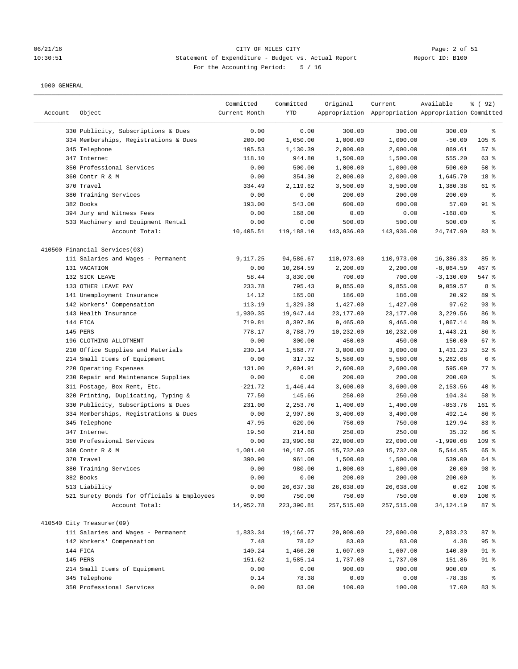#### 06/21/16 CITY OF MILES CITY Page: 2 of 51 10:30:51 Statement of Expenditure - Budget vs. Actual Report Report ID: B100 For the Accounting Period: 5 / 16

| Account | Object                                     | Committed<br>Current Month | Committed<br><b>YTD</b> | Original   | Current<br>Appropriation Appropriation Appropriation Committed | Available    | 8 (92)         |
|---------|--------------------------------------------|----------------------------|-------------------------|------------|----------------------------------------------------------------|--------------|----------------|
|         | 330 Publicity, Subscriptions & Dues        | 0.00                       | 0.00                    | 300.00     | 300.00                                                         | 300.00       | $\epsilon$     |
|         | 334 Memberships, Registrations & Dues      | 200.00                     | 1,050.00                | 1,000.00   | 1,000.00                                                       | $-50.00$     | 105 %          |
|         | 345 Telephone                              | 105.53                     | 1,130.39                | 2,000.00   | 2,000.00                                                       | 869.61       | 57%            |
|         | 347 Internet                               | 118.10                     | 944.80                  | 1,500.00   | 1,500.00                                                       | 555.20       | 63 %           |
|         | 350 Professional Services                  | 0.00                       | 500.00                  | 1,000.00   | 1,000.00                                                       | 500.00       | 50%            |
|         | 360 Contr R & M                            | 0.00                       | 354.30                  | 2,000.00   | 2,000.00                                                       | 1,645.70     | 18 %           |
|         | 370 Travel                                 | 334.49                     | 2,119.62                | 3,500.00   | 3,500.00                                                       | 1,380.38     | 61 %           |
|         | 380 Training Services                      | 0.00                       | 0.00                    | 200.00     | 200.00                                                         | 200.00       | နွ             |
|         | 382 Books                                  | 193.00                     | 543.00                  | 600.00     | 600.00                                                         | 57.00        | $91$ %         |
|         | 394 Jury and Witness Fees                  | 0.00                       | 168.00                  | 0.00       | 0.00                                                           | $-168.00$    | $\epsilon$     |
|         | 533 Machinery and Equipment Rental         | 0.00                       | 0.00                    | 500.00     | 500.00                                                         | 500.00       | る              |
|         | Account Total:                             | 10,405.51                  | 119,188.10              | 143,936.00 | 143,936.00                                                     | 24,747.90    | 83%            |
|         | 410500 Financial Services(03)              |                            |                         |            |                                                                |              |                |
|         | 111 Salaries and Wages - Permanent         | 9,117.25                   | 94,586.67               | 110,973.00 | 110,973.00                                                     | 16,386.33    | 85%            |
|         | 131 VACATION                               | 0.00                       | 10,264.59               | 2,200.00   | 2,200.00                                                       | $-8,064.59$  | 467 %          |
|         | 132 SICK LEAVE                             | 58.44                      | 3,830.00                | 700.00     | 700.00                                                         | $-3, 130.00$ | 547 %          |
|         | 133 OTHER LEAVE PAY                        | 233.78                     | 795.43                  | 9,855.00   | 9,855.00                                                       | 9,059.57     | 8%             |
|         | 141 Unemployment Insurance                 | 14.12                      | 165.08                  | 186.00     | 186.00                                                         | 20.92        | 89 %           |
|         | 142 Workers' Compensation                  | 113.19                     | 1,329.38                | 1,427.00   | 1,427.00                                                       | 97.62        | 93%            |
|         | 143 Health Insurance                       | 1,930.35                   | 19,947.44               | 23,177.00  | 23,177.00                                                      | 3,229.56     | 86 %           |
|         | 144 FICA                                   | 719.81                     | 8,397.86                | 9,465.00   | 9,465.00                                                       | 1,067.14     | 89 %           |
|         | 145 PERS                                   | 778.17                     | 8,788.79                | 10,232.00  | 10,232.00                                                      | 1,443.21     | 86 %           |
|         | 196 CLOTHING ALLOTMENT                     | 0.00                       | 300.00                  | 450.00     | 450.00                                                         | 150.00       | 67 %           |
|         | 210 Office Supplies and Materials          | 230.14                     | 1,568.77                | 3,000.00   | 3,000.00                                                       | 1,431.23     | $52$ $%$       |
|         | 214 Small Items of Equipment               | 0.00                       | 317.32                  | 5,580.00   | 5,580.00                                                       | 5,262.68     | 6 <sup>°</sup> |
|         | 220 Operating Expenses                     | 131.00                     | 2,004.91                | 2,600.00   | 2,600.00                                                       | 595.09       | 77 %           |
|         | 230 Repair and Maintenance Supplies        | 0.00                       | 0.00                    | 200.00     | 200.00                                                         | 200.00       | $\epsilon$     |
|         | 311 Postage, Box Rent, Etc.                | $-221.72$                  | 1,446.44                | 3,600.00   | 3,600.00                                                       | 2,153.56     | 40 %           |
|         | 320 Printing, Duplicating, Typing &        | 77.50                      | 145.66                  | 250.00     | 250.00                                                         | 104.34       | 58 %           |
|         | 330 Publicity, Subscriptions & Dues        | 231.00                     | 2,253.76                | 1,400.00   | 1,400.00                                                       | $-853.76$    | 161 %          |
|         | 334 Memberships, Registrations & Dues      | 0.00                       | 2,907.86                | 3,400.00   | 3,400.00                                                       | 492.14       | 86 %           |
|         | 345 Telephone                              | 47.95                      | 620.06                  | 750.00     | 750.00                                                         | 129.94       | 83%            |
|         | 347 Internet                               | 19.50                      | 214.68                  | 250.00     | 250.00                                                         | 35.32        | 86 %           |
|         | 350 Professional Services                  | 0.00                       | 23,990.68               | 22,000.00  | 22,000.00                                                      | $-1,990.68$  | 109 %          |
|         | 360 Contr R & M                            | 1,081.40                   | 10,187.05               | 15,732.00  | 15,732.00                                                      | 5,544.95     | 65 %           |
|         | 370 Travel                                 | 390.90                     | 961.00                  | 1,500.00   | 1,500.00                                                       | 539.00       | 64 %           |
|         | 380 Training Services                      | 0.00                       | 980.00                  | 1,000.00   | 1,000.00                                                       | 20.00        | 98 %           |
|         | 382 Books                                  | 0.00                       | 0.00                    | 200.00     | 200.00                                                         | 200.00       | $\epsilon$     |
|         | 513 Liability                              | 0.00                       | 26,637.38               | 26,638.00  | 26,638.00                                                      | 0.62         | 100 %          |
|         | 521 Surety Bonds for Officials & Employees | 0.00                       | 750.00                  | 750.00     | 750.00                                                         | 0.00         | 100 %          |
|         | Account Total:                             | 14,952.78                  | 223,390.81              | 257,515.00 | 257,515.00                                                     | 34,124.19    | 87%            |
|         | 410540 City Treasurer(09)                  |                            |                         |            |                                                                |              |                |
|         | 111 Salaries and Wages - Permanent         | 1,833.34                   | 19,166.77               | 20,000.00  | 22,000.00                                                      | 2,833.23     | 87%            |
|         | 142 Workers' Compensation                  | 7.48                       | 78.62                   | 83.00      | 83.00                                                          | 4.38         | 95%            |
|         | 144 FICA                                   | 140.24                     | 1,466.20                | 1,607.00   | 1,607.00                                                       | 140.80       | 91 %           |
|         | 145 PERS                                   | 151.62                     | 1,585.14                | 1,737.00   | 1,737.00                                                       | 151.86       | 91 %           |
|         | 214 Small Items of Equipment               | 0.00                       | 0.00                    | 900.00     | 900.00                                                         | 900.00       | နွ             |
|         | 345 Telephone                              | 0.14                       | 78.38                   | 0.00       | 0.00                                                           | $-78.38$     | ್ಠಿ            |
|         | 350 Professional Services                  | 0.00                       | 83.00                   | 100.00     | 100.00                                                         | 17.00        | 83 %           |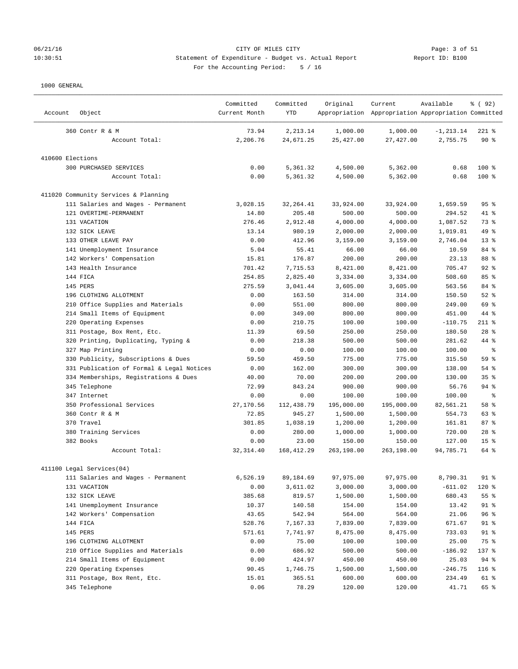# 06/21/16 CITY OF MILES CITY Page: 3 of 51 10:30:51 Statement of Expenditure - Budget vs. Actual Report Report ID: B100 For the Accounting Period: 5 / 16

| Account          | Object                                    | Committed<br>Current Month | Committed<br><b>YTD</b> | Original           | Current<br>Appropriation Appropriation Appropriation Committed | Available        | % ( 92 )        |
|------------------|-------------------------------------------|----------------------------|-------------------------|--------------------|----------------------------------------------------------------|------------------|-----------------|
|                  | 360 Contr R & M                           | 73.94                      | 2,213.14                | 1,000.00           | 1,000.00                                                       | $-1, 213.14$     | $221$ %         |
|                  | Account Total:                            | 2,206.76                   | 24,671.25               | 25,427.00          | 27,427.00                                                      | 2,755.75         | $90*$           |
| 410600 Elections |                                           |                            |                         |                    |                                                                |                  |                 |
|                  | 300 PURCHASED SERVICES                    | 0.00                       | 5,361.32                | 4,500.00           | 5,362.00                                                       | 0.68             | 100 %           |
|                  | Account Total:                            | 0.00                       | 5,361.32                | 4,500.00           | 5,362.00                                                       | 0.68             | 100 %           |
|                  | 411020 Community Services & Planning      |                            |                         |                    |                                                                |                  |                 |
|                  | 111 Salaries and Wages - Permanent        | 3,028.15                   | 32, 264.41              | 33,924.00          | 33,924.00                                                      | 1,659.59         | 95%             |
|                  | 121 OVERTIME-PERMANENT                    | 14.80                      | 205.48                  | 500.00             | 500.00                                                         | 294.52           | 41 %            |
|                  | 131 VACATION                              | 276.46                     | 2,912.48                | 4,000.00           | 4,000.00                                                       | 1,087.52         | 73 %            |
|                  | 132 SICK LEAVE                            | 13.14                      | 980.19                  | 2,000.00           | 2,000.00                                                       | 1,019.81         | 49 %            |
|                  | 133 OTHER LEAVE PAY                       | 0.00                       | 412.96                  | 3,159.00           | 3,159.00                                                       | 2,746.04         | $13*$           |
|                  | 141 Unemployment Insurance                | 5.04                       | 55.41                   | 66.00              | 66.00                                                          | 10.59            | 84 %            |
|                  | 142 Workers' Compensation                 | 15.81                      | 176.87                  | 200.00             | 200.00                                                         | 23.13            | 88 %            |
|                  | 143 Health Insurance                      | 701.42                     | 7,715.53                | 8,421.00           | 8,421.00                                                       | 705.47           | $92$ %          |
|                  | 144 FICA                                  | 254.85                     | 2,825.40                | 3,334.00           | 3,334.00                                                       | 508.60           | 85%             |
|                  | 145 PERS                                  | 275.59                     | 3,041.44                | 3,605.00           | 3,605.00                                                       | 563.56           | 84 %            |
|                  | 196 CLOTHING ALLOTMENT                    | 0.00                       | 163.50                  | 314.00             | 314.00                                                         | 150.50           | $52$ $%$        |
|                  | 210 Office Supplies and Materials         | 0.00                       | 551.00                  | 800.00             | 800.00                                                         | 249.00           | 69 %            |
|                  | 214 Small Items of Equipment              | 0.00                       | 349.00                  | 800.00             | 800.00                                                         | 451.00           | 44 %            |
|                  | 220 Operating Expenses                    | 0.00                       | 210.75                  | 100.00             | 100.00                                                         | $-110.75$        | $211$ %         |
|                  | 311 Postage, Box Rent, Etc.               | 11.39                      | 69.50                   | 250.00             | 250.00                                                         | 180.50           | $28$ %          |
|                  | 320 Printing, Duplicating, Typing &       | 0.00                       | 218.38                  | 500.00             | 500.00                                                         | 281.62           | 44 %            |
|                  | 327 Map Printing                          | 0.00                       | 0.00                    | 100.00             | 100.00                                                         | 100.00           | နွ              |
|                  | 330 Publicity, Subscriptions & Dues       | 59.50                      | 459.50                  | 775.00             | 775.00                                                         | 315.50           | 59 %            |
|                  | 331 Publication of Formal & Legal Notices | 0.00                       | 162.00                  | 300.00             | 300.00                                                         | 138.00           | 54%             |
|                  | 334 Memberships, Registrations & Dues     | 40.00                      | 70.00                   | 200.00             | 200.00                                                         | 130.00           | 35 <sup>8</sup> |
|                  | 345 Telephone                             | 72.99                      | 843.24                  | 900.00             | 900.00                                                         | 56.76            | $94$ %          |
|                  | 347 Internet                              | 0.00                       | 0.00                    | 100.00             | 100.00                                                         | 100.00           | နွ              |
|                  | 350 Professional Services                 | 27,170.56                  | 112,438.79              | 195,000.00         | 195,000.00                                                     | 82,561.21        | 58 %            |
|                  | 360 Contr R & M                           | 72.85                      | 945.27                  | 1,500.00           | 1,500.00                                                       | 554.73           | 63 %            |
|                  | 370 Travel                                | 301.85                     |                         |                    |                                                                |                  | 87%             |
|                  |                                           |                            | 1,038.19                | 1,200.00           | 1,200.00<br>1,000.00                                           | 161.81           | $28$ %          |
|                  | 380 Training Services<br>382 Books        | 0.00<br>0.00               | 280.00<br>23.00         | 1,000.00<br>150.00 | 150.00                                                         | 720.00<br>127.00 | 15 <sup>°</sup> |
|                  | Account Total:                            | 32, 314.40                 | 168, 412.29             | 263,198.00         | 263,198.00                                                     | 94,785.71        | 64 %            |
|                  |                                           |                            |                         |                    |                                                                |                  |                 |
|                  | 411100 Legal Services (04)                |                            |                         |                    |                                                                |                  |                 |
|                  | 111 Salaries and Wages - Permanent        | 6,526.19                   | 89,184.69               | 97,975.00          | 97,975.00                                                      | 8,790.31         | 91 %            |
|                  | 131 VACATION                              | 0.00                       | 3,611.02                | 3,000.00           | 3,000.00                                                       | $-611.02$        | 120 %           |
|                  | 132 SICK LEAVE                            | 385.68                     | 819.57                  | 1,500.00           | 1,500.00                                                       | 680.43           | 55 %            |
|                  | 141 Unemployment Insurance                | 10.37                      | 140.58                  | 154.00             | 154.00                                                         | 13.42            | 91 %            |
|                  | 142 Workers' Compensation                 | 43.65                      | 542.94                  | 564.00             | 564.00                                                         | 21.06            | 96%             |
|                  | 144 FICA                                  | 528.76                     | 7,167.33                | 7,839.00           | 7,839.00                                                       | 671.67           | 91 %            |
|                  | 145 PERS                                  | 571.61                     | 7,741.97                | 8,475.00           | 8,475.00                                                       | 733.03           | 91 %            |
|                  | 196 CLOTHING ALLOTMENT                    | 0.00                       | 75.00                   | 100.00             | 100.00                                                         | 25.00            | 75 %            |
|                  | 210 Office Supplies and Materials         | 0.00                       | 686.92                  | 500.00             | 500.00                                                         | $-186.92$        | 137 %           |
|                  | 214 Small Items of Equipment              | 0.00                       | 424.97                  | 450.00             | 450.00                                                         | 25.03            | 94%             |
|                  | 220 Operating Expenses                    | 90.45                      | 1,746.75                | 1,500.00           | 1,500.00                                                       | $-246.75$        | 116 %           |
|                  | 311 Postage, Box Rent, Etc.               | 15.01                      | 365.51                  | 600.00             | 600.00                                                         | 234.49           | 61 %            |
|                  | 345 Telephone                             | 0.06                       | 78.29                   | 120.00             | 120.00                                                         | 41.71            | 65 %            |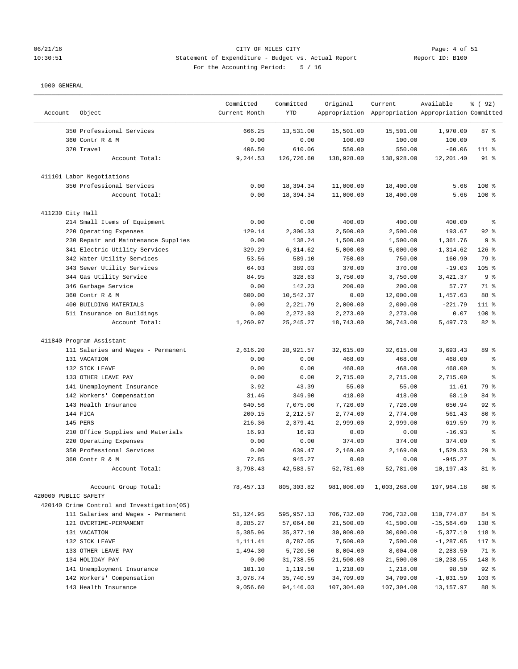# 06/21/16 CITY OF MILES CITY<br>10:30:51 Statement of Expenditure - Budget vs. Actual Report 11 (1990) Report ID: B100 10:30:51 Statement of Expenditure - Budget vs. Actual Report For the Accounting Period: 5 / 16

| Account              | Object                                     | Committed<br>Current Month | Committed<br><b>YTD</b> | Original   | Current<br>Appropriation Appropriation Appropriation Committed | Available     | 8 ( 92)        |
|----------------------|--------------------------------------------|----------------------------|-------------------------|------------|----------------------------------------------------------------|---------------|----------------|
|                      | 350 Professional Services                  | 666.25                     | 13,531.00               | 15,501.00  | 15,501.00                                                      | 1,970.00      | 87%            |
|                      | 360 Contr R & M                            | 0.00                       | 0.00                    | 100.00     | 100.00                                                         | 100.00        | နွ             |
|                      | 370 Travel                                 | 406.50                     | 610.06                  | 550.00     | 550.00                                                         | $-60.06$      | $111$ %        |
|                      | Account Total:                             | 9,244.53                   | 126,726.60              | 138,928.00 | 138,928.00                                                     | 12,201.40     | $91$ %         |
|                      | 411101 Labor Negotiations                  |                            |                         |            |                                                                |               |                |
|                      | 350 Professional Services                  | 0.00                       | 18,394.34               | 11,000.00  | 18,400.00                                                      | 5.66          | $100$ %        |
|                      | Account Total:                             | 0.00                       | 18,394.34               | 11,000.00  | 18,400.00                                                      | 5.66          | $100$ %        |
| 411230 City Hall     |                                            |                            |                         |            |                                                                |               |                |
|                      | 214 Small Items of Equipment               | 0.00                       | 0.00                    | 400.00     | 400.00                                                         | 400.00        | နွ             |
|                      | 220 Operating Expenses                     | 129.14                     | 2,306.33                | 2,500.00   | 2,500.00                                                       | 193.67        | $92$ %         |
|                      | 230 Repair and Maintenance Supplies        | 0.00                       | 138.24                  | 1,500.00   | 1,500.00                                                       | 1,361.76      | 9 <sub>8</sub> |
|                      | 341 Electric Utility Services              | 329.29                     | 6,314.62                | 5,000.00   | 5,000.00                                                       | $-1, 314.62$  | $126$ %        |
|                      | 342 Water Utility Services                 | 53.56                      | 589.10                  | 750.00     | 750.00                                                         | 160.90        | 79 %           |
|                      | 343 Sewer Utility Services                 | 64.03                      | 389.03                  | 370.00     | 370.00                                                         | $-19.03$      | 105 %          |
|                      | 344 Gas Utility Service                    | 84.95                      | 328.63                  | 3,750.00   | 3,750.00                                                       | 3,421.37      | 9%             |
|                      | 346 Garbage Service                        | 0.00                       | 142.23                  | 200.00     | 200.00                                                         | 57.77         | 71 %           |
|                      | 360 Contr R & M                            | 600.00                     | 10,542.37               | 0.00       | 12,000.00                                                      | 1,457.63      | 88 %           |
|                      | 400 BUILDING MATERIALS                     | 0.00                       | 2,221.79                | 2,000.00   | 2,000.00                                                       | $-221.79$     | 111 %          |
|                      | 511 Insurance on Buildings                 | 0.00                       | 2,272.93                | 2,273.00   | 2,273.00                                                       | 0.07          | 100 %          |
|                      | Account Total:                             | 1,260.97                   | 25, 245. 27             | 18,743.00  | 30,743.00                                                      | 5,497.73      | 82 %           |
|                      | 411840 Program Assistant                   |                            |                         |            |                                                                |               |                |
|                      | 111 Salaries and Wages - Permanent         | 2,616.20                   | 28,921.57               | 32,615.00  | 32,615.00                                                      | 3,693.43      | 89 %           |
|                      | 131 VACATION                               | 0.00                       | 0.00                    | 468.00     | 468.00                                                         | 468.00        | る              |
|                      | 132 SICK LEAVE                             | 0.00                       | 0.00                    | 468.00     | 468.00                                                         | 468.00        | နွ             |
|                      | 133 OTHER LEAVE PAY                        | 0.00                       | 0.00                    | 2,715.00   | 2,715.00                                                       | 2,715.00      | နွ             |
|                      | 141 Unemployment Insurance                 | 3.92                       | 43.39                   | 55.00      | 55.00                                                          | 11.61         | 79 %           |
|                      | 142 Workers' Compensation                  | 31.46                      | 349.90                  | 418.00     | 418.00                                                         | 68.10         | 84 %           |
|                      | 143 Health Insurance                       | 640.56                     | 7,075.06                | 7,726.00   | 7,726.00                                                       | 650.94        | $92$ %         |
|                      | 144 FICA                                   | 200.15                     | 2,212.57                | 2,774.00   | 2,774.00                                                       | 561.43        | $80*$          |
|                      | 145 PERS                                   | 216.36                     | 2,379.41                | 2,999.00   | 2,999.00                                                       | 619.59        | 79 %           |
|                      | 210 Office Supplies and Materials          | 16.93                      | 16.93                   | 0.00       | 0.00                                                           | $-16.93$      | る              |
|                      | 220 Operating Expenses                     | 0.00                       | 0.00                    | 374.00     | 374.00                                                         | 374.00        | နွ             |
|                      | 350 Professional Services                  | 0.00                       | 639.47                  | 2,169.00   | 2,169.00                                                       | 1,529.53      | 29%            |
|                      | 360 Contr R & M                            | 72.85                      | 945.27                  | 0.00       | 0.00                                                           | $-945.27$     | နွ             |
|                      | Account Total:                             | 3,798.43                   | 42,583.57               | 52,781.00  | 52,781.00                                                      | 10,197.43     | 81 %           |
|                      | Account Group Total:                       | 78, 457.13                 | 805, 303.82             | 981,006.00 | 1,003,268.00                                                   | 197,964.18    | $80*$          |
| 420000 PUBLIC SAFETY |                                            |                            |                         |            |                                                                |               |                |
|                      | 420140 Crime Control and Investigation(05) |                            |                         |            |                                                                |               |                |
|                      | 111 Salaries and Wages - Permanent         | 51,124.95                  | 595,957.13              | 706,732.00 | 706,732.00                                                     | 110,774.87    | 84 %           |
|                      | 121 OVERTIME-PERMANENT                     | 8,285.27                   | 57,064.60               | 21,500.00  | 41,500.00                                                      | $-15,564.60$  | 138 %          |
|                      | 131 VACATION                               | 5,385.96                   | 35,377.10               | 30,000.00  | 30,000.00                                                      | $-5,377.10$   | 118 %          |
|                      | 132 SICK LEAVE                             | 1,111.41                   | 8,787.05                | 7,500.00   | 7,500.00                                                       | $-1, 287.05$  | 117 %          |
|                      | 133 OTHER LEAVE PAY                        | 1,494.30                   | 5,720.50                | 8,004.00   | 8,004.00                                                       | 2,283.50      | 71 %           |
|                      | 134 HOLIDAY PAY                            | 0.00                       | 31,738.55               | 21,500.00  | 21,500.00                                                      | $-10, 238.55$ | 148 %          |
|                      | 141 Unemployment Insurance                 | 101.10                     | 1,119.50                | 1,218.00   | 1,218.00                                                       | 98.50         | $92$ $%$       |
|                      | 142 Workers' Compensation                  | 3,078.74                   | 35,740.59               | 34,709.00  | 34,709.00                                                      | $-1,031.59$   | $103$ %        |
|                      | 143 Health Insurance                       | 9,056.60                   | 94,146.03               | 107,304.00 | 107,304.00                                                     | 13, 157.97    | 88 %           |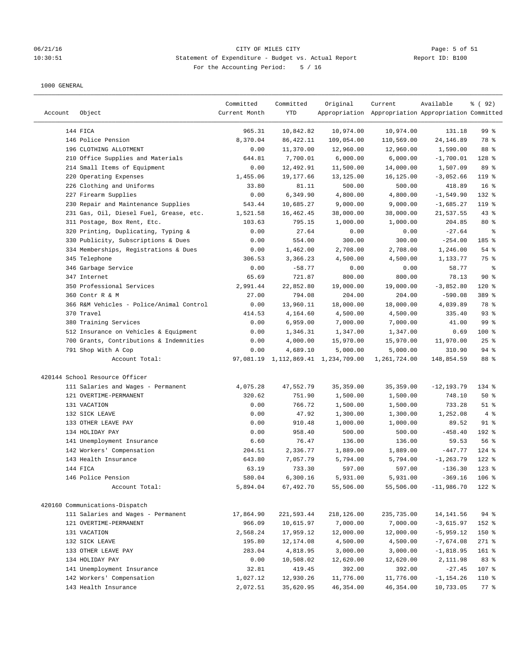#### 06/21/16 Page: 5 of 51 10:30:51 Statement of Expenditure - Budget vs. Actual Report Report ID: B100 For the Accounting Period: 5 / 16

| Account | Object                                   | Committed<br>Current Month | Committed<br>YTD | Original                            | Current<br>Appropriation Appropriation Appropriation Committed | Available     | % ( 92 )        |
|---------|------------------------------------------|----------------------------|------------------|-------------------------------------|----------------------------------------------------------------|---------------|-----------------|
|         | 144 FICA                                 | 965.31                     | 10,842.82        | 10,974.00                           | 10,974.00                                                      | 131.18        | 99 %            |
|         | 146 Police Pension                       | 8,370.04                   | 86, 422.11       | 109,054.00                          | 110,569.00                                                     | 24,146.89     | 78 %            |
|         | 196 CLOTHING ALLOTMENT                   | 0.00                       | 11,370.00        | 12,960.00                           | 12,960.00                                                      | 1,590.00      | 88 %            |
|         | 210 Office Supplies and Materials        | 644.81                     | 7,700.01         | 6,000.00                            | 6,000.00                                                       | $-1,700.01$   | 128 %           |
|         | 214 Small Items of Equipment             | 0.00                       | 12,492.91        | 11,500.00                           | 14,000.00                                                      | 1,507.09      | 89 %            |
|         | 220 Operating Expenses                   | 1,455.06                   | 19,177.66        | 13,125.00                           | 16,125.00                                                      | $-3,052.66$   | 119 %           |
|         | 226 Clothing and Uniforms                | 33.80                      | 81.11            | 500.00                              | 500.00                                                         | 418.89        | 16 <sup>8</sup> |
|         | 227 Firearm Supplies                     | 0.00                       | 6,349.90         | 4,800.00                            | 4,800.00                                                       | $-1,549.90$   | 132 %           |
|         | 230 Repair and Maintenance Supplies      | 543.44                     | 10,685.27        | 9,000.00                            | 9,000.00                                                       | $-1,685.27$   | 119 %           |
|         | 231 Gas, Oil, Diesel Fuel, Grease, etc.  | 1,521.58                   | 16,462.45        | 38,000.00                           | 38,000.00                                                      | 21,537.55     | 43%             |
|         | 311 Postage, Box Rent, Etc.              | 103.63                     | 795.15           | 1,000.00                            | 1,000.00                                                       | 204.85        | $80*$           |
|         | 320 Printing, Duplicating, Typing &      | 0.00                       | 27.64            | 0.00                                | 0.00                                                           | $-27.64$      | နွ              |
|         | 330 Publicity, Subscriptions & Dues      | 0.00                       | 554.00           | 300.00                              | 300.00                                                         | $-254.00$     | 185 %           |
|         | 334 Memberships, Registrations & Dues    | 0.00                       | 1,462.00         | 2,708.00                            | 2,708.00                                                       | 1,246.00      | 54 %            |
|         | 345 Telephone                            | 306.53                     | 3,366.23         | 4,500.00                            | 4,500.00                                                       | 1,133.77      | 75 %            |
|         | 346 Garbage Service                      | 0.00                       | $-58.77$         | 0.00                                | 0.00                                                           | 58.77         | $\epsilon$      |
|         | 347 Internet                             | 65.69                      | 721.87           | 800.00                              | 800.00                                                         | 78.13         | 90%             |
|         | 350 Professional Services                | 2,991.44                   | 22,852.80        | 19,000.00                           | 19,000.00                                                      | $-3,852.80$   | 120 %           |
|         | 360 Contr R & M                          | 27.00                      | 794.08           | 204.00                              | 204.00                                                         | $-590.08$     | 389 %           |
|         | 366 R&M Vehicles - Police/Animal Control | 0.00                       | 13,960.11        | 18,000.00                           | 18,000.00                                                      | 4,039.89      | 78 %            |
|         | 370 Travel                               | 414.53                     | 4,164.60         | 4,500.00                            | 4,500.00                                                       | 335.40        | 93%             |
|         | 380 Training Services                    | 0.00                       | 6,959.00         | 7,000.00                            | 7,000.00                                                       | 41.00         | 99 %            |
|         | 512 Insurance on Vehicles & Equipment    | 0.00                       | 1,346.31         | 1,347.00                            | 1,347.00                                                       | 0.69          | 100 %           |
|         | 700 Grants, Contributions & Indemnities  | 0.00                       | 4,000.00         | 15,970.00                           | 15,970.00                                                      | 11,970.00     | $25$ %          |
|         | 791 Shop With A Cop                      | 0.00                       | 4,689.10         | 5,000.00                            | 5,000.00                                                       | 310.90        | $94$ %          |
|         | Account Total:                           |                            |                  | 97,081.19 1,112,869.41 1,234,709.00 | 1,261,724.00                                                   | 148,854.59    | 88 %            |
|         | 420144 School Resource Officer           |                            |                  |                                     |                                                                |               |                 |
|         | 111 Salaries and Wages - Permanent       | 4,075.28                   | 47,552.79        | 35, 359.00                          | 35, 359.00                                                     | $-12, 193.79$ | 134 %           |
|         | 121 OVERTIME-PERMANENT                   | 320.62                     | 751.90           | 1,500.00                            | 1,500.00                                                       | 748.10        | 50%             |
|         | 131 VACATION                             | 0.00                       | 766.72           | 1,500.00                            | 1,500.00                                                       | 733.28        | $51$ %          |
|         | 132 SICK LEAVE                           | 0.00                       | 47.92            | 1,300.00                            | 1,300.00                                                       | 1,252.08      | 4%              |
|         | 133 OTHER LEAVE PAY                      | 0.00                       | 910.48           | 1,000.00                            | 1,000.00                                                       | 89.52         | $91$ %          |
|         | 134 HOLIDAY PAY                          | 0.00                       | 958.40           | 500.00                              | 500.00                                                         | $-458.40$     | 192 %           |
|         | 141 Unemployment Insurance               | 6.60                       | 76.47            | 136.00                              | 136.00                                                         | 59.53         | 56%             |
|         | 142 Workers' Compensation                | 204.51                     | 2,336.77         | 1,889.00                            | 1,889.00                                                       | $-447.77$     | $124$ %         |
|         | 143 Health Insurance                     | 643.80                     | 7,057.79         | 5,794.00                            | 5,794.00                                                       | $-1, 263.79$  | $122$ %         |
|         | 144 FICA                                 | 63.19                      | 733.30           | 597.00                              | 597.00                                                         | $-136.30$     | $123$ $%$       |
|         | 146 Police Pension                       | 580.04                     | 6,300.16         | 5,931.00                            | 5,931.00                                                       | $-369.16$     | $106$ %         |
|         | Account Total:                           | 5,894.04                   | 67,492.70        | 55,506.00                           | 55,506.00                                                      | $-11,986.70$  | 122 %           |
|         | 420160 Communications-Dispatch           |                            |                  |                                     |                                                                |               |                 |
|         | 111 Salaries and Wages - Permanent       | 17,864.90                  | 221,593.44       | 218,126.00                          | 235,735.00                                                     | 14,141.56     | $94$ %          |
|         | 121 OVERTIME-PERMANENT                   | 966.09                     | 10,615.97        | 7,000.00                            | 7,000.00                                                       | $-3,615.97$   | 152 %           |
|         | 131 VACATION                             | 2,568.24                   | 17,959.12        | 12,000.00                           | 12,000.00                                                      | $-5,959.12$   | 150 %           |
|         | 132 SICK LEAVE                           | 195.80                     | 12,174.08        | 4,500.00                            | 4,500.00                                                       | $-7,674.08$   | 271 %           |
|         | 133 OTHER LEAVE PAY                      | 283.04                     | 4,818.95         | 3,000.00                            | 3,000.00                                                       | $-1,818.95$   | 161 %           |
|         | 134 HOLIDAY PAY                          | 0.00                       | 10,508.02        | 12,620.00                           | 12,620.00                                                      | 2,111.98      | 83 %            |
|         | 141 Unemployment Insurance               | 32.81                      | 419.45           | 392.00                              | 392.00                                                         | $-27.45$      | 107 %           |
|         | 142 Workers' Compensation                | 1,027.12                   | 12,930.26        | 11,776.00                           | 11,776.00                                                      | $-1, 154.26$  | 110 %           |
|         | 143 Health Insurance                     | 2,072.51                   | 35,620.95        | 46,354.00                           | 46,354.00                                                      | 10,733.05     | 77 %            |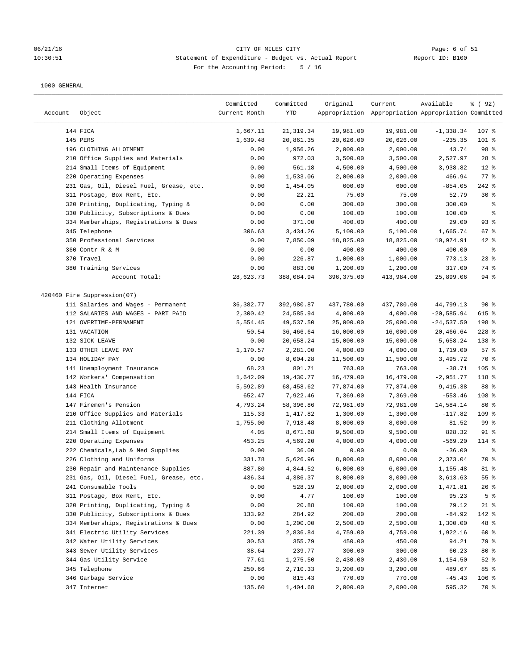## 06/21/16 CITY OF MILES CITY<br>10:30:51 Statement of Expenditure - Budget vs. Actual Report 11 (1990) Report ID: B100 10:30:51 Statement of Expenditure - Budget vs. Actual Report For the Accounting Period: 5 / 16

| Account | Object                                  | Committed<br>Current Month | Committed<br>YTD | Original   | Current<br>Appropriation Appropriation Appropriation Committed | Available     | 8 (92)         |
|---------|-----------------------------------------|----------------------------|------------------|------------|----------------------------------------------------------------|---------------|----------------|
|         | 144 FICA                                | 1,667.11                   | 21, 319.34       | 19,981.00  | 19,981.00                                                      | $-1,338.34$   | 107 %          |
|         | 145 PERS                                | 1,639.48                   | 20,861.35        | 20,626.00  | 20,626.00                                                      | $-235.35$     | $101$ %        |
|         | 196 CLOTHING ALLOTMENT                  | 0.00                       | 1,956.26         | 2,000.00   | 2,000.00                                                       | 43.74         | 98 %           |
|         | 210 Office Supplies and Materials       | 0.00                       | 972.03           | 3,500.00   | 3,500.00                                                       | 2,527.97      | $28$ %         |
|         | 214 Small Items of Equipment            | 0.00                       | 561.18           | 4,500.00   | 4,500.00                                                       | 3,938.82      | $12*$          |
|         | 220 Operating Expenses                  | 0.00                       | 1,533.06         | 2,000.00   | 2,000.00                                                       | 466.94        | $77$ $%$       |
|         | 231 Gas, Oil, Diesel Fuel, Grease, etc. | 0.00                       | 1,454.05         | 600.00     | 600.00                                                         | $-854.05$     | $242$ %        |
|         | 311 Postage, Box Rent, Etc.             | 0.00                       | 22.21            | 75.00      | 75.00                                                          | 52.79         | $30*$          |
|         | 320 Printing, Duplicating, Typing &     | 0.00                       | 0.00             | 300.00     | 300.00                                                         | 300.00        | ್ಠಿ            |
|         | 330 Publicity, Subscriptions & Dues     | 0.00                       | 0.00             | 100.00     | 100.00                                                         | 100.00        | ್ಠಿ            |
|         | 334 Memberships, Registrations & Dues   | 0.00                       | 371.00           | 400.00     | 400.00                                                         | 29.00         | 93%            |
|         | 345 Telephone                           | 306.63                     | 3,434.26         | 5,100.00   | 5,100.00                                                       | 1,665.74      | $67$ %         |
|         | 350 Professional Services               | 0.00                       | 7,850.09         | 18,825.00  | 18,825.00                                                      | 10,974.91     | $42$ %         |
|         | 360 Contr R & M                         | 0.00                       | 0.00             | 400.00     | 400.00                                                         | 400.00        | နွ             |
|         | 370 Travel                              | 0.00                       | 226.87           | 1,000.00   | 1,000.00                                                       | 773.13        | $23$ %         |
|         | 380 Training Services                   | 0.00                       | 883.00           | 1,200.00   | 1,200.00                                                       | 317.00        | 74 %           |
|         | Account Total:                          | 28,623.73                  | 388,084.94       | 396,375.00 | 413,984.00                                                     | 25,899.06     | $94$ %         |
|         | 420460 Fire Suppression(07)             |                            |                  |            |                                                                |               |                |
|         | 111 Salaries and Wages - Permanent      | 36,382.77                  | 392,980.87       | 437,780.00 | 437,780.00                                                     | 44,799.13     | 90%            |
|         | 112 SALARIES AND WAGES - PART PAID      | 2,300.42                   | 24,585.94        | 4,000.00   | 4,000.00                                                       | $-20,585.94$  | 615 %          |
|         | 121 OVERTIME-PERMANENT                  | 5,554.45                   | 49,537.50        | 25,000.00  | 25,000.00                                                      | $-24,537.50$  | 198 %          |
|         | 131 VACATION                            | 50.54                      | 36,466.64        | 16,000.00  | 16,000.00                                                      | $-20, 466.64$ | $228$ %        |
|         | 132 SICK LEAVE                          | 0.00                       | 20,658.24        | 15,000.00  | 15,000.00                                                      | $-5,658.24$   | 138 %          |
|         | 133 OTHER LEAVE PAY                     | 1,170.57                   | 2,281.00         | 4,000.00   | 4,000.00                                                       | 1,719.00      | 57%            |
|         | 134 HOLIDAY PAY                         | 0.00                       | 8,004.28         | 11,500.00  | 11,500.00                                                      | 3,495.72      | 70 %           |
|         | 141 Unemployment Insurance              | 68.23                      | 801.71           | 763.00     | 763.00                                                         | $-38.71$      | $105$ %        |
|         | 142 Workers' Compensation               | 1,642.09                   | 19,430.77        | 16,479.00  | 16,479.00                                                      | $-2,951.77$   | 118 %          |
|         | 143 Health Insurance                    | 5,592.89                   | 68,458.62        | 77,874.00  | 77,874.00                                                      | 9,415.38      | 88 %           |
|         | 144 FICA                                | 652.47                     | 7,922.46         | 7,369.00   | 7,369.00                                                       | $-553.46$     | 108 %          |
|         | 147 Firemen's Pension                   | 4,793.24                   | 58,396.86        | 72,981.00  | 72,981.00                                                      | 14,584.14     | $80*$          |
|         | 210 Office Supplies and Materials       | 115.33                     | 1,417.82         | 1,300.00   | 1,300.00                                                       | $-117.82$     | 109 %          |
|         | 211 Clothing Allotment                  | 1,755.00                   | 7,918.48         | 8,000.00   | 8,000.00                                                       | 81.52         | 99 %           |
|         | 214 Small Items of Equipment            | 4.05                       | 8,671.68         | 9,500.00   | 9,500.00                                                       | 828.32        | $91$ %         |
|         | 220 Operating Expenses                  | 453.25                     | 4,569.20         | 4,000.00   | 4,000.00                                                       | $-569.20$     | 114 %          |
|         | 222 Chemicals, Lab & Med Supplies       | 0.00                       | 36.00            | 0.00       | 0.00                                                           | $-36.00$      | နွ             |
|         | 226 Clothing and Uniforms               | 331.78                     | 5,626.96         | 8,000.00   | 8,000.00                                                       | 2,373.04      | 70 %           |
|         | 230 Repair and Maintenance Supplies     | 887.80                     | 4,844.52         | 6,000.00   | 6,000.00                                                       | 1,155.48      | $81$ %         |
|         | 231 Gas, Oil, Diesel Fuel, Grease, etc. | 436.34                     | 4,386.37         | 8,000.00   | 8,000.00                                                       | 3,613.63      | 55%            |
|         | 241 Consumable Tools                    | 0.00                       | 528.19           | 2,000.00   | 2,000.00                                                       | 1,471.81      | 26%            |
|         | 311 Postage, Box Rent, Etc.             | 0.00                       | 4.77             | 100.00     | 100.00                                                         | 95.23         | 5 <sup>8</sup> |
|         | 320 Printing, Duplicating, Typing &     | 0.00                       | 20.88            | 100.00     | 100.00                                                         | 79.12         | 21 %           |
|         | 330 Publicity, Subscriptions & Dues     | 133.92                     | 284.92           | 200.00     | 200.00                                                         | $-84.92$      | 142 %          |
|         | 334 Memberships, Registrations & Dues   | 0.00                       | 1,200.00         | 2,500.00   | 2,500.00                                                       | 1,300.00      | 48 %           |
|         | 341 Electric Utility Services           | 221.39                     | 2,836.84         | 4,759.00   | 4,759.00                                                       | 1,922.16      | 60 %           |
|         | 342 Water Utility Services              | 30.53                      | 355.79           | 450.00     | 450.00                                                         | 94.21         | 79 %           |
|         | 343 Sewer Utility Services              | 38.64                      | 239.77           | 300.00     | 300.00                                                         | 60.23         | $80*$          |
|         | 344 Gas Utility Service                 | 77.61                      | 1,275.50         | 2,430.00   | 2,430.00                                                       | 1,154.50      | $52$ $%$       |
|         | 345 Telephone                           | 250.66                     | 2,710.33         | 3,200.00   | 3,200.00                                                       | 489.67        | 85 %           |
|         | 346 Garbage Service                     | 0.00                       | 815.43           | 770.00     | 770.00                                                         | $-45.43$      | $106$ %        |
|         | 347 Internet                            | 135.60                     | 1,404.68         | 2,000.00   | 2,000.00                                                       | 595.32        | 70 %           |
|         |                                         |                            |                  |            |                                                                |               |                |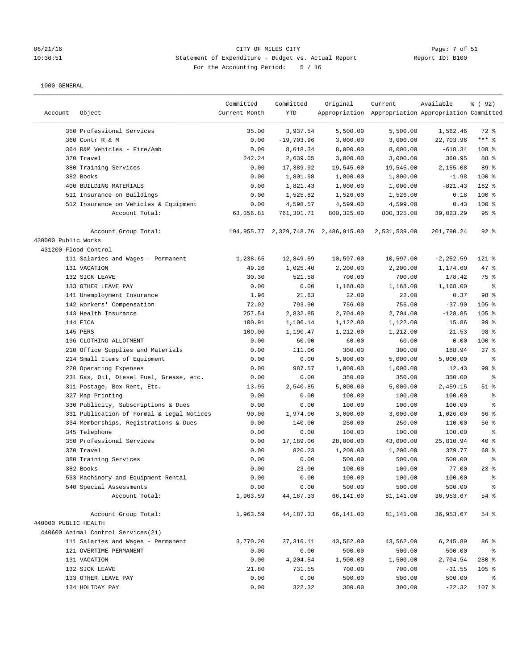#### 06/21/16 Page: 7 of 51 Page: 7 of 51 10:30:51 Statement of Expenditure - Budget vs. Actual Report Report ID: B100 For the Accounting Period: 5 / 16

| Account              | Object                                                  | Committed<br>Current Month | Committed<br><b>YTD</b> | Original                                     | Current<br>Appropriation Appropriation Appropriation Committed | Available          | ៖ (92)               |
|----------------------|---------------------------------------------------------|----------------------------|-------------------------|----------------------------------------------|----------------------------------------------------------------|--------------------|----------------------|
|                      | 350 Professional Services                               | 35.00                      | 3,937.54                | 5,500.00                                     | 5,500.00                                                       | 1,562.46           | 72 %                 |
|                      | 360 Contr R & M                                         | 0.00                       | $-19,703.96$            | 3,000.00                                     | 3,000.00                                                       | 22,703.96          | $***$ 8              |
|                      | 364 R&M Vehicles - Fire/Amb                             | 0.00                       | 8,618.34                | 8,000.00                                     | 8,000.00                                                       | $-618.34$          | 108 %                |
|                      | 370 Travel                                              | 242.24                     | 2,639.05                | 3,000.00                                     | 3,000.00                                                       | 360.95             | 88 %                 |
|                      | 380 Training Services                                   | 0.00                       | 17,389.92               | 19,545.00                                    | 19,545.00                                                      | 2,155.08           | 89 %                 |
|                      | 382 Books                                               | 0.00                       | 1,801.98                | 1,800.00                                     | 1,800.00                                                       | $-1.98$            | 100 %                |
|                      | 400 BUILDING MATERIALS                                  | 0.00                       | 1,821.43                | 1,000.00                                     | 1,000.00                                                       | $-821.43$          | 182 %                |
|                      | 511 Insurance on Buildings                              | 0.00                       | 1,525.82                | 1,526.00                                     | 1,526.00                                                       | 0.18               | $100*$               |
|                      | 512 Insurance on Vehicles & Equipment                   | 0.00                       | 4,598.57                | 4,599.00                                     | 4,599.00                                                       | 0.43               | 100 %                |
|                      | Account Total:                                          | 63, 356.81                 | 761,301.71              | 800, 325.00                                  | 800, 325.00                                                    | 39,023.29          | 95%                  |
|                      | Account Group Total:                                    |                            |                         | 194, 955. 77 2, 329, 748. 76 2, 486, 915. 00 | 2,531,539.00                                                   | 201,790.24         | $92$ $%$             |
| 430000 Public Works  |                                                         |                            |                         |                                              |                                                                |                    |                      |
| 431200 Flood Control |                                                         |                            |                         |                                              |                                                                |                    |                      |
|                      | 111 Salaries and Wages - Permanent                      | 1,238.65                   | 12,849.59               | 10,597.00                                    | 10,597.00                                                      | $-2, 252.59$       | 121 %                |
|                      | 131 VACATION                                            | 49.26                      | 1,025.40                | 2,200.00                                     | 2,200.00                                                       | 1,174.60           | 47 %                 |
|                      | 132 SICK LEAVE                                          | 30.30                      | 521.58                  | 700.00                                       | 700.00                                                         | 178.42             | 75 %                 |
|                      | 133 OTHER LEAVE PAY                                     | 0.00                       | 0.00                    | 1,168.00                                     | 1,168.00                                                       | 1,168.00           | る                    |
|                      | 141 Unemployment Insurance                              | 1.96                       | 21.63                   | 22.00                                        | 22.00                                                          | 0.37               | 98 %                 |
|                      | 142 Workers' Compensation                               | 72.02                      | 793.90                  | 756.00                                       | 756.00                                                         | $-37.90$           | 105 %                |
|                      | 143 Health Insurance                                    | 257.54                     | 2,832.85                | 2,704.00                                     | 2,704.00                                                       | $-128.85$          | 105 %                |
|                      | 144 FICA                                                | 100.91                     | 1,106.14                | 1,122.00                                     | 1,122.00                                                       | 15.86              | 99 %                 |
|                      | 145 PERS                                                | 109.00                     | 1,190.47                | 1,212.00                                     | 1,212.00                                                       | 21.53              | 98 %                 |
|                      | 196 CLOTHING ALLOTMENT                                  | 0.00                       | 60.00                   | 60.00                                        | 60.00                                                          | 0.00               | 100 %<br>37%         |
|                      | 210 Office Supplies and Materials                       | 0.00                       | 111.06                  | 300.00                                       | 300.00                                                         | 188.94             |                      |
|                      | 214 Small Items of Equipment                            | 0.00                       | 0.00                    | 5,000.00                                     | 5,000.00                                                       | 5,000.00           | る<br>99 <sup>8</sup> |
|                      | 220 Operating Expenses                                  | 0.00                       | 987.57                  | 1,000.00                                     | 1,000.00                                                       | 12.43              |                      |
|                      | 231 Gas, Oil, Diesel Fuel, Grease, etc.                 | 0.00                       | 0.00                    | 350.00                                       | 350.00                                                         | 350.00             | နွ<br>$51$ %         |
|                      | 311 Postage, Box Rent, Etc.                             | 13.95<br>0.00              | 2,540.85<br>0.00        | 5,000.00<br>100.00                           | 5,000.00<br>100.00                                             | 2,459.15<br>100.00 | ್ಠಿ                  |
|                      | 327 Map Printing<br>330 Publicity, Subscriptions & Dues | 0.00                       | 0.00                    | 100.00                                       | 100.00                                                         | 100.00             | る                    |
|                      | 331 Publication of Formal & Legal Notices               | 90.00                      | 1,974.00                | 3,000.00                                     | 3,000.00                                                       | 1,026.00           | 66 %                 |
|                      | 334 Memberships, Registrations & Dues                   | 0.00                       | 140.00                  | 250.00                                       | 250.00                                                         | 110.00             | 56 %                 |
|                      | 345 Telephone                                           | 0.00                       | 0.00                    | 100.00                                       | 100.00                                                         | 100.00             | နွ                   |
|                      | 350 Professional Services                               | 0.00                       | 17,189.06               | 28,000.00                                    | 43,000.00                                                      | 25,810.94          | 40 %                 |
|                      | 370 Travel                                              | 0.00                       | 820.23                  | 1,200.00                                     | 1,200.00                                                       | 379.77             | 68 %                 |
|                      | 380 Training Services                                   | 0.00                       | 0.00                    | 500.00                                       | 500.00                                                         | 500.00             | る                    |
|                      | 382 Books                                               | 0.00                       | 23.00                   | 100.00                                       | 100.00                                                         | 77.00              | $23$ $%$             |
|                      | 533 Machinery and Equipment Rental                      | 0.00                       | 0.00                    | 100.00                                       | 100.00                                                         | 100.00             | ိစ                   |
|                      | 540 Special Assessments                                 | 0.00                       | 0.00                    | 500.00                                       | 500.00                                                         | 500.00             |                      |
|                      | Account Total:                                          | 1,963.59                   | 44, 187. 33             | 66,141.00                                    | 81,141.00                                                      | 36,953.67          | 54 %                 |
|                      | Account Group Total:                                    | 1,963.59                   | 44,187.33               | 66,141.00                                    | 81,141.00                                                      | 36,953.67          | 54 %                 |
| 440000 PUBLIC HEALTH |                                                         |                            |                         |                                              |                                                                |                    |                      |
|                      | 440600 Animal Control Services(21)                      |                            |                         |                                              |                                                                |                    |                      |
|                      | 111 Salaries and Wages - Permanent                      | 3,770.20                   | 37, 316.11              | 43,562.00                                    | 43,562.00                                                      | 6,245.89           | 86 %                 |
|                      | 121 OVERTIME-PERMANENT                                  | 0.00                       | 0.00                    | 500.00                                       | 500.00                                                         | 500.00             | ႜ                    |
|                      | 131 VACATION                                            | 0.00                       | 4,204.54                | 1,500.00                                     | 1,500.00                                                       | $-2,704.54$        | 280 %                |
|                      | 132 SICK LEAVE                                          | 21.80                      | 731.55                  | 700.00                                       | 700.00                                                         | $-31.55$           | $105$ %              |
|                      | 133 OTHER LEAVE PAY                                     | 0.00                       | 0.00                    | 500.00                                       | 500.00                                                         | 500.00             | $\frac{6}{6}$        |
|                      | 134 HOLIDAY PAY                                         | 0.00                       | 322.32                  | 300.00                                       | 300.00                                                         | $-22.32$           | 107 %                |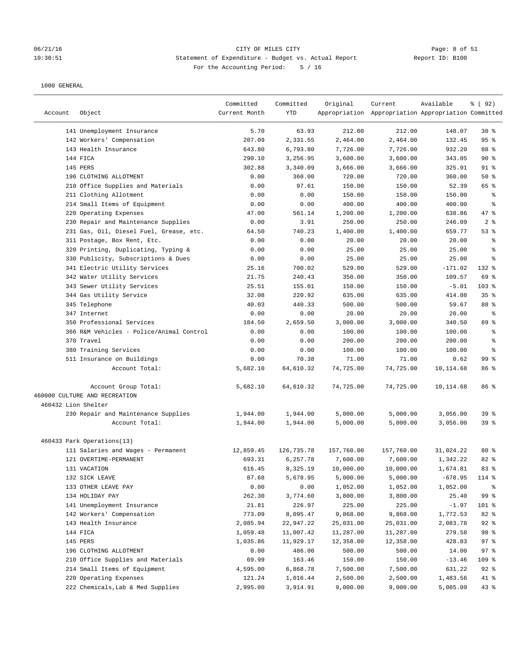## 06/21/16 CITY OF MILES CITY Page: 8 of 51 10:30:51 Statement of Expenditure - Budget vs. Actual Report Changer Report ID: B100 For the Accounting Period: 5 / 16

| Account             | Object                                              | Committed<br>Current Month | Committed<br><b>YTD</b> | Original        | Current<br>Appropriation Appropriation Appropriation Committed | Available         | % ( 92 )        |
|---------------------|-----------------------------------------------------|----------------------------|-------------------------|-----------------|----------------------------------------------------------------|-------------------|-----------------|
|                     | 141 Unemployment Insurance                          | 5.70                       | 63.93                   | 212.00          | 212.00                                                         | 148.07            | $30*$           |
|                     | 142 Workers' Compensation                           | 207.09                     | 2,331.55                | 2,464.00        | 2,464.00                                                       | 132.45            | 95%             |
|                     | 143 Health Insurance                                | 643.80                     | 6,793.80                | 7,726.00        | 7,726.00                                                       | 932.20            | 88 %            |
|                     | 144 FICA                                            | 290.10                     | 3,256.95                | 3,600.00        | 3,600.00                                                       | 343.05            | 90%             |
|                     | 145 PERS                                            | 302.88                     | 3,340.09                | 3,666.00        | 3,666.00                                                       | 325.91            | $91$ %          |
|                     | 196 CLOTHING ALLOTMENT                              | 0.00                       | 360.00                  | 720.00          | 720.00                                                         | 360.00            | 50%             |
|                     | 210 Office Supplies and Materials                   | 0.00                       | 97.61                   | 150.00          | 150.00                                                         | 52.39             | 65 %            |
|                     | 211 Clothing Allotment                              | 0.00                       | 0.00                    | 150.00          | 150.00                                                         | 150.00            | ႜ               |
|                     | 214 Small Items of Equipment                        | 0.00                       | 0.00                    | 400.00          | 400.00                                                         | 400.00            | နွ              |
|                     | 220 Operating Expenses                              | 47.00                      | 561.14                  | 1,200.00        | 1,200.00                                                       | 638.86            | 47 %            |
|                     | 230 Repair and Maintenance Supplies                 | 0.00                       | 3.91                    | 250.00          | 250.00                                                         | 246.09            | 2 <sup>8</sup>  |
|                     | 231 Gas, Oil, Diesel Fuel, Grease, etc.             | 64.50                      | 740.23                  | 1,400.00        | 1,400.00                                                       | 659.77            | 53%             |
|                     | 311 Postage, Box Rent, Etc.                         | 0.00                       | 0.00                    | 20.00           | 20.00                                                          | 20.00             | နွ              |
|                     | 320 Printing, Duplicating, Typing &                 | 0.00                       | 0.00                    | 25.00           | 25.00                                                          | 25.00             | န့              |
|                     | 330 Publicity, Subscriptions & Dues                 | 0.00                       | 0.00                    | 25.00           | 25.00                                                          | 25.00             | နွ              |
|                     | 341 Electric Utility Services                       | 25.16                      | 700.02                  | 529.00          | 529.00                                                         | $-171.02$         | 132 %           |
|                     | 342 Water Utility Services                          | 21.75                      | 240.43                  | 350.00          | 350.00                                                         | 109.57            | 69 %            |
|                     | 343 Sewer Utility Services                          | 25.51                      | 155.01                  | 150.00          | 150.00                                                         | $-5.01$           | $103$ %         |
|                     | 344 Gas Utility Service                             | 32.08                      | 220.92                  | 635.00          | 635.00                                                         | 414.08            | 35%             |
|                     | 345 Telephone                                       | 40.03                      | 440.33                  | 500.00          | 500.00                                                         | 59.67             | 88 %            |
|                     | 347 Internet                                        | 0.00                       | 0.00                    | 20.00           | 20.00                                                          | 20.00             | ႜ               |
|                     | 350 Professional Services                           | 184.50                     | 2,659.50                | 3,000.00        | 3,000.00                                                       | 340.50            | 89 <sup>°</sup> |
|                     | 366 R&M Vehicles - Police/Animal Control            | 0.00                       | 0.00                    | 100.00          | 100.00                                                         | 100.00            | နွ              |
|                     | 370 Travel                                          | 0.00                       | 0.00                    | 200.00          | 200.00                                                         | 200.00            | န့<br>៖         |
|                     | 380 Training Services<br>511 Insurance on Buildings | 0.00<br>0.00               | 0.00<br>70.38           | 100.00<br>71.00 | 100.00                                                         | 100.00            | 99 %            |
|                     | Account Total:                                      | 5,682.10                   | 64,610.32               | 74,725.00       | 71.00<br>74,725.00                                             | 0.62<br>10,114.68 | 86 %            |
|                     |                                                     |                            |                         |                 |                                                                |                   |                 |
|                     | Account Group Total:                                | 5,682.10                   | 64,610.32               | 74,725.00       | 74,725.00                                                      | 10,114.68         | 86 %            |
|                     | 460000 CULTURE AND RECREATION                       |                            |                         |                 |                                                                |                   |                 |
| 460432 Lion Shelter |                                                     |                            |                         |                 |                                                                |                   |                 |
|                     | 230 Repair and Maintenance Supplies                 | 1,944.00                   | 1,944.00                | 5,000.00        | 5,000.00                                                       | 3,056.00          | 39 %            |
|                     | Account Total:                                      | 1,944.00                   | 1,944.00                | 5,000.00        | 5,000.00                                                       | 3,056.00          | 39%             |
|                     | 460433 Park Operations(13)                          |                            |                         |                 |                                                                |                   |                 |
|                     | 111 Salaries and Wages - Permanent                  | 12,859.45                  | 126,735.78              | 157,760.00      | 157,760.00                                                     | 31,024.22         | $80*$           |
|                     | 121 OVERTIME-PERMANENT                              | 693.31                     | 6,257.78                | 7,600.00        | 7,600.00                                                       | 1,342.22          | 82 %            |
|                     | 131 VACATION                                        | 616.45                     | 8,325.19                | 10,000.00       | 10,000.00                                                      | 1,674.81          | 83%             |
|                     | 132 SICK LEAVE                                      | 87.68                      | 5,678.95                | 5,000.00        | 5,000.00                                                       | $-678.95$         | 114 %           |
|                     | 133 OTHER LEAVE PAY                                 | 0.00                       | 0.00                    | 1,052.00        | 1,052.00                                                       | 1,052.00          | ፟፟፟             |
|                     | 134 HOLIDAY PAY                                     | 262.30                     | 3,774.60                | 3,800.00        | 3,800.00                                                       | 25.40             | 99 %            |
|                     | 141 Unemployment Insurance                          | 21.81                      | 226.97                  | 225.00          | 225.00                                                         | $-1.97$           | 101 %           |
|                     | 142 Workers' Compensation                           | 773.09                     | 8,095.47                | 9,868.00        | 9,868.00                                                       | 1,772.53          | 82 %            |
|                     | 143 Health Insurance                                | 2,085.94                   | 22,947.22               | 25,031.00       | 25,031.00                                                      | 2,083.78          | $92$ %          |
|                     | 144 FICA                                            | 1,059.48                   | 11,007.42               | 11,287.00       | 11,287.00                                                      | 279.58            | 98 %            |
|                     | 145 PERS                                            | 1,035.86                   | 11,929.17               | 12,358.00       | 12,358.00                                                      | 428.83            | 97%             |
|                     | 196 CLOTHING ALLOTMENT                              | 0.00                       | 486.00                  | 500.00          | 500.00                                                         | 14.00             | 97%             |
|                     | 210 Office Supplies and Materials                   | 69.99                      | 163.46                  | 150.00          | 150.00                                                         | $-13.46$          | 109 %           |
|                     | 214 Small Items of Equipment                        | 4,595.00                   | 6,868.78                | 7,500.00        | 7,500.00                                                       | 631.22            | $92$ %          |
|                     | 220 Operating Expenses                              | 121.24                     | 1,016.44                | 2,500.00        | 2,500.00                                                       | 1,483.56          | 41 %            |
|                     | 222 Chemicals, Lab & Med Supplies                   | 2,995.00                   | 3,914.91                | 9,000.00        | 9,000.00                                                       | 5,085.09          | 43 %            |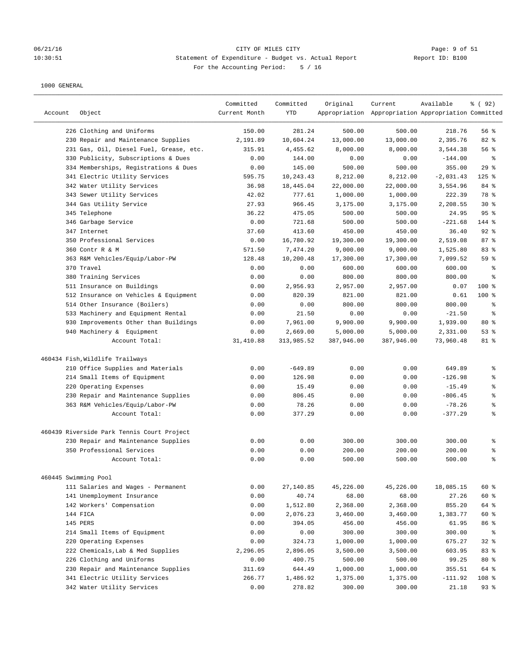## 06/21/16 CITY OF MILES CITY Page: 9 of 51 10:30:51 Statement of Expenditure - Budget vs. Actual Report Changer Report ID: B100 For the Accounting Period: 5 / 16

| 500.00<br>226 Clothing and Uniforms<br>150.00<br>281.24<br>500.00<br>218.76<br>56 %<br>82%<br>230 Repair and Maintenance Supplies<br>2,191.89<br>10,604.24<br>13,000.00<br>13,000.00<br>2,395.76<br>231 Gas, Oil, Diesel Fuel, Grease, etc.<br>315.91<br>4,455.62<br>8,000.00<br>8,000.00<br>3,544.38<br>56 %<br>330 Publicity, Subscriptions & Dues<br>144.00<br>0.00<br>0.00<br>0.00<br>$-144.00$<br>နွ<br>145.00<br>500.00<br>500.00<br>29%<br>334 Memberships, Registrations & Dues<br>0.00<br>355.00<br>10,243.43<br>8,212.00<br>8,212.00<br>$-2,031.43$<br>$125$ %<br>341 Electric Utility Services<br>595.75<br>342 Water Utility Services<br>36.98<br>18,445.04<br>22,000.00<br>22,000.00<br>3,554.96<br>84 %<br>343 Sewer Utility Services<br>42.02<br>777.61<br>1,000.00<br>1,000.00<br>222.39<br>78 %<br>344 Gas Utility Service<br>27.93<br>$30*$<br>966.45<br>3,175.00<br>3,175.00<br>2,208.55<br>95%<br>345 Telephone<br>36.22<br>475.05<br>500.00<br>500.00<br>24.95<br>0.00<br>721.68<br>$-221.68$<br>144 %<br>346 Garbage Service<br>500.00<br>500.00<br>92%<br>347 Internet<br>37.60<br>413.60<br>450.00<br>450.00<br>36.40<br>350 Professional Services<br>0.00<br>16,780.92<br>19,300.00<br>19,300.00<br>2,519.08<br>87%<br>360 Contr R & M<br>9,000.00<br>83 %<br>571.50<br>7,474.20<br>9,000.00<br>1,525.80<br>363 R&M Vehicles/Equip/Labor-PW<br>128.48<br>10,200.48<br>17,300.00<br>17,300.00<br>7,099.52<br>59 %<br>0.00<br>0.00<br>370 Travel<br>600.00<br>600.00<br>600.00<br>နွ<br>380 Training Services<br>0.00<br>0.00<br>800.00<br>800.00<br>800.00<br>န္<br>100%<br>511 Insurance on Buildings<br>0.00<br>2,956.93<br>2,957.00<br>2,957.00<br>0.07<br>512 Insurance on Vehicles & Equipment<br>0.00<br>820.39<br>821.00<br>821.00<br>0.61<br>$100$ %<br>514 Other Insurance (Boilers)<br>0.00<br>0.00<br>800.00<br>800.00<br>800.00<br>န့<br>533 Machinery and Equipment Rental<br>0.00<br>21.50<br>0.00<br>0.00<br>န္<br>$-21.50$<br>$80*$<br>930 Improvements Other than Buildings<br>0.00<br>7,961.00<br>9,900.00<br>9,900.00<br>1,939.00<br>940 Machinery & Equipment<br>0.00<br>2,669.00<br>5,000.00<br>5,000.00<br>2,331.00<br>53%<br>Account Total:<br>31,410.88<br>313,985.52<br>387,946.00<br>387,946.00<br>73,960.48<br>81 %<br>460434 Fish, Wildlife Trailways<br>0.00<br>0.00<br>210 Office Supplies and Materials<br>0.00<br>$-649.89$<br>649.89<br>န္<br>214 Small Items of Equipment<br>0.00<br>126.98<br>0.00<br>0.00<br>$-126.98$<br>g<br>15.49<br>0.00<br>220 Operating Expenses<br>0.00<br>0.00<br>$-15.49$<br>န္<br>230 Repair and Maintenance Supplies<br>0.00<br>806.45<br>0.00<br>0.00<br>$-806.45$<br>န့<br>78.26<br>363 R&M Vehicles/Equip/Labor-PW<br>0.00<br>0.00<br>0.00<br>$-78.26$<br>န္<br>န့<br>Account Total:<br>0.00<br>377.29<br>0.00<br>0.00<br>$-377.29$<br>460439 Riverside Park Tennis Court Project<br>230 Repair and Maintenance Supplies<br>0.00<br>0.00<br>300.00<br>300.00<br>300.00<br>န္<br>0.00<br>0.00<br>200.00<br>200.00<br>350 Professional Services<br>200.00<br>နွ<br>Account Total:<br>0.00<br>0.00<br>500.00<br>500.00<br>500.00<br>န္<br>460445 Swimming Pool<br>60 %<br>111 Salaries and Wages - Permanent<br>0.00<br>27,140.85<br>45,226.00<br>45,226.00<br>18,085.15<br>60 %<br>141 Unemployment Insurance<br>0.00<br>40.74<br>68.00<br>68.00<br>27.26<br>142 Workers' Compensation<br>0.00<br>1,512.80<br>2,368.00<br>2,368.00<br>855.20<br>64 %<br>144 FICA<br>0.00<br>2,076.23<br>3,460.00<br>3,460.00<br>1,383.77<br>60 %<br>145 PERS<br>0.00<br>394.05<br>456.00<br>456.00<br>86 %<br>61.95<br>214 Small Items of Equipment<br>0.00<br>0.00<br>300.00<br>300.00<br>300.00<br>ိစ<br>$32$ $%$<br>220 Operating Expenses<br>1,000.00<br>1,000.00<br>0.00<br>324.73<br>675.27<br>83%<br>222 Chemicals, Lab & Med Supplies<br>2,296.05<br>2,896.05<br>3,500.00<br>603.95<br>3,500.00<br>226 Clothing and Uniforms<br>0.00<br>400.75<br>500.00<br>500.00<br>99.25<br>$80*$<br>64 %<br>230 Repair and Maintenance Supplies<br>311.69<br>644.49<br>1,000.00<br>1,000.00<br>355.51<br>341 Electric Utility Services<br>266.77<br>1,486.92<br>1,375.00<br>1,375.00<br>$-111.92$<br>108 % | Account | Object                     | Committed<br>Current Month | Committed<br><b>YTD</b> | Original | Current<br>Appropriation Appropriation Appropriation Committed | Available | % ( 92 ) |
|--------------------------------------------------------------------------------------------------------------------------------------------------------------------------------------------------------------------------------------------------------------------------------------------------------------------------------------------------------------------------------------------------------------------------------------------------------------------------------------------------------------------------------------------------------------------------------------------------------------------------------------------------------------------------------------------------------------------------------------------------------------------------------------------------------------------------------------------------------------------------------------------------------------------------------------------------------------------------------------------------------------------------------------------------------------------------------------------------------------------------------------------------------------------------------------------------------------------------------------------------------------------------------------------------------------------------------------------------------------------------------------------------------------------------------------------------------------------------------------------------------------------------------------------------------------------------------------------------------------------------------------------------------------------------------------------------------------------------------------------------------------------------------------------------------------------------------------------------------------------------------------------------------------------------------------------------------------------------------------------------------------------------------------------------------------------------------------------------------------------------------------------------------------------------------------------------------------------------------------------------------------------------------------------------------------------------------------------------------------------------------------------------------------------------------------------------------------------------------------------------------------------------------------------------------------------------------------------------------------------------------------------------------------------------------------------------------------------------------------------------------------------------------------------------------------------------------------------------------------------------------------------------------------------------------------------------------------------------------------------------------------------------------------------------------------------------------------------------------------------------------------------------------------------------------------------------------------------------------------------------------------------------------------------------------------------------------------------------------------------------------------------------------------------------------------------------------------------------------------------------------------------------------------------------------------------------------------------------------------------------------------------------------------------------------------------------------------------------------------------------------------------------------------------------------------------------------------------------------------------------------------------------------------------------------------------------------------------------------------------------------------------------------------------------------------------------------------------------------------------------------------------------------------------------------|---------|----------------------------|----------------------------|-------------------------|----------|----------------------------------------------------------------|-----------|----------|
|                                                                                                                                                                                                                                                                                                                                                                                                                                                                                                                                                                                                                                                                                                                                                                                                                                                                                                                                                                                                                                                                                                                                                                                                                                                                                                                                                                                                                                                                                                                                                                                                                                                                                                                                                                                                                                                                                                                                                                                                                                                                                                                                                                                                                                                                                                                                                                                                                                                                                                                                                                                                                                                                                                                                                                                                                                                                                                                                                                                                                                                                                                                                                                                                                                                                                                                                                                                                                                                                                                                                                                                                                                                                                                                                                                                                                                                                                                                                                                                                                                                                                                                                                                                |         |                            |                            |                         |          |                                                                |           |          |
|                                                                                                                                                                                                                                                                                                                                                                                                                                                                                                                                                                                                                                                                                                                                                                                                                                                                                                                                                                                                                                                                                                                                                                                                                                                                                                                                                                                                                                                                                                                                                                                                                                                                                                                                                                                                                                                                                                                                                                                                                                                                                                                                                                                                                                                                                                                                                                                                                                                                                                                                                                                                                                                                                                                                                                                                                                                                                                                                                                                                                                                                                                                                                                                                                                                                                                                                                                                                                                                                                                                                                                                                                                                                                                                                                                                                                                                                                                                                                                                                                                                                                                                                                                                |         |                            |                            |                         |          |                                                                |           |          |
|                                                                                                                                                                                                                                                                                                                                                                                                                                                                                                                                                                                                                                                                                                                                                                                                                                                                                                                                                                                                                                                                                                                                                                                                                                                                                                                                                                                                                                                                                                                                                                                                                                                                                                                                                                                                                                                                                                                                                                                                                                                                                                                                                                                                                                                                                                                                                                                                                                                                                                                                                                                                                                                                                                                                                                                                                                                                                                                                                                                                                                                                                                                                                                                                                                                                                                                                                                                                                                                                                                                                                                                                                                                                                                                                                                                                                                                                                                                                                                                                                                                                                                                                                                                |         |                            |                            |                         |          |                                                                |           |          |
|                                                                                                                                                                                                                                                                                                                                                                                                                                                                                                                                                                                                                                                                                                                                                                                                                                                                                                                                                                                                                                                                                                                                                                                                                                                                                                                                                                                                                                                                                                                                                                                                                                                                                                                                                                                                                                                                                                                                                                                                                                                                                                                                                                                                                                                                                                                                                                                                                                                                                                                                                                                                                                                                                                                                                                                                                                                                                                                                                                                                                                                                                                                                                                                                                                                                                                                                                                                                                                                                                                                                                                                                                                                                                                                                                                                                                                                                                                                                                                                                                                                                                                                                                                                |         |                            |                            |                         |          |                                                                |           |          |
|                                                                                                                                                                                                                                                                                                                                                                                                                                                                                                                                                                                                                                                                                                                                                                                                                                                                                                                                                                                                                                                                                                                                                                                                                                                                                                                                                                                                                                                                                                                                                                                                                                                                                                                                                                                                                                                                                                                                                                                                                                                                                                                                                                                                                                                                                                                                                                                                                                                                                                                                                                                                                                                                                                                                                                                                                                                                                                                                                                                                                                                                                                                                                                                                                                                                                                                                                                                                                                                                                                                                                                                                                                                                                                                                                                                                                                                                                                                                                                                                                                                                                                                                                                                |         |                            |                            |                         |          |                                                                |           |          |
|                                                                                                                                                                                                                                                                                                                                                                                                                                                                                                                                                                                                                                                                                                                                                                                                                                                                                                                                                                                                                                                                                                                                                                                                                                                                                                                                                                                                                                                                                                                                                                                                                                                                                                                                                                                                                                                                                                                                                                                                                                                                                                                                                                                                                                                                                                                                                                                                                                                                                                                                                                                                                                                                                                                                                                                                                                                                                                                                                                                                                                                                                                                                                                                                                                                                                                                                                                                                                                                                                                                                                                                                                                                                                                                                                                                                                                                                                                                                                                                                                                                                                                                                                                                |         |                            |                            |                         |          |                                                                |           |          |
|                                                                                                                                                                                                                                                                                                                                                                                                                                                                                                                                                                                                                                                                                                                                                                                                                                                                                                                                                                                                                                                                                                                                                                                                                                                                                                                                                                                                                                                                                                                                                                                                                                                                                                                                                                                                                                                                                                                                                                                                                                                                                                                                                                                                                                                                                                                                                                                                                                                                                                                                                                                                                                                                                                                                                                                                                                                                                                                                                                                                                                                                                                                                                                                                                                                                                                                                                                                                                                                                                                                                                                                                                                                                                                                                                                                                                                                                                                                                                                                                                                                                                                                                                                                |         |                            |                            |                         |          |                                                                |           |          |
|                                                                                                                                                                                                                                                                                                                                                                                                                                                                                                                                                                                                                                                                                                                                                                                                                                                                                                                                                                                                                                                                                                                                                                                                                                                                                                                                                                                                                                                                                                                                                                                                                                                                                                                                                                                                                                                                                                                                                                                                                                                                                                                                                                                                                                                                                                                                                                                                                                                                                                                                                                                                                                                                                                                                                                                                                                                                                                                                                                                                                                                                                                                                                                                                                                                                                                                                                                                                                                                                                                                                                                                                                                                                                                                                                                                                                                                                                                                                                                                                                                                                                                                                                                                |         |                            |                            |                         |          |                                                                |           |          |
|                                                                                                                                                                                                                                                                                                                                                                                                                                                                                                                                                                                                                                                                                                                                                                                                                                                                                                                                                                                                                                                                                                                                                                                                                                                                                                                                                                                                                                                                                                                                                                                                                                                                                                                                                                                                                                                                                                                                                                                                                                                                                                                                                                                                                                                                                                                                                                                                                                                                                                                                                                                                                                                                                                                                                                                                                                                                                                                                                                                                                                                                                                                                                                                                                                                                                                                                                                                                                                                                                                                                                                                                                                                                                                                                                                                                                                                                                                                                                                                                                                                                                                                                                                                |         |                            |                            |                         |          |                                                                |           |          |
|                                                                                                                                                                                                                                                                                                                                                                                                                                                                                                                                                                                                                                                                                                                                                                                                                                                                                                                                                                                                                                                                                                                                                                                                                                                                                                                                                                                                                                                                                                                                                                                                                                                                                                                                                                                                                                                                                                                                                                                                                                                                                                                                                                                                                                                                                                                                                                                                                                                                                                                                                                                                                                                                                                                                                                                                                                                                                                                                                                                                                                                                                                                                                                                                                                                                                                                                                                                                                                                                                                                                                                                                                                                                                                                                                                                                                                                                                                                                                                                                                                                                                                                                                                                |         |                            |                            |                         |          |                                                                |           |          |
|                                                                                                                                                                                                                                                                                                                                                                                                                                                                                                                                                                                                                                                                                                                                                                                                                                                                                                                                                                                                                                                                                                                                                                                                                                                                                                                                                                                                                                                                                                                                                                                                                                                                                                                                                                                                                                                                                                                                                                                                                                                                                                                                                                                                                                                                                                                                                                                                                                                                                                                                                                                                                                                                                                                                                                                                                                                                                                                                                                                                                                                                                                                                                                                                                                                                                                                                                                                                                                                                                                                                                                                                                                                                                                                                                                                                                                                                                                                                                                                                                                                                                                                                                                                |         |                            |                            |                         |          |                                                                |           |          |
|                                                                                                                                                                                                                                                                                                                                                                                                                                                                                                                                                                                                                                                                                                                                                                                                                                                                                                                                                                                                                                                                                                                                                                                                                                                                                                                                                                                                                                                                                                                                                                                                                                                                                                                                                                                                                                                                                                                                                                                                                                                                                                                                                                                                                                                                                                                                                                                                                                                                                                                                                                                                                                                                                                                                                                                                                                                                                                                                                                                                                                                                                                                                                                                                                                                                                                                                                                                                                                                                                                                                                                                                                                                                                                                                                                                                                                                                                                                                                                                                                                                                                                                                                                                |         |                            |                            |                         |          |                                                                |           |          |
|                                                                                                                                                                                                                                                                                                                                                                                                                                                                                                                                                                                                                                                                                                                                                                                                                                                                                                                                                                                                                                                                                                                                                                                                                                                                                                                                                                                                                                                                                                                                                                                                                                                                                                                                                                                                                                                                                                                                                                                                                                                                                                                                                                                                                                                                                                                                                                                                                                                                                                                                                                                                                                                                                                                                                                                                                                                                                                                                                                                                                                                                                                                                                                                                                                                                                                                                                                                                                                                                                                                                                                                                                                                                                                                                                                                                                                                                                                                                                                                                                                                                                                                                                                                |         |                            |                            |                         |          |                                                                |           |          |
|                                                                                                                                                                                                                                                                                                                                                                                                                                                                                                                                                                                                                                                                                                                                                                                                                                                                                                                                                                                                                                                                                                                                                                                                                                                                                                                                                                                                                                                                                                                                                                                                                                                                                                                                                                                                                                                                                                                                                                                                                                                                                                                                                                                                                                                                                                                                                                                                                                                                                                                                                                                                                                                                                                                                                                                                                                                                                                                                                                                                                                                                                                                                                                                                                                                                                                                                                                                                                                                                                                                                                                                                                                                                                                                                                                                                                                                                                                                                                                                                                                                                                                                                                                                |         |                            |                            |                         |          |                                                                |           |          |
|                                                                                                                                                                                                                                                                                                                                                                                                                                                                                                                                                                                                                                                                                                                                                                                                                                                                                                                                                                                                                                                                                                                                                                                                                                                                                                                                                                                                                                                                                                                                                                                                                                                                                                                                                                                                                                                                                                                                                                                                                                                                                                                                                                                                                                                                                                                                                                                                                                                                                                                                                                                                                                                                                                                                                                                                                                                                                                                                                                                                                                                                                                                                                                                                                                                                                                                                                                                                                                                                                                                                                                                                                                                                                                                                                                                                                                                                                                                                                                                                                                                                                                                                                                                |         |                            |                            |                         |          |                                                                |           |          |
|                                                                                                                                                                                                                                                                                                                                                                                                                                                                                                                                                                                                                                                                                                                                                                                                                                                                                                                                                                                                                                                                                                                                                                                                                                                                                                                                                                                                                                                                                                                                                                                                                                                                                                                                                                                                                                                                                                                                                                                                                                                                                                                                                                                                                                                                                                                                                                                                                                                                                                                                                                                                                                                                                                                                                                                                                                                                                                                                                                                                                                                                                                                                                                                                                                                                                                                                                                                                                                                                                                                                                                                                                                                                                                                                                                                                                                                                                                                                                                                                                                                                                                                                                                                |         |                            |                            |                         |          |                                                                |           |          |
|                                                                                                                                                                                                                                                                                                                                                                                                                                                                                                                                                                                                                                                                                                                                                                                                                                                                                                                                                                                                                                                                                                                                                                                                                                                                                                                                                                                                                                                                                                                                                                                                                                                                                                                                                                                                                                                                                                                                                                                                                                                                                                                                                                                                                                                                                                                                                                                                                                                                                                                                                                                                                                                                                                                                                                                                                                                                                                                                                                                                                                                                                                                                                                                                                                                                                                                                                                                                                                                                                                                                                                                                                                                                                                                                                                                                                                                                                                                                                                                                                                                                                                                                                                                |         |                            |                            |                         |          |                                                                |           |          |
|                                                                                                                                                                                                                                                                                                                                                                                                                                                                                                                                                                                                                                                                                                                                                                                                                                                                                                                                                                                                                                                                                                                                                                                                                                                                                                                                                                                                                                                                                                                                                                                                                                                                                                                                                                                                                                                                                                                                                                                                                                                                                                                                                                                                                                                                                                                                                                                                                                                                                                                                                                                                                                                                                                                                                                                                                                                                                                                                                                                                                                                                                                                                                                                                                                                                                                                                                                                                                                                                                                                                                                                                                                                                                                                                                                                                                                                                                                                                                                                                                                                                                                                                                                                |         |                            |                            |                         |          |                                                                |           |          |
|                                                                                                                                                                                                                                                                                                                                                                                                                                                                                                                                                                                                                                                                                                                                                                                                                                                                                                                                                                                                                                                                                                                                                                                                                                                                                                                                                                                                                                                                                                                                                                                                                                                                                                                                                                                                                                                                                                                                                                                                                                                                                                                                                                                                                                                                                                                                                                                                                                                                                                                                                                                                                                                                                                                                                                                                                                                                                                                                                                                                                                                                                                                                                                                                                                                                                                                                                                                                                                                                                                                                                                                                                                                                                                                                                                                                                                                                                                                                                                                                                                                                                                                                                                                |         |                            |                            |                         |          |                                                                |           |          |
|                                                                                                                                                                                                                                                                                                                                                                                                                                                                                                                                                                                                                                                                                                                                                                                                                                                                                                                                                                                                                                                                                                                                                                                                                                                                                                                                                                                                                                                                                                                                                                                                                                                                                                                                                                                                                                                                                                                                                                                                                                                                                                                                                                                                                                                                                                                                                                                                                                                                                                                                                                                                                                                                                                                                                                                                                                                                                                                                                                                                                                                                                                                                                                                                                                                                                                                                                                                                                                                                                                                                                                                                                                                                                                                                                                                                                                                                                                                                                                                                                                                                                                                                                                                |         |                            |                            |                         |          |                                                                |           |          |
|                                                                                                                                                                                                                                                                                                                                                                                                                                                                                                                                                                                                                                                                                                                                                                                                                                                                                                                                                                                                                                                                                                                                                                                                                                                                                                                                                                                                                                                                                                                                                                                                                                                                                                                                                                                                                                                                                                                                                                                                                                                                                                                                                                                                                                                                                                                                                                                                                                                                                                                                                                                                                                                                                                                                                                                                                                                                                                                                                                                                                                                                                                                                                                                                                                                                                                                                                                                                                                                                                                                                                                                                                                                                                                                                                                                                                                                                                                                                                                                                                                                                                                                                                                                |         |                            |                            |                         |          |                                                                |           |          |
|                                                                                                                                                                                                                                                                                                                                                                                                                                                                                                                                                                                                                                                                                                                                                                                                                                                                                                                                                                                                                                                                                                                                                                                                                                                                                                                                                                                                                                                                                                                                                                                                                                                                                                                                                                                                                                                                                                                                                                                                                                                                                                                                                                                                                                                                                                                                                                                                                                                                                                                                                                                                                                                                                                                                                                                                                                                                                                                                                                                                                                                                                                                                                                                                                                                                                                                                                                                                                                                                                                                                                                                                                                                                                                                                                                                                                                                                                                                                                                                                                                                                                                                                                                                |         |                            |                            |                         |          |                                                                |           |          |
|                                                                                                                                                                                                                                                                                                                                                                                                                                                                                                                                                                                                                                                                                                                                                                                                                                                                                                                                                                                                                                                                                                                                                                                                                                                                                                                                                                                                                                                                                                                                                                                                                                                                                                                                                                                                                                                                                                                                                                                                                                                                                                                                                                                                                                                                                                                                                                                                                                                                                                                                                                                                                                                                                                                                                                                                                                                                                                                                                                                                                                                                                                                                                                                                                                                                                                                                                                                                                                                                                                                                                                                                                                                                                                                                                                                                                                                                                                                                                                                                                                                                                                                                                                                |         |                            |                            |                         |          |                                                                |           |          |
|                                                                                                                                                                                                                                                                                                                                                                                                                                                                                                                                                                                                                                                                                                                                                                                                                                                                                                                                                                                                                                                                                                                                                                                                                                                                                                                                                                                                                                                                                                                                                                                                                                                                                                                                                                                                                                                                                                                                                                                                                                                                                                                                                                                                                                                                                                                                                                                                                                                                                                                                                                                                                                                                                                                                                                                                                                                                                                                                                                                                                                                                                                                                                                                                                                                                                                                                                                                                                                                                                                                                                                                                                                                                                                                                                                                                                                                                                                                                                                                                                                                                                                                                                                                |         |                            |                            |                         |          |                                                                |           |          |
|                                                                                                                                                                                                                                                                                                                                                                                                                                                                                                                                                                                                                                                                                                                                                                                                                                                                                                                                                                                                                                                                                                                                                                                                                                                                                                                                                                                                                                                                                                                                                                                                                                                                                                                                                                                                                                                                                                                                                                                                                                                                                                                                                                                                                                                                                                                                                                                                                                                                                                                                                                                                                                                                                                                                                                                                                                                                                                                                                                                                                                                                                                                                                                                                                                                                                                                                                                                                                                                                                                                                                                                                                                                                                                                                                                                                                                                                                                                                                                                                                                                                                                                                                                                |         |                            |                            |                         |          |                                                                |           |          |
|                                                                                                                                                                                                                                                                                                                                                                                                                                                                                                                                                                                                                                                                                                                                                                                                                                                                                                                                                                                                                                                                                                                                                                                                                                                                                                                                                                                                                                                                                                                                                                                                                                                                                                                                                                                                                                                                                                                                                                                                                                                                                                                                                                                                                                                                                                                                                                                                                                                                                                                                                                                                                                                                                                                                                                                                                                                                                                                                                                                                                                                                                                                                                                                                                                                                                                                                                                                                                                                                                                                                                                                                                                                                                                                                                                                                                                                                                                                                                                                                                                                                                                                                                                                |         |                            |                            |                         |          |                                                                |           |          |
|                                                                                                                                                                                                                                                                                                                                                                                                                                                                                                                                                                                                                                                                                                                                                                                                                                                                                                                                                                                                                                                                                                                                                                                                                                                                                                                                                                                                                                                                                                                                                                                                                                                                                                                                                                                                                                                                                                                                                                                                                                                                                                                                                                                                                                                                                                                                                                                                                                                                                                                                                                                                                                                                                                                                                                                                                                                                                                                                                                                                                                                                                                                                                                                                                                                                                                                                                                                                                                                                                                                                                                                                                                                                                                                                                                                                                                                                                                                                                                                                                                                                                                                                                                                |         |                            |                            |                         |          |                                                                |           |          |
|                                                                                                                                                                                                                                                                                                                                                                                                                                                                                                                                                                                                                                                                                                                                                                                                                                                                                                                                                                                                                                                                                                                                                                                                                                                                                                                                                                                                                                                                                                                                                                                                                                                                                                                                                                                                                                                                                                                                                                                                                                                                                                                                                                                                                                                                                                                                                                                                                                                                                                                                                                                                                                                                                                                                                                                                                                                                                                                                                                                                                                                                                                                                                                                                                                                                                                                                                                                                                                                                                                                                                                                                                                                                                                                                                                                                                                                                                                                                                                                                                                                                                                                                                                                |         |                            |                            |                         |          |                                                                |           |          |
|                                                                                                                                                                                                                                                                                                                                                                                                                                                                                                                                                                                                                                                                                                                                                                                                                                                                                                                                                                                                                                                                                                                                                                                                                                                                                                                                                                                                                                                                                                                                                                                                                                                                                                                                                                                                                                                                                                                                                                                                                                                                                                                                                                                                                                                                                                                                                                                                                                                                                                                                                                                                                                                                                                                                                                                                                                                                                                                                                                                                                                                                                                                                                                                                                                                                                                                                                                                                                                                                                                                                                                                                                                                                                                                                                                                                                                                                                                                                                                                                                                                                                                                                                                                |         |                            |                            |                         |          |                                                                |           |          |
|                                                                                                                                                                                                                                                                                                                                                                                                                                                                                                                                                                                                                                                                                                                                                                                                                                                                                                                                                                                                                                                                                                                                                                                                                                                                                                                                                                                                                                                                                                                                                                                                                                                                                                                                                                                                                                                                                                                                                                                                                                                                                                                                                                                                                                                                                                                                                                                                                                                                                                                                                                                                                                                                                                                                                                                                                                                                                                                                                                                                                                                                                                                                                                                                                                                                                                                                                                                                                                                                                                                                                                                                                                                                                                                                                                                                                                                                                                                                                                                                                                                                                                                                                                                |         |                            |                            |                         |          |                                                                |           |          |
|                                                                                                                                                                                                                                                                                                                                                                                                                                                                                                                                                                                                                                                                                                                                                                                                                                                                                                                                                                                                                                                                                                                                                                                                                                                                                                                                                                                                                                                                                                                                                                                                                                                                                                                                                                                                                                                                                                                                                                                                                                                                                                                                                                                                                                                                                                                                                                                                                                                                                                                                                                                                                                                                                                                                                                                                                                                                                                                                                                                                                                                                                                                                                                                                                                                                                                                                                                                                                                                                                                                                                                                                                                                                                                                                                                                                                                                                                                                                                                                                                                                                                                                                                                                |         |                            |                            |                         |          |                                                                |           |          |
|                                                                                                                                                                                                                                                                                                                                                                                                                                                                                                                                                                                                                                                                                                                                                                                                                                                                                                                                                                                                                                                                                                                                                                                                                                                                                                                                                                                                                                                                                                                                                                                                                                                                                                                                                                                                                                                                                                                                                                                                                                                                                                                                                                                                                                                                                                                                                                                                                                                                                                                                                                                                                                                                                                                                                                                                                                                                                                                                                                                                                                                                                                                                                                                                                                                                                                                                                                                                                                                                                                                                                                                                                                                                                                                                                                                                                                                                                                                                                                                                                                                                                                                                                                                |         |                            |                            |                         |          |                                                                |           |          |
|                                                                                                                                                                                                                                                                                                                                                                                                                                                                                                                                                                                                                                                                                                                                                                                                                                                                                                                                                                                                                                                                                                                                                                                                                                                                                                                                                                                                                                                                                                                                                                                                                                                                                                                                                                                                                                                                                                                                                                                                                                                                                                                                                                                                                                                                                                                                                                                                                                                                                                                                                                                                                                                                                                                                                                                                                                                                                                                                                                                                                                                                                                                                                                                                                                                                                                                                                                                                                                                                                                                                                                                                                                                                                                                                                                                                                                                                                                                                                                                                                                                                                                                                                                                |         |                            |                            |                         |          |                                                                |           |          |
|                                                                                                                                                                                                                                                                                                                                                                                                                                                                                                                                                                                                                                                                                                                                                                                                                                                                                                                                                                                                                                                                                                                                                                                                                                                                                                                                                                                                                                                                                                                                                                                                                                                                                                                                                                                                                                                                                                                                                                                                                                                                                                                                                                                                                                                                                                                                                                                                                                                                                                                                                                                                                                                                                                                                                                                                                                                                                                                                                                                                                                                                                                                                                                                                                                                                                                                                                                                                                                                                                                                                                                                                                                                                                                                                                                                                                                                                                                                                                                                                                                                                                                                                                                                |         |                            |                            |                         |          |                                                                |           |          |
|                                                                                                                                                                                                                                                                                                                                                                                                                                                                                                                                                                                                                                                                                                                                                                                                                                                                                                                                                                                                                                                                                                                                                                                                                                                                                                                                                                                                                                                                                                                                                                                                                                                                                                                                                                                                                                                                                                                                                                                                                                                                                                                                                                                                                                                                                                                                                                                                                                                                                                                                                                                                                                                                                                                                                                                                                                                                                                                                                                                                                                                                                                                                                                                                                                                                                                                                                                                                                                                                                                                                                                                                                                                                                                                                                                                                                                                                                                                                                                                                                                                                                                                                                                                |         |                            |                            |                         |          |                                                                |           |          |
|                                                                                                                                                                                                                                                                                                                                                                                                                                                                                                                                                                                                                                                                                                                                                                                                                                                                                                                                                                                                                                                                                                                                                                                                                                                                                                                                                                                                                                                                                                                                                                                                                                                                                                                                                                                                                                                                                                                                                                                                                                                                                                                                                                                                                                                                                                                                                                                                                                                                                                                                                                                                                                                                                                                                                                                                                                                                                                                                                                                                                                                                                                                                                                                                                                                                                                                                                                                                                                                                                                                                                                                                                                                                                                                                                                                                                                                                                                                                                                                                                                                                                                                                                                                |         |                            |                            |                         |          |                                                                |           |          |
|                                                                                                                                                                                                                                                                                                                                                                                                                                                                                                                                                                                                                                                                                                                                                                                                                                                                                                                                                                                                                                                                                                                                                                                                                                                                                                                                                                                                                                                                                                                                                                                                                                                                                                                                                                                                                                                                                                                                                                                                                                                                                                                                                                                                                                                                                                                                                                                                                                                                                                                                                                                                                                                                                                                                                                                                                                                                                                                                                                                                                                                                                                                                                                                                                                                                                                                                                                                                                                                                                                                                                                                                                                                                                                                                                                                                                                                                                                                                                                                                                                                                                                                                                                                |         |                            |                            |                         |          |                                                                |           |          |
|                                                                                                                                                                                                                                                                                                                                                                                                                                                                                                                                                                                                                                                                                                                                                                                                                                                                                                                                                                                                                                                                                                                                                                                                                                                                                                                                                                                                                                                                                                                                                                                                                                                                                                                                                                                                                                                                                                                                                                                                                                                                                                                                                                                                                                                                                                                                                                                                                                                                                                                                                                                                                                                                                                                                                                                                                                                                                                                                                                                                                                                                                                                                                                                                                                                                                                                                                                                                                                                                                                                                                                                                                                                                                                                                                                                                                                                                                                                                                                                                                                                                                                                                                                                |         |                            |                            |                         |          |                                                                |           |          |
|                                                                                                                                                                                                                                                                                                                                                                                                                                                                                                                                                                                                                                                                                                                                                                                                                                                                                                                                                                                                                                                                                                                                                                                                                                                                                                                                                                                                                                                                                                                                                                                                                                                                                                                                                                                                                                                                                                                                                                                                                                                                                                                                                                                                                                                                                                                                                                                                                                                                                                                                                                                                                                                                                                                                                                                                                                                                                                                                                                                                                                                                                                                                                                                                                                                                                                                                                                                                                                                                                                                                                                                                                                                                                                                                                                                                                                                                                                                                                                                                                                                                                                                                                                                |         |                            |                            |                         |          |                                                                |           |          |
|                                                                                                                                                                                                                                                                                                                                                                                                                                                                                                                                                                                                                                                                                                                                                                                                                                                                                                                                                                                                                                                                                                                                                                                                                                                                                                                                                                                                                                                                                                                                                                                                                                                                                                                                                                                                                                                                                                                                                                                                                                                                                                                                                                                                                                                                                                                                                                                                                                                                                                                                                                                                                                                                                                                                                                                                                                                                                                                                                                                                                                                                                                                                                                                                                                                                                                                                                                                                                                                                                                                                                                                                                                                                                                                                                                                                                                                                                                                                                                                                                                                                                                                                                                                |         |                            |                            |                         |          |                                                                |           |          |
|                                                                                                                                                                                                                                                                                                                                                                                                                                                                                                                                                                                                                                                                                                                                                                                                                                                                                                                                                                                                                                                                                                                                                                                                                                                                                                                                                                                                                                                                                                                                                                                                                                                                                                                                                                                                                                                                                                                                                                                                                                                                                                                                                                                                                                                                                                                                                                                                                                                                                                                                                                                                                                                                                                                                                                                                                                                                                                                                                                                                                                                                                                                                                                                                                                                                                                                                                                                                                                                                                                                                                                                                                                                                                                                                                                                                                                                                                                                                                                                                                                                                                                                                                                                |         |                            |                            |                         |          |                                                                |           |          |
|                                                                                                                                                                                                                                                                                                                                                                                                                                                                                                                                                                                                                                                                                                                                                                                                                                                                                                                                                                                                                                                                                                                                                                                                                                                                                                                                                                                                                                                                                                                                                                                                                                                                                                                                                                                                                                                                                                                                                                                                                                                                                                                                                                                                                                                                                                                                                                                                                                                                                                                                                                                                                                                                                                                                                                                                                                                                                                                                                                                                                                                                                                                                                                                                                                                                                                                                                                                                                                                                                                                                                                                                                                                                                                                                                                                                                                                                                                                                                                                                                                                                                                                                                                                |         |                            |                            |                         |          |                                                                |           |          |
|                                                                                                                                                                                                                                                                                                                                                                                                                                                                                                                                                                                                                                                                                                                                                                                                                                                                                                                                                                                                                                                                                                                                                                                                                                                                                                                                                                                                                                                                                                                                                                                                                                                                                                                                                                                                                                                                                                                                                                                                                                                                                                                                                                                                                                                                                                                                                                                                                                                                                                                                                                                                                                                                                                                                                                                                                                                                                                                                                                                                                                                                                                                                                                                                                                                                                                                                                                                                                                                                                                                                                                                                                                                                                                                                                                                                                                                                                                                                                                                                                                                                                                                                                                                |         |                            |                            |                         |          |                                                                |           |          |
|                                                                                                                                                                                                                                                                                                                                                                                                                                                                                                                                                                                                                                                                                                                                                                                                                                                                                                                                                                                                                                                                                                                                                                                                                                                                                                                                                                                                                                                                                                                                                                                                                                                                                                                                                                                                                                                                                                                                                                                                                                                                                                                                                                                                                                                                                                                                                                                                                                                                                                                                                                                                                                                                                                                                                                                                                                                                                                                                                                                                                                                                                                                                                                                                                                                                                                                                                                                                                                                                                                                                                                                                                                                                                                                                                                                                                                                                                                                                                                                                                                                                                                                                                                                |         |                            |                            |                         |          |                                                                |           |          |
|                                                                                                                                                                                                                                                                                                                                                                                                                                                                                                                                                                                                                                                                                                                                                                                                                                                                                                                                                                                                                                                                                                                                                                                                                                                                                                                                                                                                                                                                                                                                                                                                                                                                                                                                                                                                                                                                                                                                                                                                                                                                                                                                                                                                                                                                                                                                                                                                                                                                                                                                                                                                                                                                                                                                                                                                                                                                                                                                                                                                                                                                                                                                                                                                                                                                                                                                                                                                                                                                                                                                                                                                                                                                                                                                                                                                                                                                                                                                                                                                                                                                                                                                                                                |         |                            |                            |                         |          |                                                                |           |          |
|                                                                                                                                                                                                                                                                                                                                                                                                                                                                                                                                                                                                                                                                                                                                                                                                                                                                                                                                                                                                                                                                                                                                                                                                                                                                                                                                                                                                                                                                                                                                                                                                                                                                                                                                                                                                                                                                                                                                                                                                                                                                                                                                                                                                                                                                                                                                                                                                                                                                                                                                                                                                                                                                                                                                                                                                                                                                                                                                                                                                                                                                                                                                                                                                                                                                                                                                                                                                                                                                                                                                                                                                                                                                                                                                                                                                                                                                                                                                                                                                                                                                                                                                                                                |         |                            |                            |                         |          |                                                                |           |          |
|                                                                                                                                                                                                                                                                                                                                                                                                                                                                                                                                                                                                                                                                                                                                                                                                                                                                                                                                                                                                                                                                                                                                                                                                                                                                                                                                                                                                                                                                                                                                                                                                                                                                                                                                                                                                                                                                                                                                                                                                                                                                                                                                                                                                                                                                                                                                                                                                                                                                                                                                                                                                                                                                                                                                                                                                                                                                                                                                                                                                                                                                                                                                                                                                                                                                                                                                                                                                                                                                                                                                                                                                                                                                                                                                                                                                                                                                                                                                                                                                                                                                                                                                                                                |         |                            |                            |                         |          |                                                                |           |          |
|                                                                                                                                                                                                                                                                                                                                                                                                                                                                                                                                                                                                                                                                                                                                                                                                                                                                                                                                                                                                                                                                                                                                                                                                                                                                                                                                                                                                                                                                                                                                                                                                                                                                                                                                                                                                                                                                                                                                                                                                                                                                                                                                                                                                                                                                                                                                                                                                                                                                                                                                                                                                                                                                                                                                                                                                                                                                                                                                                                                                                                                                                                                                                                                                                                                                                                                                                                                                                                                                                                                                                                                                                                                                                                                                                                                                                                                                                                                                                                                                                                                                                                                                                                                |         | 342 Water Utility Services | 0.00                       | 278.82                  | 300.00   | 300.00                                                         | 21.18     | 93%      |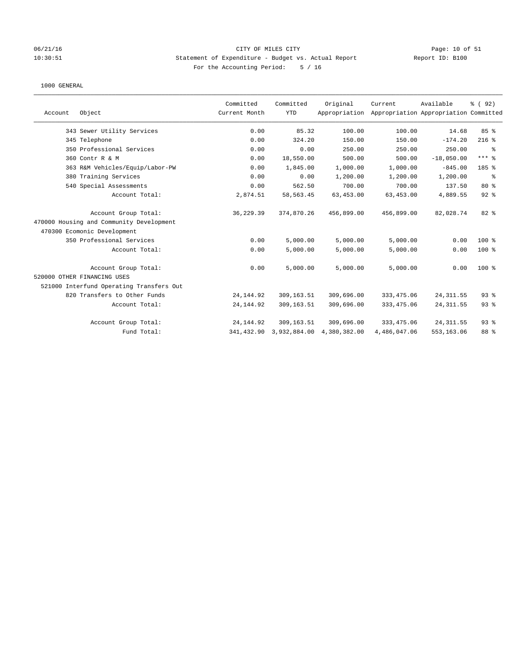### 06/21/16 CITY OF MILES CITY Page: 10 of 51 10:30:51 Statement of Expenditure - Budget vs. Actual Report Report ID: B100 For the Accounting Period: 5 / 16

|         |                                          | Committed     | Committed    | Original      | Current      | Available                             | % (92)    |
|---------|------------------------------------------|---------------|--------------|---------------|--------------|---------------------------------------|-----------|
| Account | Object                                   | Current Month | <b>YTD</b>   | Appropriation |              | Appropriation Appropriation Committed |           |
|         | 343 Sewer Utility Services               | 0.00          | 85.32        | 100.00        | 100.00       | 14.68                                 | 85 %      |
|         | 345 Telephone                            | 0.00          | 324.20       | 150.00        | 150.00       | $-174.20$                             | $216$ %   |
|         | 350 Professional Services                | 0.00          | 0.00         | 250.00        | 250.00       | 250.00                                | နွ        |
|         | 360 Contr R & M                          | 0.00          | 18,550.00    | 500.00        | 500.00       | $-18,050.00$                          | $***$ $%$ |
|         | 363 R&M Vehicles/Equip/Labor-PW          | 0.00          | 1,845.00     | 1,000.00      | 1,000.00     | $-845.00$                             | 185 %     |
|         | 380 Training Services                    | 0.00          | 0.00         | 1,200.00      | 1,200.00     | 1,200.00                              | နွ        |
|         | 540 Special Assessments                  | 0.00          | 562.50       | 700.00        | 700.00       | 137.50                                | 80%       |
|         | Account Total:                           | 2,874.51      | 58,563.45    | 63,453.00     | 63,453.00    | 4,889.55                              | $92$ $%$  |
|         | Account Group Total:                     | 36, 229.39    | 374,870.26   | 456,899.00    | 456,899.00   | 82,028.74                             | 82 %      |
|         | 470000 Housing and Community Development |               |              |               |              |                                       |           |
|         | 470300 Ecomonic Development              |               |              |               |              |                                       |           |
|         | 350 Professional Services                | 0.00          | 5,000.00     | 5,000.00      | 5,000.00     | 0.00                                  | $100$ %   |
|         | Account Total:                           | 0.00          | 5,000.00     | 5,000.00      | 5,000.00     | 0.00                                  | 100 %     |
|         | Account Group Total:                     | 0.00          | 5,000.00     | 5,000.00      | 5,000.00     | 0.00                                  | $100*$    |
|         | 520000 OTHER FINANCING USES              |               |              |               |              |                                       |           |
|         | 521000 Interfund Operating Transfers Out |               |              |               |              |                                       |           |
|         | 820 Transfers to Other Funds             | 24, 144.92    | 309,163.51   | 309,696.00    | 333, 475.06  | 24, 311.55                            | $93$ $%$  |
|         | Account Total:                           | 24, 144.92    | 309,163.51   | 309,696.00    | 333, 475.06  | 24, 311.55                            | 93%       |
|         | Account Group Total:                     | 24, 144.92    | 309,163.51   | 309,696.00    | 333, 475.06  | 24, 311.55                            | 93%       |
|         | Fund Total:                              | 341,432.90    | 3,932,884.00 | 4,380,382.00  | 4,486,047.06 | 553,163.06                            | 88 %      |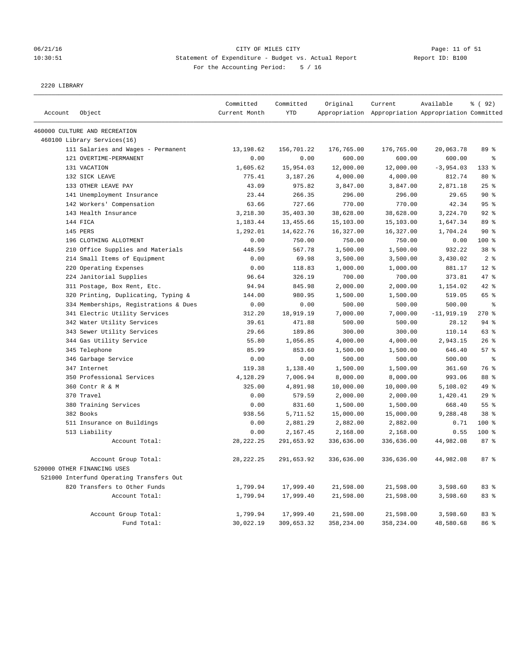#### 06/21/16 Page: 11 of 51 Page: 11 of 51 10:30:51 Statement of Expenditure - Budget vs. Actual Report Report ID: B100 For the Accounting Period: 5 / 16

2220 LIBRARY

|         |                                          | Committed     | Committed  | Original   | Current                                             | Available    | % (92)         |
|---------|------------------------------------------|---------------|------------|------------|-----------------------------------------------------|--------------|----------------|
| Account | Object                                   | Current Month | <b>YTD</b> |            | Appropriation Appropriation Appropriation Committed |              |                |
|         | 460000 CULTURE AND RECREATION            |               |            |            |                                                     |              |                |
|         | 460100 Library Services(16)              |               |            |            |                                                     |              |                |
|         | 111 Salaries and Wages - Permanent       | 13,198.62     | 156,701.22 | 176,765.00 | 176,765.00                                          | 20,063.78    | 89 %           |
|         | 121 OVERTIME-PERMANENT                   | 0.00          | 0.00       | 600.00     | 600.00                                              | 600.00       | る              |
|         | 131 VACATION                             | 1,605.62      | 15,954.03  | 12,000.00  | 12,000.00                                           | $-3,954.03$  | $133$ $%$      |
|         | 132 SICK LEAVE                           | 775.41        | 3,187.26   | 4,000.00   | 4,000.00                                            | 812.74       | 80%            |
|         | 133 OTHER LEAVE PAY                      | 43.09         | 975.82     | 3,847.00   | 3,847.00                                            | 2,871.18     | $25$ %         |
|         | 141 Unemployment Insurance               | 23.44         | 266.35     | 296.00     | 296.00                                              | 29.65        | $90*$          |
|         | 142 Workers' Compensation                | 63.66         | 727.66     | 770.00     | 770.00                                              | 42.34        | 95%            |
|         | 143 Health Insurance                     | 3,218.30      | 35,403.30  | 38,628.00  | 38,628.00                                           | 3,224.70     | 92%            |
|         | 144 FICA                                 | 1,183.44      | 13,455.66  | 15,103.00  | 15,103.00                                           | 1,647.34     | 89 %           |
|         | 145 PERS                                 | 1,292.01      | 14,622.76  | 16,327.00  | 16,327.00                                           | 1,704.24     | 90%            |
|         | 196 CLOTHING ALLOTMENT                   | 0.00          | 750.00     | 750.00     | 750.00                                              | 0.00         | 100 %          |
|         | 210 Office Supplies and Materials        | 448.59        | 567.78     | 1,500.00   | 1,500.00                                            | 932.22       | 38 %           |
|         | 214 Small Items of Equipment             | 0.00          | 69.98      | 3,500.00   | 3,500.00                                            | 3,430.02     | 2 <sup>°</sup> |
|         | 220 Operating Expenses                   | 0.00          | 118.83     | 1,000.00   | 1,000.00                                            | 881.17       | $12*$          |
|         | 224 Janitorial Supplies                  | 96.64         | 326.19     | 700.00     | 700.00                                              | 373.81       | 47 %           |
|         | 311 Postage, Box Rent, Etc.              | 94.94         | 845.98     | 2,000.00   | 2,000.00                                            | 1,154.02     | $42$ $%$       |
|         | 320 Printing, Duplicating, Typing &      | 144.00        | 980.95     | 1,500.00   | 1,500.00                                            | 519.05       | 65 %           |
|         | 334 Memberships, Registrations & Dues    | 0.00          | 0.00       | 500.00     | 500.00                                              | 500.00       | န္             |
|         | 341 Electric Utility Services            | 312.20        | 18,919.19  | 7,000.00   | 7,000.00                                            | $-11,919.19$ | 270%           |
|         | 342 Water Utility Services               | 39.61         | 471.88     | 500.00     | 500.00                                              | 28.12        | 94%            |
|         | 343 Sewer Utility Services               | 29.66         | 189.86     | 300.00     | 300.00                                              | 110.14       | 63 %           |
|         | 344 Gas Utility Service                  | 55.80         | 1,056.85   | 4,000.00   | 4,000.00                                            | 2,943.15     | 26%            |
|         | 345 Telephone                            | 85.99         | 853.60     | 1,500.00   | 1,500.00                                            | 646.40       | 57%            |
|         | 346 Garbage Service                      | 0.00          | 0.00       | 500.00     | 500.00                                              | 500.00       | g.             |
|         | 347 Internet                             | 119.38        | 1,138.40   | 1,500.00   | 1,500.00                                            | 361.60       | 76 %           |
|         | 350 Professional Services                | 4,128.29      | 7,006.94   | 8,000.00   | 8,000.00                                            | 993.06       | 88 %           |
|         | 360 Contr R & M                          | 325.00        | 4,891.98   | 10,000.00  | 10,000.00                                           | 5,108.02     | 49 %           |
|         | 370 Travel                               | 0.00          | 579.59     | 2,000.00   | 2,000.00                                            | 1,420.41     | 29%            |
|         | 380 Training Services                    | 0.00          | 831.60     | 1,500.00   | 1,500.00                                            | 668.40       | 55%            |
|         | 382 Books                                | 938.56        | 5,711.52   | 15,000.00  | 15,000.00                                           | 9,288.48     | 38 %           |
|         | 511 Insurance on Buildings               | 0.00          | 2,881.29   | 2,882.00   | 2,882.00                                            | 0.71         | $100$ %        |
|         | 513 Liability                            | 0.00          | 2,167.45   | 2,168.00   | 2,168.00                                            | 0.55         | 100 %          |
|         | Account Total:                           | 28, 222. 25   | 291,653.92 | 336,636.00 | 336,636.00                                          | 44,982.08    | 87%            |
|         | Account Group Total:                     | 28, 222. 25   | 291,653.92 | 336,636.00 | 336,636.00                                          | 44,982.08    | 87%            |
|         | 520000 OTHER FINANCING USES              |               |            |            |                                                     |              |                |
|         | 521000 Interfund Operating Transfers Out |               |            |            |                                                     |              |                |
|         | 820 Transfers to Other Funds             | 1,799.94      | 17,999.40  | 21,598.00  | 21,598.00                                           | 3,598.60     | 83%            |
|         | Account Total:                           | 1,799.94      | 17,999.40  | 21,598.00  | 21,598.00                                           | 3,598.60     | 83 %           |
|         |                                          |               |            |            |                                                     |              |                |
|         | Account Group Total:                     | 1,799.94      | 17,999.40  | 21,598.00  | 21,598.00                                           | 3,598.60     | 83 %           |
|         | Fund Total:                              | 30,022.19     | 309,653.32 | 358,234.00 | 358,234.00                                          | 48,580.68    | 86 %           |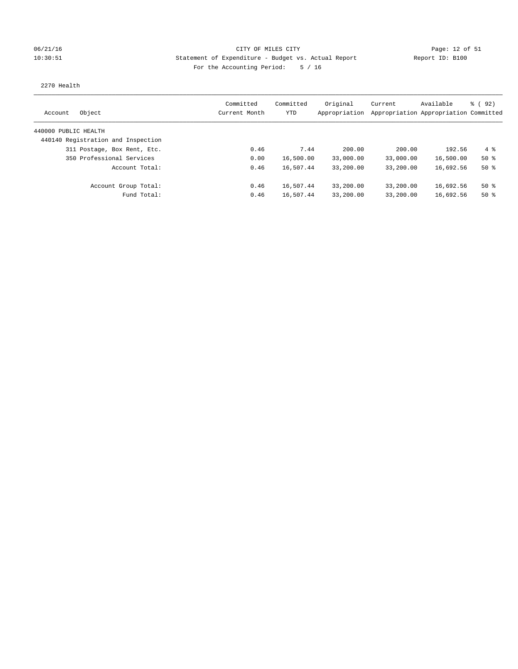### 06/21/16 Page: 12 of 51 Page: 12 of 51 10:30:51 Statement of Expenditure - Budget vs. Actual Report Report ID: B100 For the Accounting Period: 5 / 16

#### 2270 Health

| Object<br>Account                  | Committed<br>Current Month | Committed<br>YTD | Original<br>Appropriation | Current   | Available<br>Appropriation Appropriation Committed | 8 (92)       |
|------------------------------------|----------------------------|------------------|---------------------------|-----------|----------------------------------------------------|--------------|
| 440000 PUBLIC HEALTH               |                            |                  |                           |           |                                                    |              |
| 440140 Registration and Inspection |                            |                  |                           |           |                                                    |              |
| 311 Postage, Box Rent, Etc.        | 0.46                       | 7.44             | 200.00                    | 200.00    | 192.56                                             | $4 \text{ }$ |
| 350 Professional Services          | 0.00                       | 16,500.00        | 33,000.00                 | 33,000.00 | 16,500.00                                          | $50*$        |
| Account Total:                     | 0.46                       | 16,507.44        | 33,200.00                 | 33,200.00 | 16,692.56                                          | $50*$        |
| Account Group Total:               | 0.46                       | 16,507.44        | 33,200.00                 | 33,200.00 | 16,692.56                                          | $50*$        |
| Fund Total:                        | 0.46                       | 16,507.44        | 33,200.00                 | 33,200.00 | 16,692.56                                          | 50%          |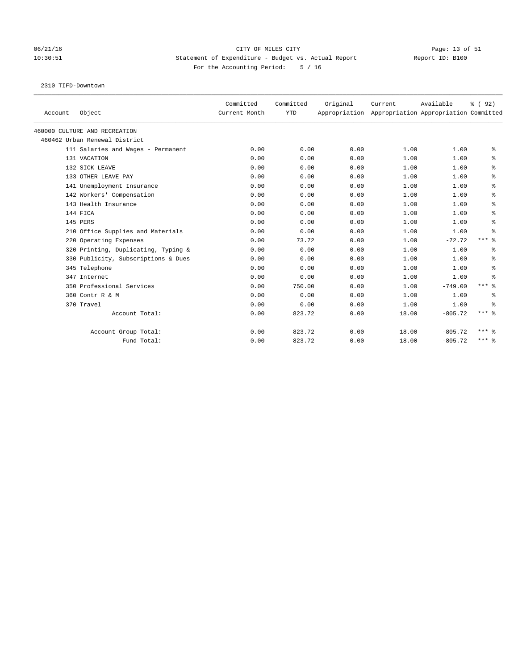# 06/21/16 Page: 13 of 51 10:30:51 Statement of Expenditure - Budget vs. Actual Report Report ID: B100 For the Accounting Period: 5 / 16

2310 TIFD-Downtown

| Account | Object                              | Committed<br>Current Month | Committed<br><b>YTD</b> | Original | Current | Available<br>Appropriation Appropriation Appropriation Committed | % (92)       |
|---------|-------------------------------------|----------------------------|-------------------------|----------|---------|------------------------------------------------------------------|--------------|
|         | 460000 CULTURE AND RECREATION       |                            |                         |          |         |                                                                  |              |
|         | 460462 Urban Renewal District       |                            |                         |          |         |                                                                  |              |
|         | 111 Salaries and Wages - Permanent  | 0.00                       | 0.00                    | 0.00     | 1.00    | 1.00                                                             | နွ           |
|         | 131 VACATION                        | 0.00                       | 0.00                    | 0.00     | 1.00    | 1.00                                                             | နွ           |
|         | 132 SICK LEAVE                      | 0.00                       | 0.00                    | 0.00     | 1.00    | 1.00                                                             | ್ಠಿ          |
|         | 133 OTHER LEAVE PAY                 | 0.00                       | 0.00                    | 0.00     | 1.00    | 1.00                                                             | နွ           |
|         | 141 Unemployment Insurance          | 0.00                       | 0.00                    | 0.00     | 1.00    | 1.00                                                             | ి            |
|         | 142 Workers' Compensation           | 0.00                       | 0.00                    | 0.00     | 1.00    | 1.00                                                             | ి            |
|         | 143 Health Insurance                | 0.00                       | 0.00                    | 0.00     | 1.00    | 1.00                                                             | နွ           |
|         | 144 FICA                            | 0.00                       | 0.00                    | 0.00     | 1.00    | 1.00                                                             | ి            |
|         | 145 PERS                            | 0.00                       | 0.00                    | 0.00     | 1.00    | 1.00                                                             | ి            |
|         | 210 Office Supplies and Materials   | 0.00                       | 0.00                    | 0.00     | 1.00    | 1.00                                                             | နွ           |
|         | 220 Operating Expenses              | 0.00                       | 73.72                   | 0.00     | 1.00    | $-72.72$                                                         | $***$ $%$    |
|         | 320 Printing, Duplicating, Typing & | 0.00                       | 0.00                    | 0.00     | 1.00    | 1.00                                                             | နွ           |
|         | 330 Publicity, Subscriptions & Dues | 0.00                       | 0.00                    | 0.00     | 1.00    | 1.00                                                             | နွ           |
|         | 345 Telephone                       | 0.00                       | 0.00                    | 0.00     | 1.00    | 1.00                                                             | နွ           |
|         | 347 Internet                        | 0.00                       | 0.00                    | 0.00     | 1.00    | 1.00                                                             | ి            |
|         | 350 Professional Services           | 0.00                       | 750.00                  | 0.00     | 1.00    | $-749.00$                                                        | $***$ $%$    |
|         | 360 Contr R & M                     | 0.00                       | 0.00                    | 0.00     | 1.00    | 1.00                                                             | နွ           |
|         | 370 Travel                          | 0.00                       | 0.00                    | 0.00     | 1.00    | 1.00                                                             | နွ           |
|         | Account Total:                      | 0.00                       | 823.72                  | 0.00     | 18.00   | $-805.72$                                                        | $***$ $%$    |
|         | Account Group Total:                | 0.00                       | 823.72                  | 0.00     | 18.00   | $-805.72$                                                        | $***$ 2      |
|         | Fund Total:                         | 0.00                       | 823.72                  | 0.00     | 18.00   | $-805.72$                                                        | $***$ $_{8}$ |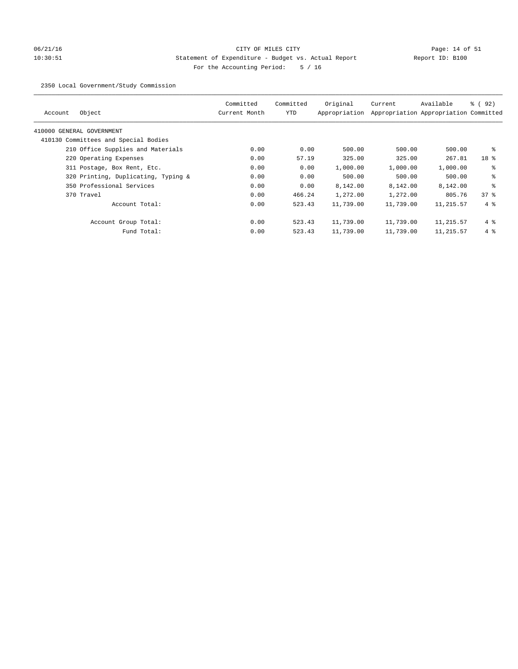# 06/21/16 Page: 14 of 51 10:30:51 Statement of Expenditure - Budget vs. Actual Report Report ID: B100 For the Accounting Period: 5 / 16

2350 Local Government/Study Commission

| Object<br>Account                    | Committed<br>Current Month | Committed<br>YTD | Original<br>Appropriation | Current   | Available<br>Appropriation Appropriation Committed | % ( 92 )        |
|--------------------------------------|----------------------------|------------------|---------------------------|-----------|----------------------------------------------------|-----------------|
| 410000 GENERAL GOVERNMENT            |                            |                  |                           |           |                                                    |                 |
| 410130 Committees and Special Bodies |                            |                  |                           |           |                                                    |                 |
| 210 Office Supplies and Materials    | 0.00                       | 0.00             | 500.00                    | 500.00    | 500.00                                             | နွ              |
| 220 Operating Expenses               | 0.00                       | 57.19            | 325.00                    | 325.00    | 267.81                                             | 18 <sup>8</sup> |
| 311 Postage, Box Rent, Etc.          | 0.00                       | 0.00             | 1,000.00                  | 1,000.00  | 1,000.00                                           | ႜ               |
| 320 Printing, Duplicating, Typing &  | 0.00                       | 0.00             | 500.00                    | 500.00    | 500.00                                             | နွ              |
| 350 Professional Services            | 0.00                       | 0.00             | 8,142.00                  | 8,142.00  | 8,142.00                                           | ి               |
| 370 Travel                           | 0.00                       | 466.24           | 1,272.00                  | 1,272.00  | 805.76                                             | 378             |
| Account Total:                       | 0.00                       | 523.43           | 11,739.00                 | 11,739.00 | 11,215.57                                          | $4\degree$      |
| Account Group Total:                 | 0.00                       | 523.43           | 11,739.00                 | 11,739.00 | 11,215.57                                          | $4\degree$      |
| Fund Total:                          | 0.00                       | 523.43           | 11,739.00                 | 11,739.00 | 11,215.57                                          | $4\degree$      |
|                                      |                            |                  |                           |           |                                                    |                 |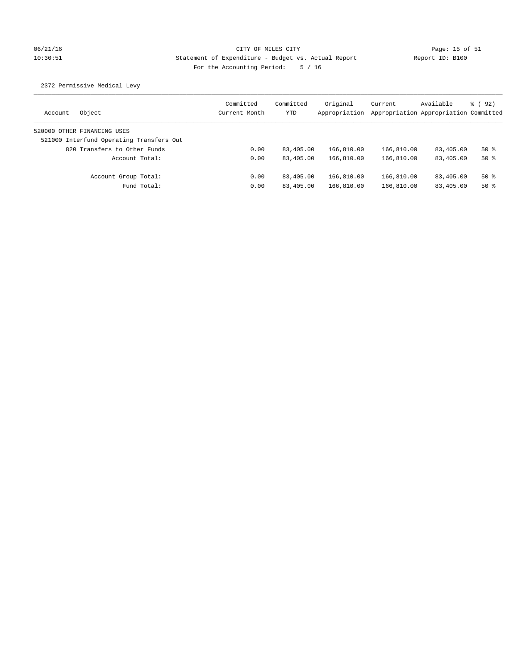# 06/21/16 Page: 15 of 51 10:30:51 Statement of Expenditure - Budget vs. Actual Report Report ID: B100 For the Accounting Period: 5 / 16

## 2372 Permissive Medical Levy

| Object<br>Account                        | Committed<br>Current Month | Committed<br>YTD | Original<br>Appropriation | Current<br>Appropriation Appropriation Committed | Available | $\frac{6}{6}$ (92) |
|------------------------------------------|----------------------------|------------------|---------------------------|--------------------------------------------------|-----------|--------------------|
| 520000 OTHER FINANCING USES              |                            |                  |                           |                                                  |           |                    |
| 521000 Interfund Operating Transfers Out |                            |                  |                           |                                                  |           |                    |
| 820 Transfers to Other Funds             | 0.00                       | 83,405.00        | 166,810.00                | 166,810.00                                       | 83,405.00 | $50*$              |
| Account Total:                           | 0.00                       | 83,405.00        | 166,810.00                | 166,810.00                                       | 83,405.00 | $50*$              |
| Account Group Total:                     | 0.00                       | 83,405.00        | 166,810.00                | 166,810.00                                       | 83,405.00 | $50*$              |
| Fund Total:                              | 0.00                       | 83,405.00        | 166,810.00                | 166,810.00                                       | 83,405.00 | $50*$              |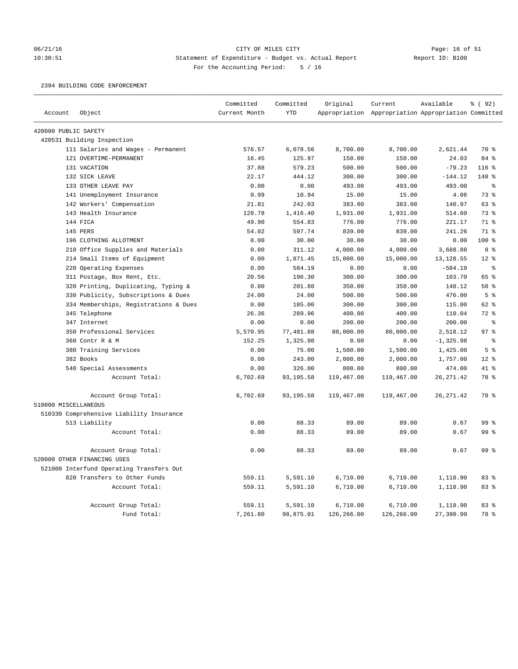# 06/21/16 CITY OF MILES CITY CONTRIGENT CONTRIGENT Page: 16 of 51<br>10:30:51 Statement of Expenditure - Budget vs. Actual Report (Report ID: B100 10:30:51 Statement of Expenditure - Budget vs. Actual Report For the Accounting Period: 5 / 16

### 2394 BUILDING CODE ENFORCEMENT

|                      |                                          | Committed     | Committed  | Original   | Current                                             | Available    | % (92)          |
|----------------------|------------------------------------------|---------------|------------|------------|-----------------------------------------------------|--------------|-----------------|
| Account              | Object                                   | Current Month | <b>YTD</b> |            | Appropriation Appropriation Appropriation Committed |              |                 |
| 420000 PUBLIC SAFETY |                                          |               |            |            |                                                     |              |                 |
|                      | 420531 Building Inspection               |               |            |            |                                                     |              |                 |
|                      | 111 Salaries and Wages - Permanent       | 576.57        | 6,078.56   | 8,700.00   | 8,700.00                                            | 2,621.44     | 70 %            |
|                      | 121 OVERTIME-PERMANENT                   | 16.45         | 125.97     | 150.00     | 150.00                                              | 24.03        | 84 %            |
|                      | 131 VACATION                             | 37.88         | 579.23     | 500.00     | 500.00                                              | $-79.23$     | $116$ %         |
|                      | 132 SICK LEAVE                           | 22.17         | 444.12     | 300.00     | 300.00                                              | $-144.12$    | 148 %           |
|                      | 133 OTHER LEAVE PAY                      | 0.00          | 0.00       | 493.00     | 493.00                                              | 493.00       | $\epsilon$      |
|                      | 141 Unemployment Insurance               | 0.99          | 10.94      | 15.00      | 15.00                                               | 4.06         | 73%             |
|                      | 142 Workers' Compensation                | 21.81         | 242.03     | 383.00     | 383.00                                              | 140.97       | 63%             |
|                      | 143 Health Insurance                     | 128.78        | 1,416.40   | 1,931.00   | 1,931.00                                            | 514.60       | 73%             |
|                      | 144 FICA                                 | 49.90         | 554.83     | 776.00     | 776.00                                              | 221.17       | 71 %            |
|                      | 145 PERS                                 | 54.02         | 597.74     | 839.00     | 839.00                                              | 241.26       | 71 %            |
|                      | 196 CLOTHING ALLOTMENT                   | 0.00          | 30.00      | 30.00      | 30.00                                               | 0.00         | 100%            |
|                      | 210 Office Supplies and Materials        | 0.00          | 311.12     | 4,000.00   | 4,000.00                                            | 3,688.88     | 8 <sup>8</sup>  |
|                      | 214 Small Items of Equipment             | 0.00          | 1,871.45   | 15,000.00  | 15,000.00                                           | 13, 128.55   | $12*$           |
|                      | 220 Operating Expenses                   | 0.00          | 584.19     | 0.00       | 0.00                                                | $-584.19$    | $\approx$       |
|                      | 311 Postage, Box Rent, Etc.              | 20.56         | 196.30     | 300.00     | 300.00                                              | 103.70       | 65 %            |
|                      | 320 Printing, Duplicating, Typing &      | 0.00          | 201.88     | 350.00     | 350.00                                              | 148.12       | 58 %            |
|                      | 330 Publicity, Subscriptions & Dues      | 24.00         | 24.00      | 500.00     | 500.00                                              | 476.00       | 5 <sup>°</sup>  |
|                      | 334 Memberships, Registrations & Dues    | 0.00          | 185.00     | 300.00     | 300.00                                              | 115.00       | 62 %            |
|                      | 345 Telephone                            | 26.36         | 289.96     | 400.00     | 400.00                                              | 110.04       | $72$ $%$        |
|                      | 347 Internet                             | 0.00          | 0.00       | 200.00     | 200.00                                              | 200.00       | $\epsilon$      |
|                      | 350 Professional Services                | 5,570.95      | 77,481.88  | 80,000.00  | 80,000.00                                           | 2,518.12     | 97 <sub>8</sub> |
|                      | 360 Contr R & M                          | 152.25        | 1,325.98   | 0.00       | 0.00                                                | $-1, 325.98$ | နွ              |
|                      | 380 Training Services                    | 0.00          | 75.00      | 1,500.00   | 1,500.00                                            | 1,425.00     | 5 <sup>°</sup>  |
|                      | 382 Books                                | 0.00          | 243.00     | 2,000.00   | 2,000.00                                            | 1,757.00     | $12*$           |
|                      | 540 Special Assessments                  | 0.00          | 326.00     | 800.00     | 800.00                                              | 474.00       | 41 %            |
|                      | Account Total:                           | 6,702.69      | 93,195.58  | 119,467.00 | 119,467.00                                          | 26, 271.42   | 78 %            |
|                      | Account Group Total:                     | 6,702.69      | 93, 195.58 | 119,467.00 | 119,467.00                                          | 26, 271.42   | 78 %            |
| 510000 MISCELLANEOUS |                                          |               |            |            |                                                     |              |                 |
|                      | 510330 Comprehensive Liability Insurance |               |            |            |                                                     |              |                 |
|                      | 513 Liability                            | 0.00          | 88.33      | 89.00      | 89.00                                               | 0.67         | 99 <sup>8</sup> |
|                      | Account Total:                           | 0.00          | 88.33      | 89.00      | 89.00                                               | 0.67         | 99 <sup>8</sup> |
|                      | Account Group Total:                     | 0.00          | 88.33      | 89.00      | 89.00                                               | 0.67         | 99 <sup>8</sup> |
|                      | 520000 OTHER FINANCING USES              |               |            |            |                                                     |              |                 |
|                      | 521000 Interfund Operating Transfers Out |               |            |            |                                                     |              |                 |
|                      | 820 Transfers to Other Funds             | 559.11        | 5,591.10   | 6,710.00   | 6,710.00                                            | 1,118.90     | 83%             |
|                      | Account Total:                           | 559.11        | 5,591.10   | 6,710.00   | 6,710.00                                            | 1,118.90     | 83%             |
|                      | Account Group Total:                     | 559.11        | 5,591.10   | 6,710.00   | 6,710.00                                            | 1,118.90     | 83%             |
|                      | Fund Total:                              | 7,261.80      | 98,875.01  | 126,266.00 | 126,266.00                                          | 27,390.99    | 78 %            |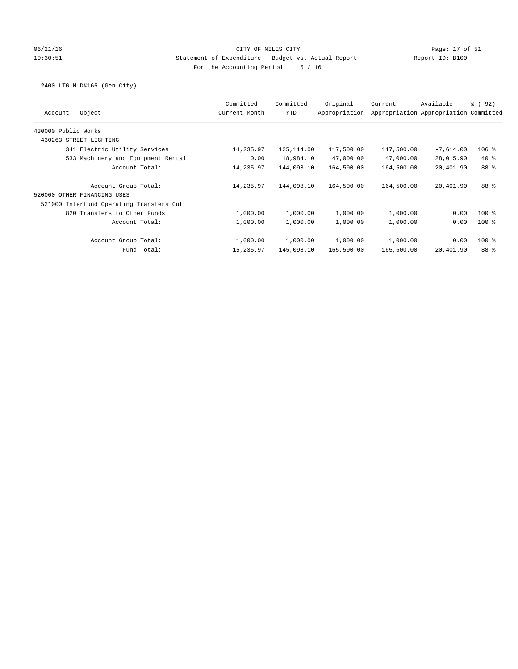## 06/21/16 Page: 17 of 51 10:30:51 Statement of Expenditure - Budget vs. Actual Report Report ID: B100 For the Accounting Period: 5 / 16

## 2400 LTG M D#165-(Gen City)

| Object<br>Account                        | Committed<br>Current Month | Committed<br><b>YTD</b> | Original<br>Appropriation | Current    | Available<br>Appropriation Appropriation Committed | 8 (92)  |
|------------------------------------------|----------------------------|-------------------------|---------------------------|------------|----------------------------------------------------|---------|
| 430000 Public Works                      |                            |                         |                           |            |                                                    |         |
| 430263 STREET LIGHTING                   |                            |                         |                           |            |                                                    |         |
| 341 Electric Utility Services            | 14,235.97                  | 125, 114.00             | 117,500.00                | 117,500.00 | $-7,614.00$                                        | $106$ % |
| 533 Machinery and Equipment Rental       | 0.00                       | 18,984.10               | 47,000.00                 | 47,000.00  | 28,015.90                                          | $40*$   |
| Account Total:                           | 14,235.97                  | 144,098.10              | 164,500.00                | 164,500.00 | 20,401.90                                          | 88 %    |
| Account Group Total:                     | 14,235.97                  | 144,098.10              | 164,500.00                | 164,500.00 | 20,401.90                                          | 88 %    |
| 520000 OTHER FINANCING USES              |                            |                         |                           |            |                                                    |         |
| 521000 Interfund Operating Transfers Out |                            |                         |                           |            |                                                    |         |
| 820 Transfers to Other Funds             | 1,000.00                   | 1,000.00                | 1,000.00                  | 1,000.00   | 0.00                                               | $100$ % |
| Account Total:                           | 1,000.00                   | 1,000.00                | 1,000.00                  | 1,000.00   | 0.00                                               | $100*$  |
| Account Group Total:                     | 1,000.00                   | 1,000.00                | 1,000.00                  | 1,000.00   | 0.00                                               | $100*$  |
| Fund Total:                              | 15,235.97                  | 145,098.10              | 165,500.00                | 165,500.00 | 20,401.90                                          | 88 %    |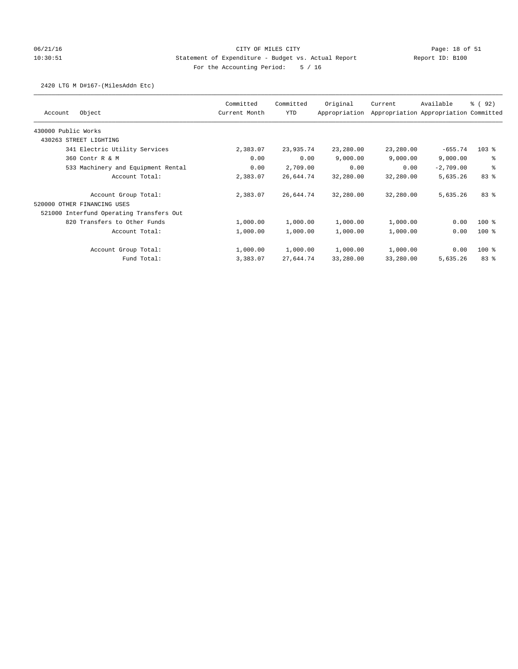## 06/21/16 Page: 18 of 51 10:30:51 Statement of Expenditure - Budget vs. Actual Report Report ID: B100 For the Accounting Period: 5 / 16

### 2420 LTG M D#167-(MilesAddn Etc)

|                                          | Committed     | Committed | Original      | Current   | Available                             | 8 (92)  |
|------------------------------------------|---------------|-----------|---------------|-----------|---------------------------------------|---------|
| Object<br>Account                        | Current Month | YTD       | Appropriation |           | Appropriation Appropriation Committed |         |
| 430000 Public Works                      |               |           |               |           |                                       |         |
| 430263 STREET LIGHTING                   |               |           |               |           |                                       |         |
| 341 Electric Utility Services            | 2,383.07      | 23,935.74 | 23,280.00     | 23,280.00 | $-655.74$                             | $103$ % |
| 360 Contr R & M                          | 0.00          | 0.00      | 9,000.00      | 9,000.00  | 9,000.00                              | る       |
| 533 Machinery and Equipment Rental       | 0.00          | 2,709.00  | 0.00          | 0.00      | $-2,709.00$                           | る       |
| Account Total:                           | 2,383.07      | 26,644.74 | 32,280.00     | 32,280.00 | 5,635.26                              | 83%     |
| Account Group Total:                     | 2,383.07      | 26,644.74 | 32,280.00     | 32,280.00 | 5,635.26                              | 83%     |
| 520000 OTHER FINANCING USES              |               |           |               |           |                                       |         |
| 521000 Interfund Operating Transfers Out |               |           |               |           |                                       |         |
| 820 Transfers to Other Funds             | 1,000.00      | 1,000.00  | 1,000.00      | 1,000.00  | 0.00                                  | $100$ % |
| Account Total:                           | 1,000.00      | 1,000.00  | 1,000.00      | 1,000.00  | 0.00                                  | $100$ % |
| Account Group Total:                     | 1,000.00      | 1,000.00  | 1,000.00      | 1,000.00  | 0.00                                  | $100$ % |
| Fund Total:                              | 3,383.07      | 27,644.74 | 33,280.00     | 33,280.00 | 5,635.26                              | 83%     |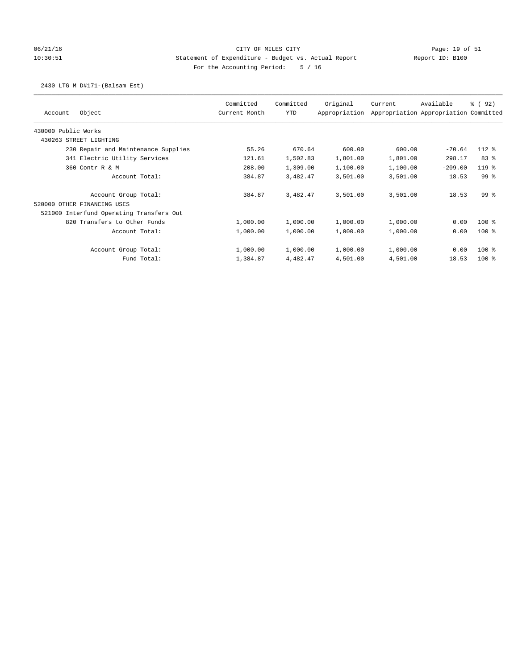## 06/21/16 Page: 19 of 51 Page: 19 of 51 10:30:51 Statement of Expenditure - Budget vs. Actual Report Report ID: B100 For the Accounting Period: 5 / 16

### 2430 LTG M D#171-(Balsam Est)

| Object<br>Account                        | Committed<br>Current Month | Committed<br>YTD | Original<br>Appropriation | Current  | Available<br>Appropriation Appropriation Committed | ៖ (92)          |
|------------------------------------------|----------------------------|------------------|---------------------------|----------|----------------------------------------------------|-----------------|
| 430000 Public Works                      |                            |                  |                           |          |                                                    |                 |
| 430263 STREET LIGHTING                   |                            |                  |                           |          |                                                    |                 |
| 230 Repair and Maintenance Supplies      | 55.26                      | 670.64           | 600.00                    | 600.00   | $-70.64$                                           | $112*$          |
| 341 Electric Utility Services            | 121.61                     | 1,502.83         | 1,801.00                  | 1,801.00 | 298.17                                             | 83 %            |
| 360 Contr R & M                          | 208.00                     | 1,309.00         | 1,100.00                  | 1,100.00 | $-209.00$                                          | $119*$          |
| Account Total:                           | 384.87                     | 3,482.47         | 3,501.00                  | 3,501.00 | 18.53                                              | 99 <sub>8</sub> |
| Account Group Total:                     | 384.87                     | 3,482.47         | 3,501.00                  | 3,501.00 | 18.53                                              | 99 <sup>8</sup> |
| 520000 OTHER FINANCING USES              |                            |                  |                           |          |                                                    |                 |
| 521000 Interfund Operating Transfers Out |                            |                  |                           |          |                                                    |                 |
| 820 Transfers to Other Funds             | 1,000.00                   | 1,000.00         | 1,000.00                  | 1,000.00 | 0.00                                               | $100$ %         |
| Account Total:                           | 1,000.00                   | 1,000.00         | 1,000.00                  | 1,000.00 | 0.00                                               | $100$ %         |
| Account Group Total:                     | 1,000.00                   | 1,000.00         | 1,000.00                  | 1,000.00 | 0.00                                               | $100$ %         |
| Fund Total:                              | 1,384.87                   | 4,482.47         | 4,501.00                  | 4,501.00 | 18.53                                              | $100$ %         |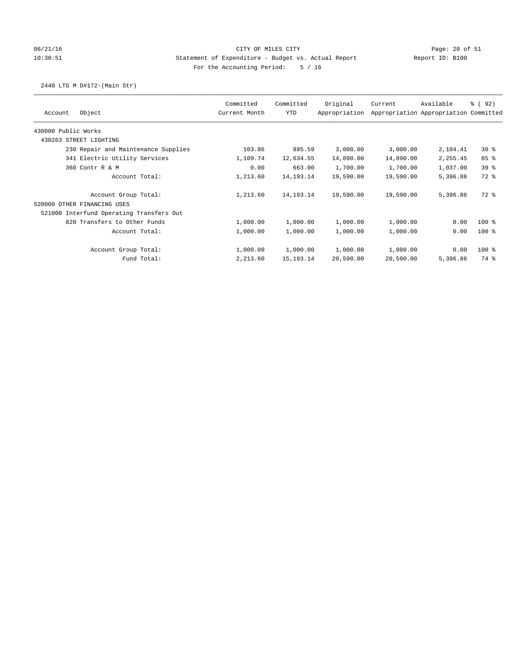## 06/21/16 CITY OF MILES CITY Page: 20 of 51 10:30:51 Statement of Expenditure - Budget vs. Actual Report Report ID: B100 For the Accounting Period: 5 / 16

## 2440 LTG M D#172-(Main Str)

| Object<br>Account                        | Committed<br>Current Month | Committed<br>YTD | Original<br>Appropriation | Current   | Available<br>Appropriation Appropriation Committed | ៖ (92)          |
|------------------------------------------|----------------------------|------------------|---------------------------|-----------|----------------------------------------------------|-----------------|
| 430000 Public Works                      |                            |                  |                           |           |                                                    |                 |
| 430263 STREET LIGHTING                   |                            |                  |                           |           |                                                    |                 |
| 230 Repair and Maintenance Supplies      | 103.86                     | 895.59           | 3,000.00                  | 3,000.00  | 2,104.41                                           | $30*$           |
| 341 Electric Utility Services            | 1,109.74                   | 12,634.55        | 14,890.00                 | 14,890.00 | 2,255.45                                           | 85%             |
| 360 Contr R & M                          | 0.00                       | 663.00           | 1,700.00                  | 1,700.00  | 1,037.00                                           | 39 <sup>8</sup> |
| Account Total:                           | 1,213.60                   | 14, 193. 14      | 19,590.00                 | 19,590.00 | 5,396.86                                           | 72 %            |
| Account Group Total:                     | 1,213.60                   | 14, 193. 14      | 19,590.00                 | 19,590.00 | 5,396.86                                           | $72*$           |
| 520000 OTHER FINANCING USES              |                            |                  |                           |           |                                                    |                 |
| 521000 Interfund Operating Transfers Out |                            |                  |                           |           |                                                    |                 |
| 820 Transfers to Other Funds             | 1,000.00                   | 1,000.00         | 1,000.00                  | 1,000.00  | 0.00                                               | $100$ %         |
| Account Total:                           | 1,000.00                   | 1,000.00         | 1,000.00                  | 1,000.00  | 0.00                                               | $100$ %         |
| Account Group Total:                     | 1,000.00                   | 1,000.00         | 1,000.00                  | 1,000.00  | 0.00                                               | $100$ %         |
| Fund Total:                              | 2,213.60                   | 15, 193. 14      | 20,590.00                 | 20,590.00 | 5,396.86                                           | 74 %            |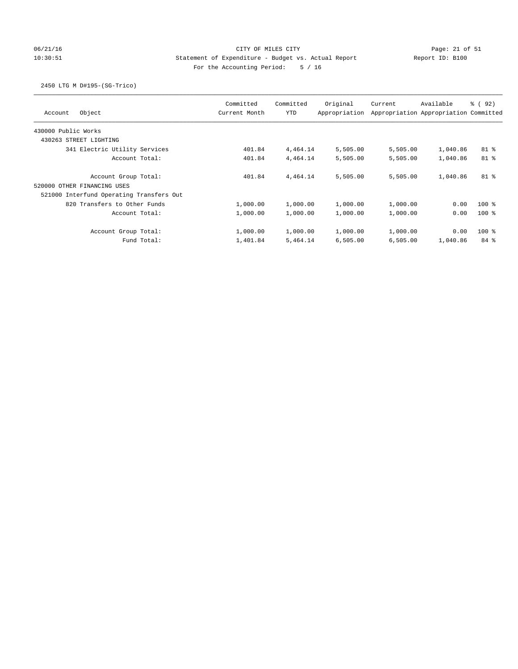# 06/21/16 Page: 21 of 51 Page: 21 of 51 10:30:51 Statement of Expenditure - Budget vs. Actual Report Report ID: B100 For the Accounting Period: 5 / 16

## 2450 LTG M D#195-(SG-Trico)

| Object<br>Account                                      | Committed<br>Current Month | Committed<br><b>YTD</b> | Original<br>Appropriation | Current  | Available<br>Appropriation Appropriation Committed | <sub>ර</sub> ි (92) |
|--------------------------------------------------------|----------------------------|-------------------------|---------------------------|----------|----------------------------------------------------|---------------------|
| 430000 Public Works                                    |                            |                         |                           |          |                                                    |                     |
| 430263 STREET LIGHTING                                 |                            |                         |                           |          |                                                    |                     |
| 341 Electric Utility Services                          | 401.84                     | 4,464.14                | 5,505.00                  | 5,505.00 | 1,040.86                                           | 81 %                |
| Account Total:                                         | 401.84                     | 4,464.14                | 5,505.00                  | 5,505.00 | 1,040.86                                           | $81$ %              |
| Account Group Total:<br>OTHER FINANCING USES<br>520000 | 401.84                     | 4,464.14                | 5,505.00                  | 5,505.00 | 1,040.86                                           | 81 %                |
| 521000 Interfund Operating Transfers Out               |                            |                         |                           |          |                                                    |                     |
| 820 Transfers to Other Funds                           | 1,000.00                   | 1,000.00                | 1,000.00                  | 1,000.00 | 0.00                                               | $100*$              |
| Account Total:                                         | 1,000.00                   | 1,000.00                | 1,000.00                  | 1,000.00 | 0.00                                               | $100*$              |
| Account Group Total:                                   | 1,000.00                   | 1,000.00                | 1,000.00                  | 1,000.00 | 0.00                                               | $100*$              |
| Fund Total:                                            | 1,401.84                   | 5,464.14                | 6,505.00                  | 6,505.00 | 1,040.86                                           | 84%                 |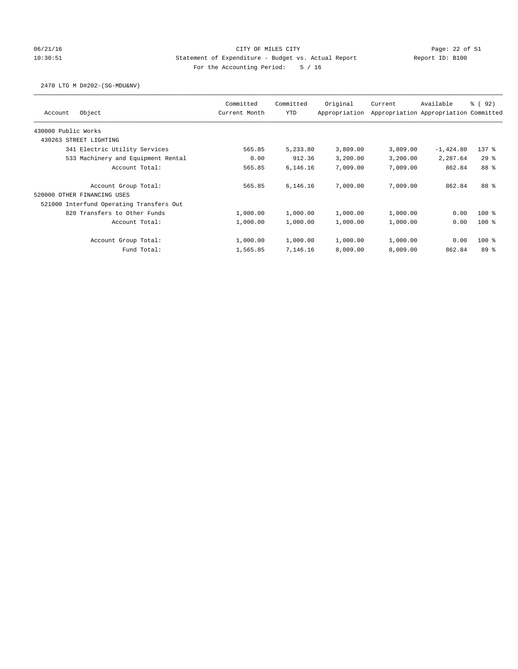# 06/21/16 Page: 22 of 51 10:30:51 Statement of Expenditure - Budget vs. Actual Report Report ID: B100 For the Accounting Period: 5 / 16

### 2470 LTG M D#202-(SG-MDU&NV)

| Object<br>Account                        | Committed<br>Current Month | Committed<br><b>YTD</b> | Original<br>Appropriation | Current  | Available<br>Appropriation Appropriation Committed | 8 (92)          |
|------------------------------------------|----------------------------|-------------------------|---------------------------|----------|----------------------------------------------------|-----------------|
| 430000 Public Works                      |                            |                         |                           |          |                                                    |                 |
| 430263 STREET LIGHTING                   |                            |                         |                           |          |                                                    |                 |
| 341 Electric Utility Services            | 565.85                     | 5,233.80                | 3,809.00                  | 3,809.00 | $-1,424.80$                                        | $137$ $%$       |
| 533 Machinery and Equipment Rental       | 0.00                       | 912.36                  | 3,200.00                  | 3,200.00 | 2,287.64                                           | $29*$           |
| Account Total:                           | 565.85                     | 6,146.16                | 7,009.00                  | 7,009.00 | 862.84                                             | 88 %            |
| Account Group Total:                     | 565.85                     | 6,146.16                | 7,009.00                  | 7,009.00 | 862.84                                             | 88 %            |
| 520000 OTHER FINANCING USES              |                            |                         |                           |          |                                                    |                 |
| 521000 Interfund Operating Transfers Out |                            |                         |                           |          |                                                    |                 |
| 820 Transfers to Other Funds             | 1,000.00                   | 1,000.00                | 1,000.00                  | 1,000.00 | 0.00                                               | $100*$          |
| Account Total:                           | 1,000.00                   | 1,000.00                | 1,000.00                  | 1,000.00 | 0.00                                               | $100*$          |
| Account Group Total:                     | 1,000.00                   | 1,000.00                | 1,000.00                  | 1,000.00 | 0.00                                               | $100*$          |
| Fund Total:                              | 1,565.85                   | 7,146.16                | 8,009.00                  | 8,009.00 | 862.84                                             | 89 <sup>8</sup> |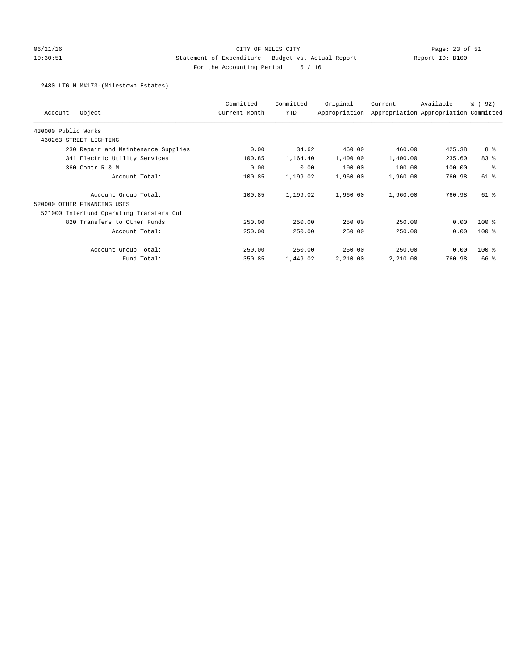# 06/21/16 Page: 23 of 51 10:30:51 Statement of Expenditure - Budget vs. Actual Report Report ID: B100 For the Accounting Period: 5 / 16

### 2480 LTG M M#173-(Milestown Estates)

| Object<br>Account                        | Committed<br>Current Month | Committed<br>YTD | Original<br>Appropriation | Current  | Available<br>Appropriation Appropriation Committed | % (92)   |
|------------------------------------------|----------------------------|------------------|---------------------------|----------|----------------------------------------------------|----------|
| 430000 Public Works                      |                            |                  |                           |          |                                                    |          |
| 430263 STREET LIGHTING                   |                            |                  |                           |          |                                                    |          |
| 230 Repair and Maintenance Supplies      | 0.00                       | 34.62            | 460.00                    | 460.00   | 425.38                                             | 8 %      |
| 341 Electric Utility Services            | 100.85                     | 1,164.40         | 1,400.00                  | 1,400.00 | 235.60                                             | 83%      |
| 360 Contr R & M                          | 0.00                       | 0.00             | 100.00                    | 100.00   | 100.00                                             | 昙        |
| Account Total:                           | 100.85                     | 1,199.02         | 1,960.00                  | 1,960.00 | 760.98                                             | 61 %     |
| Account Group Total:                     | 100.85                     | 1,199.02         | 1,960.00                  | 1,960.00 | 760.98                                             | $61$ $%$ |
| 520000 OTHER FINANCING USES              |                            |                  |                           |          |                                                    |          |
| 521000 Interfund Operating Transfers Out |                            |                  |                           |          |                                                    |          |
| 820 Transfers to Other Funds             | 250.00                     | 250.00           | 250.00                    | 250.00   | 0.00                                               | $100$ %  |
| Account Total:                           | 250.00                     | 250.00           | 250.00                    | 250.00   | 0.00                                               | $100$ %  |
| Account Group Total:                     | 250.00                     | 250.00           | 250.00                    | 250.00   | 0.00                                               | $100$ %  |
| Fund Total:                              | 350.85                     | 1,449.02         | 2,210.00                  | 2,210.00 | 760.98                                             | 66 %     |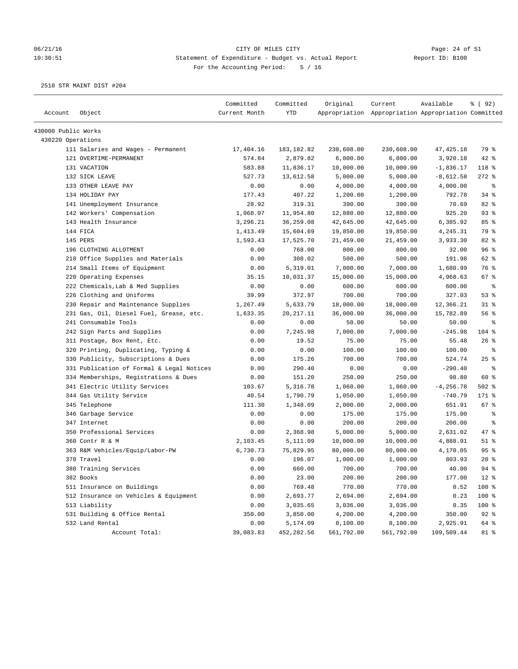# 06/21/16 Page: 24 of 51 10:30:51 Statement of Expenditure - Budget vs. Actual Report Report ID: B100 For the Accounting Period: 5 / 16

|                     |                                           | Committed<br>Current Month | Committed   | Original   | Current                                             | Available    | % ( 92 ) |
|---------------------|-------------------------------------------|----------------------------|-------------|------------|-----------------------------------------------------|--------------|----------|
| Account             | Object                                    |                            | YTD         |            | Appropriation Appropriation Appropriation Committed |              |          |
| 430000 Public Works |                                           |                            |             |            |                                                     |              |          |
| 430220 Operations   |                                           |                            |             |            |                                                     |              |          |
|                     | 111 Salaries and Wages - Permanent        | 17,404.16                  | 183, 182.82 | 230,608.00 | 230,608.00                                          | 47, 425.18   | 79 %     |
|                     | 121 OVERTIME-PERMANENT                    | 574.84                     | 2,879.82    | 6,800.00   | 6,800.00                                            | 3,920.18     | 42 %     |
|                     | 131 VACATION                              | 583.88                     | 11,836.17   | 10,000.00  | 10,000.00                                           | $-1,836.17$  | 118 %    |
|                     | 132 SICK LEAVE                            | 527.73                     | 13,612.58   | 5,000.00   | 5,000.00                                            | $-8,612.58$  | $272$ %  |
|                     | 133 OTHER LEAVE PAY                       | 0.00                       | 0.00        | 4,000.00   | 4,000.00                                            | 4,000.00     | ႜ        |
|                     | 134 HOLIDAY PAY                           | 177.43                     | 407.22      | 1,200.00   | 1,200.00                                            | 792.78       | 34%      |
|                     | 141 Unemployment Insurance                | 28.92                      | 319.31      | 390.00     | 390.00                                              | 70.69        | 82 %     |
|                     | 142 Workers' Compensation                 | 1,068.07                   | 11,954.80   | 12,880.00  | 12,880.00                                           | 925.20       | $93$ $%$ |
|                     | 143 Health Insurance                      | 3,296.21                   | 36,259.08   | 42,645.00  | 42,645.00                                           | 6,385.92     | 85%      |
|                     | 144 FICA                                  | 1,413.49                   | 15,604.69   | 19,850.00  | 19,850.00                                           | 4,245.31     | 79 %     |
|                     | 145 PERS                                  | 1,593.43                   | 17,525.70   | 21,459.00  | 21,459.00                                           | 3,933.30     | 82 %     |
|                     | 196 CLOTHING ALLOTMENT                    | 0.00                       | 768.00      | 800.00     | 800.00                                              | 32.00        | 96%      |
|                     | 210 Office Supplies and Materials         | 0.00                       | 308.02      | 500.00     | 500.00                                              | 191.98       | 62 %     |
|                     | 214 Small Items of Equipment              | 0.00                       | 5,319.01    | 7,000.00   | 7,000.00                                            | 1,680.99     | 76 %     |
|                     | 220 Operating Expenses                    | 35.15                      | 10,031.37   | 15,000.00  | 15,000.00                                           | 4,968.63     | $67$ %   |
|                     | 222 Chemicals, Lab & Med Supplies         | 0.00                       | 0.00        | 600.00     | 600.00                                              | 600.00       | ႜ        |
|                     | 226 Clothing and Uniforms                 | 39.99                      | 372.97      | 700.00     | 700.00                                              | 327.03       | 53%      |
|                     | 230 Repair and Maintenance Supplies       | 1,267.49                   | 5,633.79    | 18,000.00  | 18,000.00                                           | 12,366.21    | $31$ %   |
|                     | 231 Gas, Oil, Diesel Fuel, Grease, etc.   | 1,633.35                   | 20, 217. 11 | 36,000.00  | 36,000.00                                           | 15,782.89    | 56%      |
|                     | 241 Consumable Tools                      | 0.00                       | 0.00        | 50.00      | 50.00                                               | 50.00        | ႜ        |
|                     | 242 Sign Parts and Supplies               | 0.00                       | 7,245.98    | 7,000.00   | 7,000.00                                            | $-245.98$    | 104 %    |
|                     | 311 Postage, Box Rent, Etc.               | 0.00                       | 19.52       | 75.00      | 75.00                                               | 55.48        | 26%      |
|                     | 320 Printing, Duplicating, Typing &       | 0.00                       | 0.00        | 100.00     | 100.00                                              | 100.00       | ್ಠಿ      |
|                     | 330 Publicity, Subscriptions & Dues       | 0.00                       | 175.26      | 700.00     | 700.00                                              | 524.74       | 25%      |
|                     | 331 Publication of Formal & Legal Notices | 0.00                       | 290.40      | 0.00       | 0.00                                                | $-290.40$    | နွ       |
|                     | 334 Memberships, Registrations & Dues     | 0.00                       | 151.20      | 250.00     | 250.00                                              | 98.80        | 60 %     |
|                     | 341 Electric Utility Services             | 103.67                     | 5,316.78    | 1,060.00   | 1,060.00                                            | $-4, 256.78$ | $502$ %  |
|                     | 344 Gas Utility Service                   | 40.54                      | 1,790.79    | 1,050.00   | 1,050.00                                            | $-740.79$    | 171 %    |
|                     | 345 Telephone                             | 111.30                     | 1,348.09    | 2,000.00   | 2,000.00                                            | 651.91       | 67 %     |
|                     | 346 Garbage Service                       | 0.00                       | 0.00        | 175.00     | 175.00                                              | 175.00       | ႜ        |
|                     | 347 Internet                              | 0.00                       | 0.00        | 200.00     | 200.00                                              | 200.00       | နွ       |
|                     | 350 Professional Services                 | 0.00                       | 2,368.98    | 5,000.00   | 5,000.00                                            | 2,631.02     | 47 %     |
|                     | 360 Contr R & M                           | 2,103.45                   | 5,111.09    | 10,000.00  | 10,000.00                                           | 4,888.91     | $51$ %   |
|                     | 363 R&M Vehicles/Equip/Labor-PW           | 6,730.73                   | 75,829.95   | 80,000.00  | 80,000.00                                           | 4,170.05     | 95%      |
|                     | 370 Travel                                | 0.00                       | 196.07      | 1,000.00   | 1,000.00                                            | 803.93       | $20*$    |
|                     | 380 Training Services                     | 0.00                       | 660.00      | 700.00     | 700.00                                              | 40.00        | $94$ $%$ |
|                     | 382 Books                                 | 0.00                       | 23.00       | 200.00     | 200.00                                              | 177.00       | $12$ %   |
|                     | 511 Insurance on Buildings                | 0.00                       | 769.48      | 770.00     | 770.00                                              | 0.52         | 100 %    |
|                     | 512 Insurance on Vehicles & Equipment     | 0.00                       | 2,693.77    | 2,694.00   | 2,694.00                                            | 0.23         | 100 %    |
|                     | 513 Liability                             | 0.00                       | 3,035.65    | 3,036.00   | 3,036.00                                            | 0.35         | 100 %    |
|                     | 531 Building & Office Rental              | 350.00                     | 3,850.00    | 4,200.00   | 4,200.00                                            | 350.00       | $92$ $%$ |
|                     | 532 Land Rental                           | 0.00                       | 5,174.09    | 8,100.00   | 8,100.00                                            | 2,925.91     | 64 %     |
|                     | Account Total:                            | 39,083.83                  | 452,282.56  | 561,792.00 | 561,792.00                                          | 109,509.44   | 81 %     |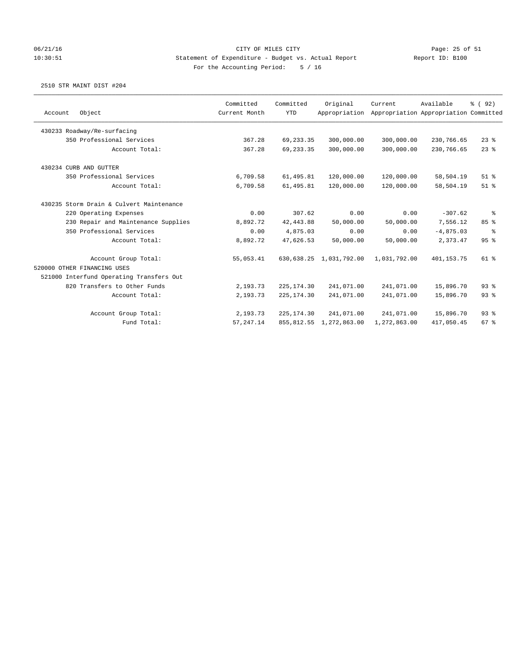### 06/21/16 Page: 25 of 51 10:30:51 Statement of Expenditure - Budget vs. Actual Report Report ID: B100 For the Accounting Period: 5 / 16

|                                          | Committed     | Committed   | Original                | Current      | Available                             | % (92) |
|------------------------------------------|---------------|-------------|-------------------------|--------------|---------------------------------------|--------|
| Object<br>Account                        | Current Month | <b>YTD</b>  | Appropriation           |              | Appropriation Appropriation Committed |        |
| 430233 Roadway/Re-surfacing              |               |             |                         |              |                                       |        |
| 350 Professional Services                | 367.28        | 69, 233.35  | 300,000.00              | 300,000.00   | 230,766.65                            | $23$ % |
| Account Total:                           | 367.28        | 69, 233.35  | 300,000.00              | 300,000.00   | 230,766.65                            | 23%    |
| 430234 CURB AND GUTTER                   |               |             |                         |              |                                       |        |
| 350 Professional Services                | 6,709.58      | 61,495.81   | 120,000.00              | 120,000.00   | 58,504.19                             | $51$ % |
| Account Total:                           | 6,709.58      | 61,495.81   | 120,000.00              | 120,000.00   | 58,504.19                             | $51$ % |
| 430235 Storm Drain & Culvert Maintenance |               |             |                         |              |                                       |        |
| 220 Operating Expenses                   | 0.00          | 307.62      | 0.00                    | 0.00         | $-307.62$                             | နွ     |
| 230 Repair and Maintenance Supplies      | 8,892.72      | 42, 443.88  | 50,000.00               | 50,000.00    | 7,556.12                              | 85%    |
| 350 Professional Services                | 0.00          | 4,875.03    | 0.00                    | 0.00         | $-4,875.03$                           | ి      |
| Account Total:                           | 8,892.72      | 47,626.53   | 50,000.00               | 50,000.00    | 2,373.47                              | 95%    |
| Account Group Total:                     | 55,053.41     |             | 630,638.25 1,031,792.00 | 1,031,792.00 | 401,153.75                            | 61 %   |
| 520000 OTHER FINANCING USES              |               |             |                         |              |                                       |        |
| 521000 Interfund Operating Transfers Out |               |             |                         |              |                                       |        |
| 820 Transfers to Other Funds             | 2,193.73      | 225, 174.30 | 241,071.00              | 241,071.00   | 15,896.70                             | 93%    |
| Account Total:                           | 2,193.73      | 225, 174.30 | 241,071.00              | 241,071.00   | 15,896.70                             | 93%    |
| Account Group Total:                     | 2,193.73      | 225, 174.30 | 241,071.00              | 241,071.00   | 15,896.70                             | 93%    |
| Fund Total:                              | 57, 247.14    | 855, 812.55 | 1,272,863.00            | 1,272,863.00 | 417,050.45                            | 67%    |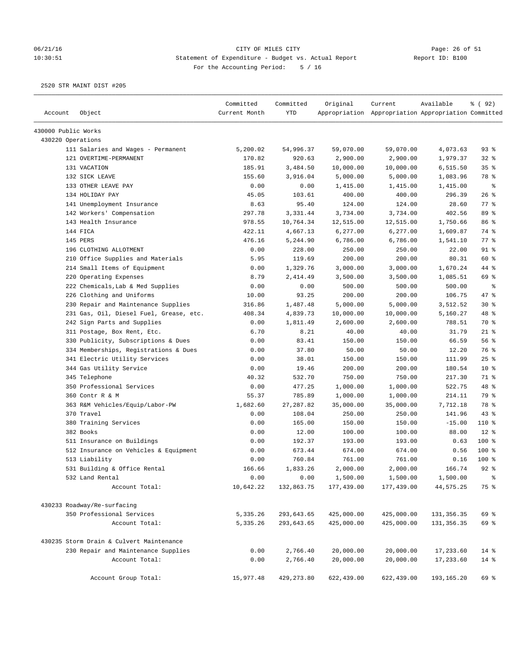# 06/21/16 Page: 26 of 51 10:30:51 Statement of Expenditure - Budget vs. Actual Report Changer Report ID: B100 For the Accounting Period: 5 / 16

|                     |                                          | Committed     | Committed   | Original   | Current                                             | Available    | % (92)         |
|---------------------|------------------------------------------|---------------|-------------|------------|-----------------------------------------------------|--------------|----------------|
| Account             | Object                                   | Current Month | <b>YTD</b>  |            | Appropriation Appropriation Appropriation Committed |              |                |
| 430000 Public Works |                                          |               |             |            |                                                     |              |                |
| 430220 Operations   |                                          |               |             |            |                                                     |              |                |
|                     | 111 Salaries and Wages - Permanent       | 5,200.02      | 54,996.37   | 59,070.00  | 59,070.00                                           | 4,073.63     | 93%            |
|                     | 121 OVERTIME-PERMANENT                   | 170.82        | 920.63      | 2,900.00   | 2,900.00                                            | 1,979.37     | 32%            |
|                     | 131 VACATION                             | 185.91        | 3,484.50    | 10,000.00  | 10,000.00                                           | 6,515.50     | 35%            |
|                     | 132 SICK LEAVE                           | 155.60        | 3,916.04    | 5,000.00   | 5,000.00                                            | 1,083.96     | 78 %           |
|                     | 133 OTHER LEAVE PAY                      | 0.00          | 0.00        | 1,415.00   | 1,415.00                                            | 1,415.00     | ್ಠಿ            |
|                     | 134 HOLIDAY PAY                          | 45.05         | 103.61      | 400.00     | 400.00                                              | 296.39       | 26%            |
|                     | 141 Unemployment Insurance               | 8.63          | 95.40       | 124.00     | 124.00                                              | 28.60        | 77 %           |
|                     | 142 Workers' Compensation                | 297.78        | 3,331.44    | 3,734.00   | 3,734.00                                            | 402.56       | 89 %           |
|                     | 143 Health Insurance                     | 978.55        | 10,764.34   | 12,515.00  | 12,515.00                                           | 1,750.66     | 86%            |
|                     | 144 FICA                                 | 422.11        | 4,667.13    | 6,277.00   | 6,277.00                                            | 1,609.87     | 74 %           |
|                     | 145 PERS                                 | 476.16        | 5,244.90    | 6,786.00   | 6,786.00                                            | 1,541.10     | 77 %           |
|                     | 196 CLOTHING ALLOTMENT                   | 0.00          | 228.00      | 250.00     | 250.00                                              | 22.00        | $91$ %         |
|                     | 210 Office Supplies and Materials        | 5.95          | 119.69      | 200.00     | 200.00                                              | 80.31        | 60 %           |
|                     | 214 Small Items of Equipment             | 0.00          | 1,329.76    | 3,000.00   | 3,000.00                                            | 1,670.24     | 44 %           |
|                     | 220 Operating Expenses                   | 8.79          | 2,414.49    | 3,500.00   | 3,500.00                                            | 1,085.51     | 69 %           |
|                     | 222 Chemicals, Lab & Med Supplies        | 0.00          | 0.00        | 500.00     | 500.00                                              | 500.00       | နွ             |
|                     | 226 Clothing and Uniforms                | 10.00         | 93.25       | 200.00     | 200.00                                              | 106.75       | 47 %           |
|                     | 230 Repair and Maintenance Supplies      | 316.86        | 1,487.48    | 5,000.00   | 5,000.00                                            | 3,512.52     | $30*$          |
|                     | 231 Gas, Oil, Diesel Fuel, Grease, etc.  | 408.34        | 4,839.73    | 10,000.00  | 10,000.00                                           | 5,160.27     | 48 %           |
|                     | 242 Sign Parts and Supplies              | 0.00          | 1,811.49    | 2,600.00   | 2,600.00                                            | 788.51       | 70 %           |
|                     | 311 Postage, Box Rent, Etc.              | 6.70          | 8.21        | 40.00      | 40.00                                               | 31.79        | $21$ %         |
|                     | 330 Publicity, Subscriptions & Dues      | 0.00          | 83.41       | 150.00     | 150.00                                              | 66.59        | 56 %           |
|                     | 334 Memberships, Registrations & Dues    | 0.00          | 37.80       | 50.00      | 50.00                                               | 12.20        | 76 %           |
|                     | 341 Electric Utility Services            | 0.00          | 38.01       | 150.00     | 150.00                                              | 111.99       | 25%            |
|                     | 344 Gas Utility Service                  | 0.00          | 19.46       | 200.00     | 200.00                                              | 180.54       | $10*$          |
|                     | 345 Telephone                            | 40.32         | 532.70      | 750.00     | 750.00                                              | 217.30       | 71 %           |
|                     | 350 Professional Services                | 0.00          | 477.25      | 1,000.00   | 1,000.00                                            | 522.75       | 48 %           |
|                     | 360 Contr R & M                          | 55.37         | 785.89      | 1,000.00   | 1,000.00                                            | 214.11       | 79 %           |
|                     | 363 R&M Vehicles/Equip/Labor-PW          | 1,682.60      | 27, 287.82  | 35,000.00  | 35,000.00                                           | 7,712.18     | 78 %           |
|                     | 370 Travel                               | 0.00          | 108.04      | 250.00     | 250.00                                              | 141.96       | 43%            |
|                     | 380 Training Services                    | 0.00          | 165.00      | 150.00     | 150.00                                              | $-15.00$     | 110 %          |
|                     | 382 Books                                | 0.00          | 12.00       | 100.00     | 100.00                                              | 88.00        | $12*$          |
|                     | 511 Insurance on Buildings               | 0.00          | 192.37      | 193.00     | 193.00                                              | 0.63         | 100 %          |
|                     | 512 Insurance on Vehicles & Equipment    | 0.00          | 673.44      | 674.00     | 674.00                                              | 0.56         | 100 %          |
|                     | 513 Liability                            | 0.00          | 760.84      | 761.00     | 761.00                                              | 0.16         | $100$ %        |
|                     | 531 Building & Office Rental             | 166.66        | 1,833.26    | 2,000.00   | 2,000.00                                            | 166.74       | $92$ $%$       |
|                     | 532 Land Rental                          | 0.00          | 0.00        | 1,500.00   | 1,500.00                                            | 1,500.00     | $\,$ $\,$ $\,$ |
|                     | Account Total:                           | 10,642.22     | 132,863.75  | 177,439.00 | 177,439.00                                          | 44,575.25    | 75 %           |
|                     | 430233 Roadway/Re-surfacing              |               |             |            |                                                     |              |                |
|                     | 350 Professional Services                | 5,335.26      | 293,643.65  | 425,000.00 | 425,000.00                                          | 131, 356.35  | 69 %           |
|                     | Account Total:                           | 5,335.26      | 293,643.65  | 425,000.00 | 425,000.00                                          | 131,356.35   | 69 %           |
|                     | 430235 Storm Drain & Culvert Maintenance |               |             |            |                                                     |              |                |
|                     | 230 Repair and Maintenance Supplies      | 0.00          | 2,766.40    | 20,000.00  | 20,000.00                                           | 17,233.60    | $14*$          |
|                     | Account Total:                           | 0.00          | 2,766.40    | 20,000.00  | 20,000.00                                           | 17,233.60    | $14*$          |
|                     |                                          |               |             |            |                                                     |              |                |
|                     | Account Group Total:                     | 15,977.48     | 429, 273.80 | 622,439.00 | 622,439.00                                          | 193, 165. 20 | 69 %           |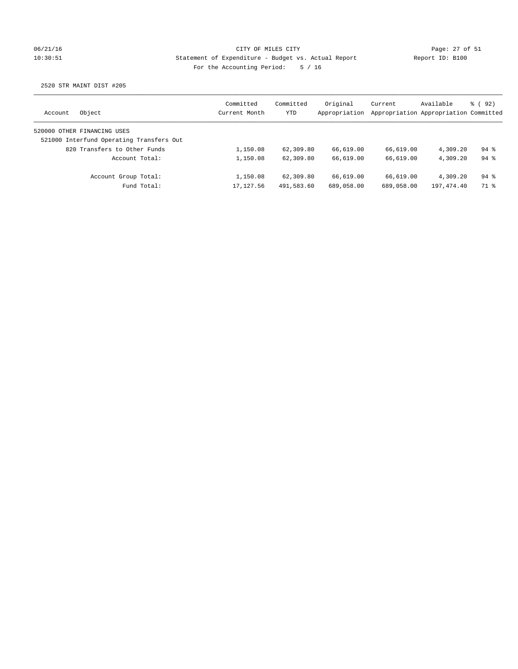## 06/21/16 Page: 27 of 51 10:30:51 Statement of Expenditure - Budget vs. Actual Report Report ID: B100 For the Accounting Period: 5 / 16

| Account | Object                                   | Committed<br>Current Month | Committed<br>YTD | Original<br>Appropriation | Current    | Available<br>Appropriation Appropriation Committed | 8 (92)             |
|---------|------------------------------------------|----------------------------|------------------|---------------------------|------------|----------------------------------------------------|--------------------|
|         | 520000 OTHER FINANCING USES              |                            |                  |                           |            |                                                    |                    |
|         | 521000 Interfund Operating Transfers Out |                            |                  |                           |            |                                                    |                    |
|         | 820 Transfers to Other Funds             | 1,150.08                   | 62,309.80        | 66,619.00                 | 66,619.00  | 4,309.20                                           | $94$ $%$           |
|         | Account Total:                           | 1,150.08                   | 62,309.80        | 66,619.00                 | 66,619.00  | 4,309.20                                           | $94$ $%$           |
|         | Account Group Total:                     | 1,150.08                   | 62,309.80        | 66,619.00                 | 66,619.00  | 4,309.20                                           | $94$ $\frac{6}{3}$ |
|         | Fund Total:                              | 17, 127.56                 | 491,583.60       | 689,058.00                | 689,058.00 | 197,474.40                                         | 71 %               |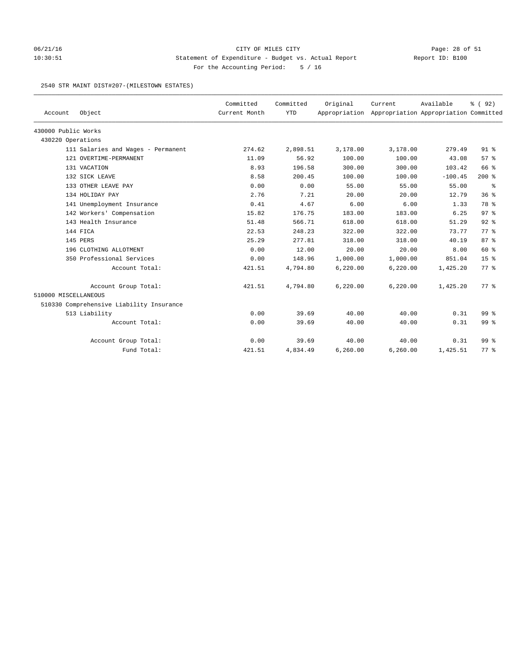## 06/21/16 Page: 28 of 51 10:30:51 Statement of Expenditure - Budget vs. Actual Report Report ID: B100 For the Accounting Period: 5 / 16

#### 2540 STR MAINT DIST#207-(MILESTOWN ESTATES)

|                      |                                          | Committed     | Committed  | Original | Current                                             | Available | % (92)          |
|----------------------|------------------------------------------|---------------|------------|----------|-----------------------------------------------------|-----------|-----------------|
| Account              | Object                                   | Current Month | <b>YTD</b> |          | Appropriation Appropriation Appropriation Committed |           |                 |
| 430000 Public Works  |                                          |               |            |          |                                                     |           |                 |
| 430220 Operations    |                                          |               |            |          |                                                     |           |                 |
|                      | 111 Salaries and Wages - Permanent       | 274.62        | 2,898.51   | 3,178.00 | 3,178.00                                            | 279.49    | $91$ $%$        |
|                      | 121 OVERTIME-PERMANENT                   | 11.09         | 56.92      | 100.00   | 100.00                                              | 43.08     | 57%             |
|                      | 131 VACATION                             | 8.93          | 196.58     | 300.00   | 300.00                                              | 103.42    | 66 %            |
|                      | 132 SICK LEAVE                           | 8.58          | 200.45     | 100.00   | 100.00                                              | $-100.45$ | $200$ %         |
|                      | 133 OTHER LEAVE PAY                      | 0.00          | 0.00       | 55.00    | 55.00                                               | 55.00     | နွ              |
|                      | 134 HOLIDAY PAY                          | 2.76          | 7.21       | 20.00    | 20.00                                               | 12.79     | 36%             |
|                      | 141 Unemployment Insurance               | 0.41          | 4.67       | 6.00     | 6.00                                                | 1.33      | 78 %            |
|                      | 142 Workers' Compensation                | 15.82         | 176.75     | 183.00   | 183.00                                              | 6.25      | 97 <sup>8</sup> |
|                      | 143 Health Insurance                     | 51.48         | 566.71     | 618.00   | 618.00                                              | 51.29     | $92$ $%$        |
|                      | 144 FICA                                 | 22.53         | 248.23     | 322.00   | 322.00                                              | 73.77     | 77.8            |
|                      | 145 PERS                                 | 25.29         | 277.81     | 318.00   | 318.00                                              | 40.19     | 87%             |
|                      | 196 CLOTHING ALLOTMENT                   | 0.00          | 12.00      | 20.00    | 20.00                                               | 8.00      | 60 %            |
|                      | 350 Professional Services                | 0.00          | 148.96     | 1,000.00 | 1,000.00                                            | 851.04    | 15 <sup>°</sup> |
|                      | Account Total:                           | 421.51        | 4,794.80   | 6,220.00 | 6, 220.00                                           | 1,425.20  | 77 %            |
|                      | Account Group Total:                     | 421.51        | 4,794.80   | 6,220.00 | 6, 220.00                                           | 1,425.20  | 77 %            |
| 510000 MISCELLANEOUS |                                          |               |            |          |                                                     |           |                 |
|                      | 510330 Comprehensive Liability Insurance |               |            |          |                                                     |           |                 |
|                      | 513 Liability                            | 0.00          | 39.69      | 40.00    | 40.00                                               | 0.31      | 99 %            |
|                      | Account Total:                           | 0.00          | 39.69      | 40.00    | 40.00                                               | 0.31      | 99 %            |
|                      | Account Group Total:                     | 0.00          | 39.69      | 40.00    | 40.00                                               | 0.31      | 99 <sup>8</sup> |
|                      | Fund Total:                              | 421.51        | 4,834.49   | 6,260.00 | 6,260.00                                            | 1,425.51  | 77.8            |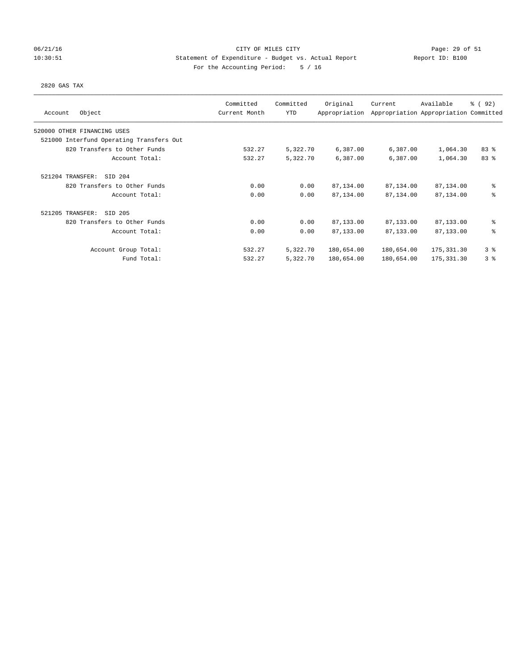### 06/21/16 CITY OF MILES CITY Page: 29 of 51 10:30:51 Statement of Expenditure - Budget vs. Actual Report Report ID: B100 For the Accounting Period: 5 / 16

#### 2820 GAS TAX

| Object<br>Account                        | Committed<br>Current Month | Committed<br><b>YTD</b> | Original<br>Appropriation | Current    | Available<br>Appropriation Appropriation Committed | % (92) |
|------------------------------------------|----------------------------|-------------------------|---------------------------|------------|----------------------------------------------------|--------|
| 520000 OTHER FINANCING USES              |                            |                         |                           |            |                                                    |        |
| 521000 Interfund Operating Transfers Out |                            |                         |                           |            |                                                    |        |
| 820 Transfers to Other Funds             | 532.27                     | 5,322.70                | 6,387.00                  | 6,387.00   | 1,064.30                                           | 83%    |
| Account Total:                           | 532.27                     | 5,322.70                | 6,387.00                  | 6,387.00   | 1,064.30                                           | 83 %   |
| 521204 TRANSFER:<br>SID 204              |                            |                         |                           |            |                                                    |        |
| 820 Transfers to Other Funds             | 0.00                       | 0.00                    | 87,134.00                 | 87,134.00  | 87,134.00                                          | နွ     |
| Account Total:                           | 0.00                       | 0.00                    | 87,134.00                 | 87,134.00  | 87,134.00                                          | ి      |
| 521205 TRANSFER:<br>SID 205              |                            |                         |                           |            |                                                    |        |
| 820 Transfers to Other Funds             | 0.00                       | 0.00                    | 87,133.00                 | 87,133.00  | 87,133.00                                          | ి      |
| Account Total:                           | 0.00                       | 0.00                    | 87,133.00                 | 87,133.00  | 87,133.00                                          | る      |
| Account Group Total:                     | 532.27                     | 5,322.70                | 180,654.00                | 180,654.00 | 175,331.30                                         | 38     |
| Fund Total:                              | 532.27                     | 5,322.70                | 180,654.00                | 180,654.00 | 175, 331.30                                        | 3%     |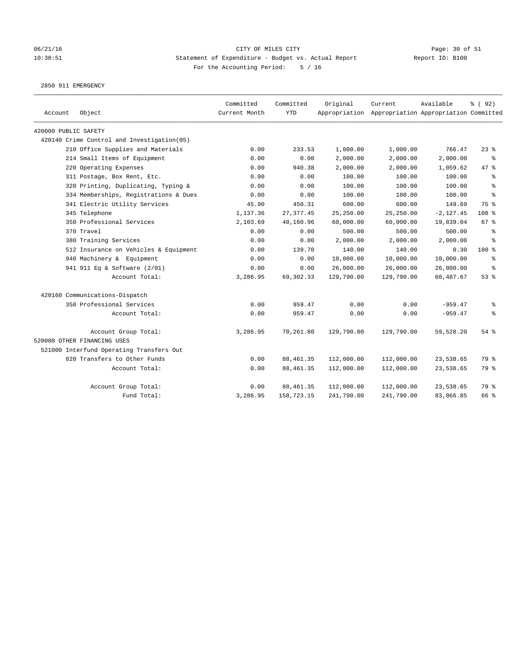### 06/21/16 CITY OF MILES CITY Page: 30 of 51 10:30:51 Statement of Expenditure - Budget vs. Actual Report Report ID: B100 For the Accounting Period: 5 / 16

2850 911 EMERGENCY

| Account              | Object                                     | Committed<br>Current Month | Committed<br><b>YTD</b> | Original   | Current<br>Appropriation Appropriation Appropriation Committed | Available    | % (92)    |
|----------------------|--------------------------------------------|----------------------------|-------------------------|------------|----------------------------------------------------------------|--------------|-----------|
| 420000 PUBLIC SAFETY |                                            |                            |                         |            |                                                                |              |           |
|                      | 420140 Crime Control and Investigation(05) |                            |                         |            |                                                                |              |           |
|                      | 210 Office Supplies and Materials          | 0.00                       | 233.53                  | 1,000.00   | 1,000.00                                                       | 766.47       | 23%       |
|                      | 214 Small Items of Equipment               | 0.00                       | 0.00                    | 2,000.00   | 2,000.00                                                       | 2,000.00     | နွ        |
|                      | 220 Operating Expenses                     | 0.00                       | 940.38                  | 2,000.00   | 2,000.00                                                       | 1,059.62     | 47 %      |
|                      | 311 Postage, Box Rent, Etc.                | 0.00                       | 0.00                    | 100.00     | 100.00                                                         | 100.00       | $\approx$ |
|                      | 320 Printing, Duplicating, Typing &        | 0.00                       | 0.00                    | 100.00     | 100.00                                                         | 100.00       | နွ        |
|                      | 334 Memberships, Registrations & Dues      | 0.00                       | 0.00                    | 100.00     | 100.00                                                         | 100.00       | နွ        |
|                      | 341 Electric Utility Services              | 45.90                      | 450.31                  | 600.00     | 600.00                                                         | 149.69       | 75 %      |
|                      | 345 Telephone                              | 1,137.36                   | 27, 377.45              | 25,250.00  | 25,250.00                                                      | $-2, 127.45$ | 108 %     |
|                      | 350 Professional Services                  | 2,103.69                   | 40,160.96               | 60,000.00  | 60,000.00                                                      | 19,839.04    | 67 %      |
|                      | 370 Travel                                 | 0.00                       | 0.00                    | 500.00     | 500.00                                                         | 500.00       | နွ        |
|                      | 380 Training Services                      | 0.00                       | 0.00                    | 2,000.00   | 2,000.00                                                       | 2,000.00     | $\approx$ |
|                      | 512 Insurance on Vehicles & Equipment      | 0.00                       | 139.70                  | 140.00     | 140.00                                                         | 0.30         | 100 %     |
|                      | 940 Machinery & Equipment                  | 0.00                       | 0.00                    | 10,000.00  | 10,000.00                                                      | 10,000.00    | နွ        |
|                      | 941 911 Eq & Software (2/01)               | 0.00                       | 0.00                    | 26,000.00  | 26,000.00                                                      | 26,000.00    | ి         |
|                      | Account Total:                             | 3,286.95                   | 69, 302. 33             | 129,790.00 | 129,790.00                                                     | 60,487.67    | 53%       |
|                      | 420160 Communications-Dispatch             |                            |                         |            |                                                                |              |           |
|                      | 350 Professional Services                  | 0.00                       | 959.47                  | 0.00       | 0.00                                                           | $-959.47$    | နွ        |
|                      | Account Total:                             | 0.00                       | 959.47                  | 0.00       | 0.00                                                           | $-959.47$    | နွ        |
|                      | Account Group Total:                       | 3,286.95                   | 70,261.80               | 129,790.00 | 129,790.00                                                     | 59,528.20    | $54$ $%$  |
|                      | 520000 OTHER FINANCING USES                |                            |                         |            |                                                                |              |           |
|                      | 521000 Interfund Operating Transfers Out   |                            |                         |            |                                                                |              |           |
|                      | 820 Transfers to Other Funds               | 0.00                       | 88, 461.35              | 112,000.00 | 112,000.00                                                     | 23,538.65    | 79 %      |
|                      | Account Total:                             | 0.00                       | 88, 461.35              | 112,000.00 | 112,000.00                                                     | 23,538.65    | 79 %      |
|                      | Account Group Total:                       | 0.00                       | 88, 461.35              | 112,000.00 | 112,000.00                                                     | 23,538.65    | 79 %      |
|                      | Fund Total:                                | 3,286.95                   | 158,723.15              | 241,790.00 | 241,790.00                                                     | 83,066.85    | 66 %      |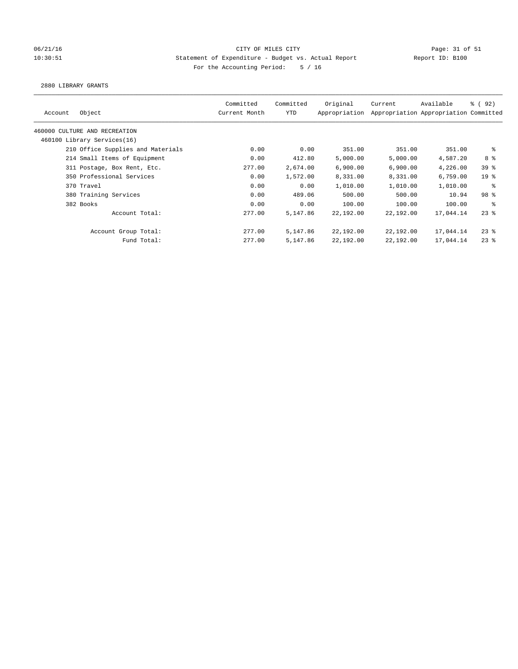### 06/21/16 Page: 31 of 51 Page: 31 of 51 10:30:51 Statement of Expenditure - Budget vs. Actual Report Report ID: B100 For the Accounting Period: 5 / 16

#### 2880 LIBRARY GRANTS

| Object<br>Account                 | Committed<br>Current Month | Committed<br><b>YTD</b> | Original<br>Appropriation | Current   | Available<br>Appropriation Appropriation Committed | <sub>ර</sub> ි (92) |
|-----------------------------------|----------------------------|-------------------------|---------------------------|-----------|----------------------------------------------------|---------------------|
| 460000 CULTURE AND RECREATION     |                            |                         |                           |           |                                                    |                     |
| 460100 Library Services(16)       |                            |                         |                           |           |                                                    |                     |
| 210 Office Supplies and Materials | 0.00                       | 0.00                    | 351.00                    | 351.00    | 351.00                                             | ႜ                   |
| 214 Small Items of Equipment      | 0.00                       | 412.80                  | 5,000.00                  | 5,000.00  | 4,587.20                                           | 8 %                 |
| 311 Postage, Box Rent, Etc.       | 277.00                     | 2,674.00                | 6,900.00                  | 6,900.00  | 4,226.00                                           | 39 <sup>8</sup>     |
| 350 Professional Services         | 0.00                       | 1,572.00                | 8,331.00                  | 8,331.00  | 6,759.00                                           | 19 <sup>°</sup>     |
| 370 Travel                        | 0.00                       | 0.00                    | 1,010.00                  | 1,010.00  | 1,010.00                                           | နွ                  |
| 380 Training Services             | 0.00                       | 489.06                  | 500.00                    | 500.00    | 10.94                                              | 98 <sup>8</sup>     |
| 382 Books                         | 0.00                       | 0.00                    | 100.00                    | 100.00    | 100.00                                             | ႜ                   |
| Account Total:                    | 277.00                     | 5,147.86                | 22,192.00                 | 22,192.00 | 17,044.14                                          | $23$ %              |
| Account Group Total:              | 277.00                     | 5,147.86                | 22,192.00                 | 22,192.00 | 17,044.14                                          | $23$ %              |
| Fund Total:                       | 277.00                     | 5,147.86                | 22,192.00                 | 22,192.00 | 17,044.14                                          | $23$ %              |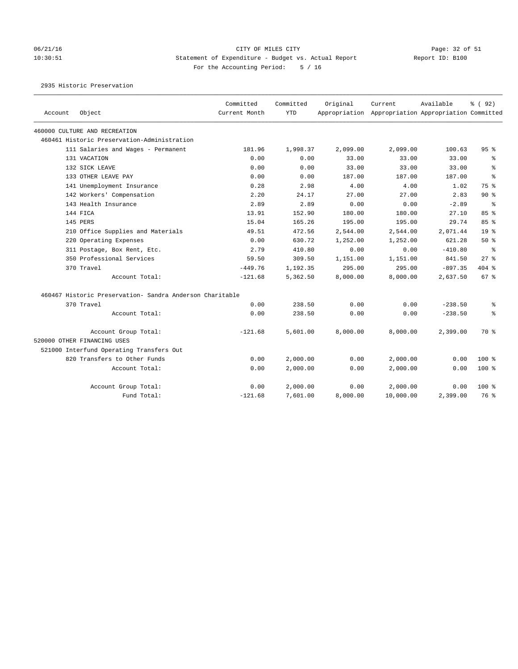### 06/21/16 Page: 32 of 51 Page: 32 of 51 10:30:51 Statement of Expenditure - Budget vs. Actual Report Report ID: B100 For the Accounting Period: 5 / 16

2935 Historic Preservation

| Account | Object                                                   | Committed<br>Current Month | Committed<br><b>YTD</b> | Original | Current<br>Appropriation Appropriation Appropriation Committed | Available | % (92)          |
|---------|----------------------------------------------------------|----------------------------|-------------------------|----------|----------------------------------------------------------------|-----------|-----------------|
|         | 460000 CULTURE AND RECREATION                            |                            |                         |          |                                                                |           |                 |
|         | 460461 Historic Preservation-Administration              |                            |                         |          |                                                                |           |                 |
|         | 111 Salaries and Wages - Permanent                       | 181.96                     | 1,998.37                | 2,099.00 | 2,099.00                                                       | 100.63    | 95%             |
|         | 131 VACATION                                             | 0.00                       | 0.00                    | 33.00    | 33.00                                                          | 33.00     | နွ              |
|         | 132 SICK LEAVE                                           | 0.00                       | 0.00                    | 33.00    | 33.00                                                          | 33.00     | $\approx$       |
|         | 133 OTHER LEAVE PAY                                      | 0.00                       | 0.00                    | 187.00   | 187.00                                                         | 187.00    | $\approx$       |
|         | 141 Unemployment Insurance                               | 0.28                       | 2.98                    | 4.00     | 4.00                                                           | 1.02      | 75 %            |
|         | 142 Workers' Compensation                                | 2.20                       | 24.17                   | 27.00    | 27.00                                                          | 2.83      | 90%             |
|         | 143 Health Insurance                                     | 2.89                       | 2.89                    | 0.00     | 0.00                                                           | $-2.89$   | 昙               |
|         | 144 FTCA                                                 | 13.91                      | 152.90                  | 180.00   | 180.00                                                         | 27.10     | 85%             |
|         | 145 PERS                                                 | 15.04                      | 165.26                  | 195.00   | 195.00                                                         | 29.74     | 85%             |
|         | 210 Office Supplies and Materials                        | 49.51                      | 472.56                  | 2,544.00 | 2,544.00                                                       | 2,071.44  | 19 <sup>8</sup> |
|         | 220 Operating Expenses                                   | 0.00                       | 630.72                  | 1,252.00 | 1,252.00                                                       | 621.28    | 50%             |
|         | 311 Postage, Box Rent, Etc.                              | 2.79                       | 410.80                  | 0.00     | 0.00                                                           | $-410.80$ | ి               |
|         | 350 Professional Services                                | 59.50                      | 309.50                  | 1,151.00 | 1,151.00                                                       | 841.50    | 27%             |
|         | 370 Travel                                               | $-449.76$                  | 1,192.35                | 295.00   | 295.00                                                         | $-897.35$ | 404 %           |
|         | Account Total:                                           | $-121.68$                  | 5,362.50                | 8,000.00 | 8,000.00                                                       | 2,637.50  | 67 %            |
|         | 460467 Historic Preservation- Sandra Anderson Charitable |                            |                         |          |                                                                |           |                 |
|         | 370 Travel                                               | 0.00                       | 238.50                  | 0.00     | 0.00                                                           | $-238.50$ | နွ              |
|         | Account Total:                                           | 0.00                       | 238.50                  | 0.00     | 0.00                                                           | $-238.50$ | る               |
|         | Account Group Total:                                     | $-121.68$                  | 5,601.00                | 8,000.00 | 8,000.00                                                       | 2,399.00  | 70 %            |
|         | 520000 OTHER FINANCING USES                              |                            |                         |          |                                                                |           |                 |
|         | 521000 Interfund Operating Transfers Out                 |                            |                         |          |                                                                |           |                 |
|         | 820 Transfers to Other Funds                             | 0.00                       | 2,000.00                | 0.00     | 2,000.00                                                       | 0.00      | $100*$          |
|         | Account Total:                                           | 0.00                       | 2,000.00                | 0.00     | 2,000.00                                                       | 0.00      | $100*$          |
|         | Account Group Total:                                     | 0.00                       | 2,000.00                | 0.00     | 2,000.00                                                       | 0.00      | 100%            |
|         | Fund Total:                                              | $-121.68$                  | 7,601.00                | 8,000.00 | 10,000.00                                                      | 2,399.00  | 76 %            |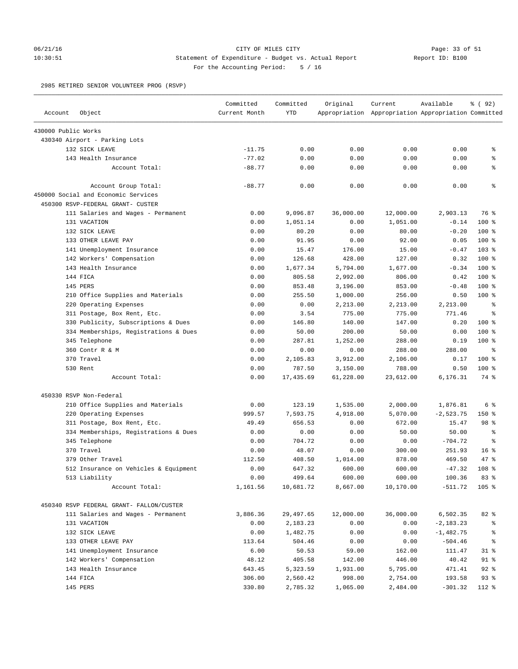### 06/21/16 Page: 33 of 51 10:30:51 Statement of Expenditure - Budget vs. Actual Report Report ID: B100 For the Accounting Period: 5 / 16

2985 RETIRED SENIOR VOLUNTEER PROG (RSVP)

| Account             | Object                                   | Committed<br>Current Month | Committed<br><b>YTD</b> | Original  | Current<br>Appropriation Appropriation Appropriation Committed | Available    | % (92)           |
|---------------------|------------------------------------------|----------------------------|-------------------------|-----------|----------------------------------------------------------------|--------------|------------------|
| 430000 Public Works |                                          |                            |                         |           |                                                                |              |                  |
|                     | 430340 Airport - Parking Lots            |                            |                         |           |                                                                |              |                  |
|                     | 132 SICK LEAVE                           | $-11.75$                   | 0.00                    | 0.00      | 0.00                                                           | 0.00         | နွ               |
|                     | 143 Health Insurance                     | $-77.02$                   | 0.00                    | 0.00      | 0.00                                                           | 0.00         | ٥p               |
|                     | Account Total:                           | $-88.77$                   | 0.00                    | 0.00      | 0.00                                                           | 0.00         | နွ               |
|                     | Account Group Total:                     | $-88.77$                   | 0.00                    | 0.00      | 0.00                                                           | 0.00         | $\epsilon$       |
|                     | 450000 Social and Economic Services      |                            |                         |           |                                                                |              |                  |
|                     | 450300 RSVP-FEDERAL GRANT- CUSTER        |                            |                         |           |                                                                |              |                  |
|                     | 111 Salaries and Wages - Permanent       | 0.00                       | 9,096.87                | 36,000.00 | 12,000.00                                                      | 2,903.13     | 76 %             |
|                     | 131 VACATION                             | 0.00                       | 1,051.14                | 0.00      | 1,051.00                                                       | $-0.14$      | 100 %            |
|                     | 132 SICK LEAVE                           | 0.00                       | 80.20                   | 0.00      | 80.00                                                          | $-0.20$      | $100$ %          |
|                     | 133 OTHER LEAVE PAY                      | 0.00                       | 91.95                   | 0.00      | 92.00                                                          | 0.05         | $100$ %          |
|                     | 141 Unemployment Insurance               | 0.00                       | 15.47                   | 176.00    | 15.00                                                          | $-0.47$      | 103 %            |
|                     | 142 Workers' Compensation                | 0.00                       | 126.68                  | 428.00    | 127.00                                                         | 0.32         | $100$ %          |
|                     | 143 Health Insurance                     | 0.00                       | 1,677.34                | 5,794.00  | 1,677.00                                                       | $-0.34$      | 100 %            |
|                     | 144 FICA                                 | 0.00                       | 805.58                  | 2,992.00  | 806.00                                                         | 0.42         | $100*$           |
|                     | 145 PERS                                 | 0.00                       | 853.48                  | 3,196.00  | 853.00                                                         | $-0.48$      | $100$ %          |
|                     | 210 Office Supplies and Materials        | 0.00                       | 255.50                  | 1,000.00  | 256.00                                                         | 0.50         | $100*$           |
|                     | 220 Operating Expenses                   | 0.00                       | 0.00                    | 2,213.00  | 2,213.00                                                       | 2,213.00     | $\epsilon$       |
|                     | 311 Postage, Box Rent, Etc.              | 0.00                       | 3.54                    | 775.00    | 775.00                                                         | 771.46       | နွ               |
|                     | 330 Publicity, Subscriptions & Dues      | 0.00                       | 146.80                  | 140.00    | 147.00                                                         | 0.20         | $100$ %          |
|                     | 334 Memberships, Registrations & Dues    | 0.00                       | 50.00                   | 200.00    | 50.00                                                          | 0.00         | $100$ %          |
|                     | 345 Telephone                            | 0.00                       | 287.81                  | 1,252.00  | 288.00                                                         | 0.19         | $100$ %          |
|                     | 360 Contr R & M                          | 0.00                       | 0.00                    | 0.00      | 288.00                                                         | 288.00       | နွ               |
|                     | 370 Travel                               | 0.00                       | 2,105.83                | 3,912.00  | 2,106.00                                                       | 0.17         | 100 %            |
|                     | 530 Rent                                 | 0.00                       | 787.50                  | 3,150.00  | 788.00                                                         | 0.50         | $100$ %          |
|                     | Account Total:                           | 0.00                       | 17,435.69               | 61,228.00 | 23,612.00                                                      | 6,176.31     | 74 %             |
|                     | 450330 RSVP Non-Federal                  |                            |                         |           |                                                                |              |                  |
|                     | 210 Office Supplies and Materials        | 0.00                       | 123.19                  | 1,535.00  | 2,000.00                                                       | 1,876.81     | 6 %              |
|                     | 220 Operating Expenses                   | 999.57                     | 7,593.75                | 4,918.00  | 5,070.00                                                       | $-2,523.75$  | 150%             |
|                     | 311 Postage, Box Rent, Etc.              | 49.49                      | 656.53                  | 0.00      | 672.00                                                         | 15.47        | 98 %             |
|                     | 334 Memberships, Registrations & Dues    | 0.00                       | 0.00                    | 0.00      | 50.00                                                          | 50.00        | $\epsilon$       |
|                     | 345 Telephone                            | 0.00                       | 704.72                  | 0.00      | 0.00                                                           | $-704.72$    | နွ               |
|                     | 370 Travel                               | 0.00                       | 48.07                   | 0.00      | 300.00                                                         | 251.93       | 16 <sup>8</sup>  |
|                     | 379 Other Travel                         | 112.50                     | 408.50                  | 1,014.00  | 878.00                                                         | 469.50       | 47.8             |
|                     | 512 Insurance on Vehicles & Equipment    | 0.00                       | 647.32                  | 600.00    | 600.00                                                         | $-47.32$     | 108 <sup>8</sup> |
|                     | 513 Liability                            | 0.00                       | 499.64                  | 600.00    | 600.00                                                         | 100.36       | 83%              |
|                     | Account Total:                           | 1,161.56                   | 10,681.72               | 8,667.00  | 10,170.00                                                      | $-511.72$    | $105$ %          |
|                     | 450340 RSVP FEDERAL GRANT- FALLON/CUSTER |                            |                         |           |                                                                |              |                  |
|                     | 111 Salaries and Wages - Permanent       | 3,886.36                   | 29,497.65               | 12,000.00 | 36,000.00                                                      | 6,502.35     | 82 %             |
|                     | 131 VACATION                             | 0.00                       | 2,183.23                | 0.00      | 0.00                                                           | $-2, 183.23$ | နွ               |
|                     | 132 SICK LEAVE                           | 0.00                       | 1,482.75                | 0.00      | 0.00                                                           | $-1,482.75$  |                  |
|                     | 133 OTHER LEAVE PAY                      | 113.64                     | 504.46                  | 0.00      | 0.00                                                           | $-504.46$    | နွ               |
|                     | 141 Unemployment Insurance               | 6.00                       | 50.53                   | 59.00     | 162.00                                                         | 111.47       | $31$ %           |
|                     | 142 Workers' Compensation                | 48.12                      | 405.58                  | 142.00    | 446.00                                                         | 40.42        | $91$ %           |
|                     | 143 Health Insurance                     | 643.45                     | 5,323.59                | 1,931.00  | 5,795.00                                                       | 471.41       | $92$ %           |
|                     | 144 FICA                                 | 306.00                     | 2,560.42                | 998.00    | 2,754.00                                                       | 193.58       | 93%              |
|                     | 145 PERS                                 | 330.80                     | 2,785.32                | 1,065.00  | 2,484.00                                                       | $-301.32$    | 112 %            |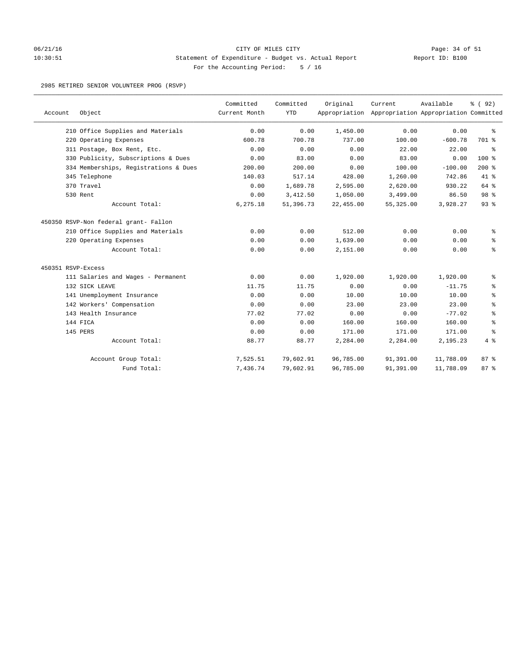### 06/21/16 Page: 34 of 51 10:30:51 Statement of Expenditure - Budget vs. Actual Report Report ID: B100 For the Accounting Period: 5 / 16

#### 2985 RETIRED SENIOR VOLUNTEER PROG (RSVP)

| Account            | Object                                | Committed<br>Current Month | Committed<br><b>YTD</b> | Original  | Current<br>Appropriation Appropriation Appropriation Committed | Available | % (92)  |
|--------------------|---------------------------------------|----------------------------|-------------------------|-----------|----------------------------------------------------------------|-----------|---------|
|                    | 210 Office Supplies and Materials     | 0.00                       | 0.00                    | 1,450.00  | 0.00                                                           | 0.00      | နွ      |
|                    | 220 Operating Expenses                | 600.78                     | 700.78                  | 737.00    | 100.00                                                         | $-600.78$ | 701 %   |
|                    | 311 Postage, Box Rent, Etc.           | 0.00                       | 0.00                    | 0.00      | 22.00                                                          | 22.00     | ి       |
|                    | 330 Publicity, Subscriptions & Dues   | 0.00                       | 83.00                   | 0.00      | 83.00                                                          | 0.00      | $100$ % |
|                    | 334 Memberships, Registrations & Dues | 200.00                     | 200.00                  | 0.00      | 100.00                                                         | $-100.00$ | $200$ % |
|                    | 345 Telephone                         | 140.03                     | 517.14                  | 428.00    | 1,260.00                                                       | 742.86    | 41 %    |
|                    | 370 Travel                            | 0.00                       | 1,689.78                | 2,595.00  | 2,620.00                                                       | 930.22    | 64 %    |
|                    | 530 Rent                              | 0.00                       | 3,412.50                | 1,050.00  | 3,499.00                                                       | 86.50     | 98 %    |
|                    | Account Total:                        | 6,275.18                   | 51,396.73               | 22,455.00 | 55, 325.00                                                     | 3,928.27  | 93%     |
|                    | 450350 RSVP-Non federal grant- Fallon |                            |                         |           |                                                                |           |         |
|                    | 210 Office Supplies and Materials     | 0.00                       | 0.00                    | 512.00    | 0.00                                                           | 0.00      | နွ      |
|                    | 220 Operating Expenses                | 0.00                       | 0.00                    | 1,639.00  | 0.00                                                           | 0.00      | နွ      |
|                    | Account Total:                        | 0.00                       | 0.00                    | 2,151.00  | 0.00                                                           | 0.00      | ి       |
| 450351 RSVP-Excess |                                       |                            |                         |           |                                                                |           |         |
|                    | 111 Salaries and Wages - Permanent    | 0.00                       | 0.00                    | 1,920.00  | 1,920.00                                                       | 1,920.00  | နွ      |
|                    | 132 SICK LEAVE                        | 11.75                      | 11.75                   | 0.00      | 0.00                                                           | $-11.75$  | ್ಠಿ     |
|                    | 141 Unemployment Insurance            | 0.00                       | 0.00                    | 10.00     | 10.00                                                          | 10.00     | ៖       |
|                    | 142 Workers' Compensation             | 0.00                       | 0.00                    | 23.00     | 23.00                                                          | 23.00     | ి       |
|                    | 143 Health Insurance                  | 77.02                      | 77.02                   | 0.00      | 0.00                                                           | $-77.02$  | ್ಠಿ     |
|                    | 144 FICA                              | 0.00                       | 0.00                    | 160.00    | 160.00                                                         | 160.00    | ి       |
|                    | 145 PERS                              | 0.00                       | 0.00                    | 171.00    | 171.00                                                         | 171.00    | နွ      |
|                    | Account Total:                        | 88.77                      | 88.77                   | 2,284.00  | 2,284.00                                                       | 2,195.23  | 4 %     |
|                    | Account Group Total:                  | 7,525.51                   | 79,602.91               | 96,785.00 | 91,391.00                                                      | 11,788.09 | 87%     |
|                    | Fund Total:                           | 7,436.74                   | 79,602.91               | 96,785.00 | 91,391.00                                                      | 11,788.09 | 87%     |
|                    |                                       |                            |                         |           |                                                                |           |         |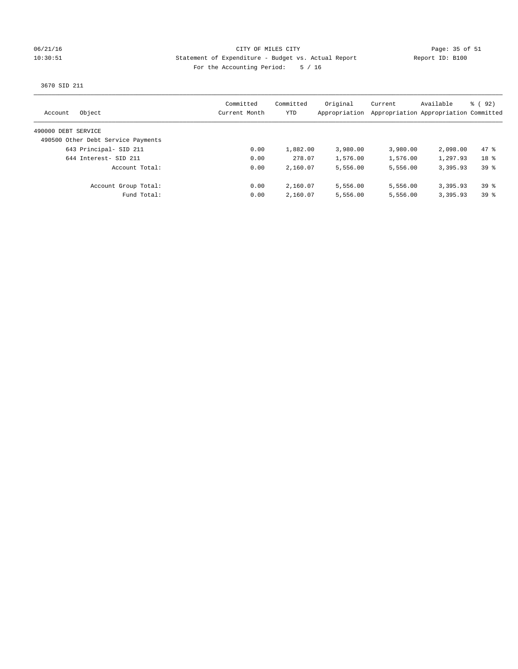### 06/21/16 Page: 35 of 51 10:30:51 Statement of Expenditure - Budget vs. Actual Report Report ID: B100 For the Accounting Period: 5 / 16

3670 SID 211

| Object<br>Account                  | Committed<br>Current Month | Committed<br>YTD | Original<br>Appropriation | Current<br>Appropriation Appropriation Committed | Available | 8 (92)          |
|------------------------------------|----------------------------|------------------|---------------------------|--------------------------------------------------|-----------|-----------------|
| 490000 DEBT SERVICE                |                            |                  |                           |                                                  |           |                 |
| 490500 Other Debt Service Payments |                            |                  |                           |                                                  |           |                 |
| 643 Principal- SID 211             | 0.00                       | 1,882.00         | 3,980.00                  | 3,980.00                                         | 2,098.00  | $47*$           |
| 644 Interest- SID 211              | 0.00                       | 278.07           | 1,576.00                  | 1,576.00                                         | 1,297.93  | 18 <sup>8</sup> |
| Account Total:                     | 0.00                       | 2,160.07         | 5,556.00                  | 5,556.00                                         | 3,395.93  | $39*$           |
| Account Group Total:               | 0.00                       | 2,160.07         | 5,556.00                  | 5,556.00                                         | 3,395.93  | $39*$           |
| Fund Total:                        | 0.00                       | 2,160.07         | 5,556.00                  | 5,556.00                                         | 3,395.93  | $39*$           |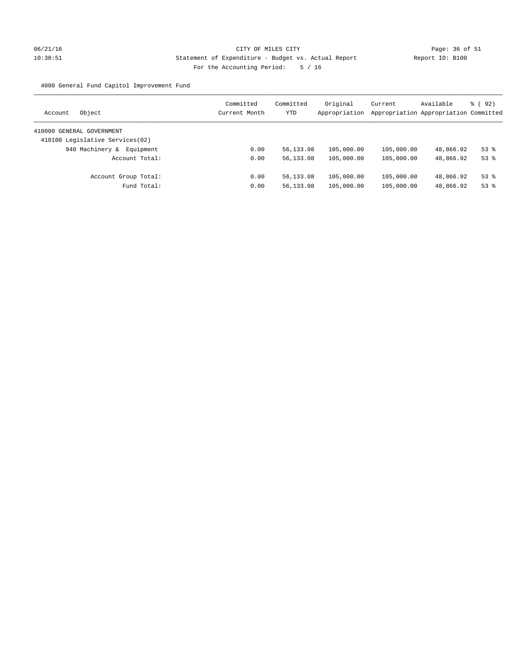# 06/21/16 Page: 36 of 51 10:30:51 Statement of Expenditure - Budget vs. Actual Report Report ID: B100 For the Accounting Period: 5 / 16

4000 General Fund Capitol Improvement Fund

| Object<br>Account               | Committed<br>Current Month | Committed<br>YTD | Original<br>Appropriation | Current    | Available<br>Appropriation Appropriation Committed | $\frac{6}{6}$ (92) |
|---------------------------------|----------------------------|------------------|---------------------------|------------|----------------------------------------------------|--------------------|
| 410000 GENERAL GOVERNMENT       |                            |                  |                           |            |                                                    |                    |
| 410100 Legislative Services(02) |                            |                  |                           |            |                                                    |                    |
| 940 Machinery &<br>Equipment    | 0.00                       | 56,133.08        | 105,000.00                | 105,000.00 | 48,866.92                                          | $53$ $%$           |
| Account Total:                  | 0.00                       | 56,133.08        | 105,000.00                | 105,000.00 | 48,866.92                                          | $53$ $%$           |
| Account Group Total:            | 0.00                       | 56,133.08        | 105,000.00                | 105,000.00 | 48,866.92                                          | $53$ $%$           |
| Fund Total:                     | 0.00                       | 56,133.08        | 105,000.00                | 105,000.00 | 48,866.92                                          | $53$ $%$           |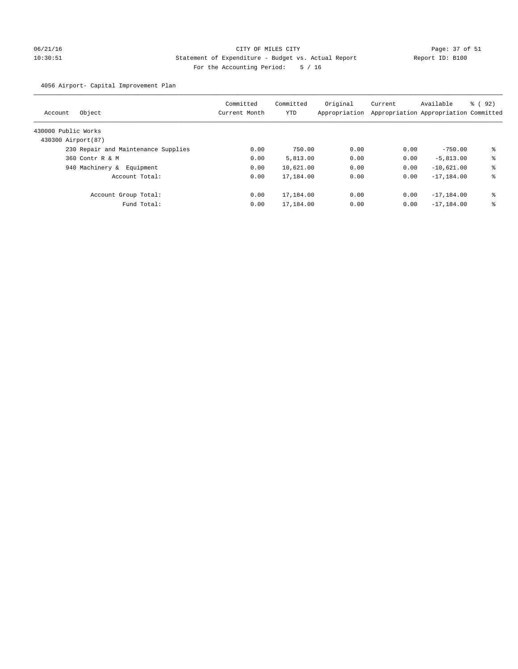# 06/21/16 Page: 37 of 51 10:30:51 Statement of Expenditure - Budget vs. Actual Report Report ID: B100 For the Accounting Period: 5 / 16

## 4056 Airport- Capital Improvement Plan

| Object<br>Account                   | Committed<br>Current Month | Committed<br>YTD | Original<br>Appropriation | Current<br>Appropriation Appropriation Committed | Available      | $\frac{6}{6}$ (92) |
|-------------------------------------|----------------------------|------------------|---------------------------|--------------------------------------------------|----------------|--------------------|
| 430000 Public Works                 |                            |                  |                           |                                                  |                |                    |
| 430300 Airport (87)                 |                            |                  |                           |                                                  |                |                    |
| 230 Repair and Maintenance Supplies | 0.00                       | 750.00           | 0.00                      | 0.00                                             | $-750.00$      | ៖                  |
| 360 Contr R & M                     | 0.00                       | 5,813.00         | 0.00                      | 0.00                                             | $-5.813.00$    | ి                  |
| 940 Machinery &<br>Equipment        | 0.00                       | 10,621.00        | 0.00                      | 0.00                                             | $-10,621.00$   | ి                  |
| Account Total:                      | 0.00                       | 17,184.00        | 0.00                      | 0.00                                             | $-17, 184.00$  | ి                  |
| Account Group Total:                | 0.00                       | 17,184.00        | 0.00                      | 0.00                                             | $-17, 184, 00$ | ៖                  |
| Fund Total:                         | 0.00                       | 17,184.00        | 0.00                      | 0.00                                             | $-17, 184.00$  | နွ                 |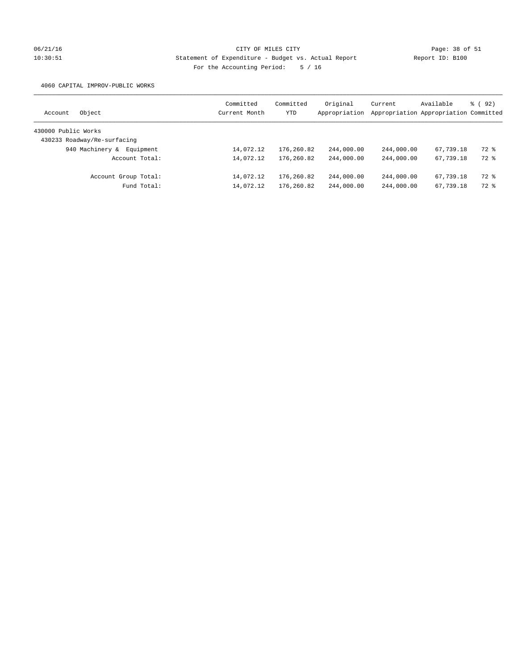# 06/21/16 Page: 38 of 51 10:30:51 Statement of Expenditure - Budget vs. Actual Report Report ID: B100 For the Accounting Period: 5 / 16

4060 CAPITAL IMPROV-PUBLIC WORKS

| Object<br>Account            | Committed<br>Current Month | Committed<br>YTD | Original<br>Appropriation | Current    | Available<br>Appropriation Appropriation Committed | 8 (92) |
|------------------------------|----------------------------|------------------|---------------------------|------------|----------------------------------------------------|--------|
| 430000 Public Works          |                            |                  |                           |            |                                                    |        |
| 430233 Roadway/Re-surfacing  |                            |                  |                           |            |                                                    |        |
| 940 Machinery &<br>Equipment | 14,072.12                  | 176,260.82       | 244,000.00                | 244,000.00 | 67,739.18                                          | 72 %   |
| Account Total:               | 14,072.12                  | 176,260.82       | 244,000.00                | 244,000.00 | 67,739.18                                          | 72 %   |
| Account Group Total:         | 14,072.12                  | 176,260.82       | 244,000.00                | 244,000.00 | 67,739.18                                          | 72 %   |
| Fund Total:                  | 14,072.12                  | 176,260.82       | 244,000.00                | 244,000.00 | 67,739.18                                          | 72 %   |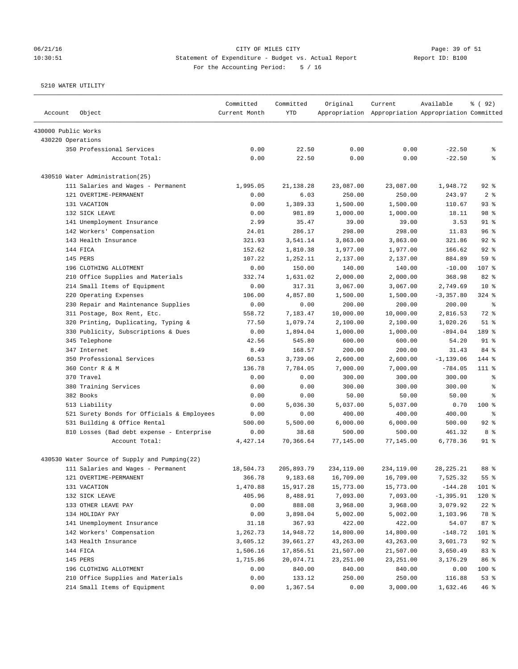# 06/21/16 Page: 39 of 51 10:30:51 Statement of Expenditure - Budget vs. Actual Report Report ID: B100 For the Accounting Period: 5 / 16

| Account             | Object                                        | Committed<br>Current Month | Committed<br><b>YTD</b> | Original   | Current<br>Appropriation Appropriation Appropriation Committed | Available    | % ( 92 )                 |
|---------------------|-----------------------------------------------|----------------------------|-------------------------|------------|----------------------------------------------------------------|--------------|--------------------------|
| 430000 Public Works |                                               |                            |                         |            |                                                                |              |                          |
| 430220 Operations   |                                               |                            |                         |            |                                                                |              |                          |
|                     | 350 Professional Services                     | 0.00                       | 22.50                   | 0.00       | 0.00                                                           | $-22.50$     | g                        |
|                     | Account Total:                                | 0.00                       | 22.50                   | 0.00       | 0.00                                                           | $-22.50$     | နွ                       |
|                     | 430510 Water Administration (25)              |                            |                         |            |                                                                |              |                          |
|                     | 111 Salaries and Wages - Permanent            | 1,995.05                   | 21,138.28               | 23,087.00  | 23,087.00                                                      | 1,948.72     | $92$ $%$                 |
|                     | 121 OVERTIME-PERMANENT                        | 0.00                       | 6.03                    | 250.00     | 250.00                                                         | 243.97       | 2 <sup>8</sup>           |
|                     | 131 VACATION                                  | 0.00                       | 1,389.33                | 1,500.00   | 1,500.00                                                       | 110.67       | 93%                      |
|                     | 132 SICK LEAVE                                | 0.00                       | 981.89                  | 1,000.00   | 1,000.00                                                       | 18.11        | 98 %                     |
|                     | 141 Unemployment Insurance                    | 2.99                       | 35.47                   | 39.00      | 39.00                                                          | 3.53         | $91$ %                   |
|                     | 142 Workers' Compensation                     | 24.01                      | 286.17                  | 298.00     | 298.00                                                         | 11.83        | 96%                      |
|                     | 143 Health Insurance                          | 321.93                     | 3,541.14                | 3,863.00   | 3,863.00                                                       | 321.86       | $92$ $%$                 |
|                     | 144 FICA                                      | 152.62                     | 1,810.38                | 1,977.00   | 1,977.00                                                       | 166.62       | $92$ %                   |
|                     | 145 PERS                                      | 107.22                     | 1,252.11                | 2,137.00   | 2,137.00                                                       | 884.89       | 59 %                     |
|                     | 196 CLOTHING ALLOTMENT                        | 0.00                       | 150.00                  | 140.00     | 140.00                                                         | $-10.00$     | 107 %                    |
|                     | 210 Office Supplies and Materials             | 332.74                     | 1,631.02                | 2,000.00   | 2,000.00                                                       | 368.98       | 82 %                     |
|                     | 214 Small Items of Equipment                  | 0.00                       | 317.31                  | 3,067.00   | 3,067.00                                                       | 2,749.69     | $10*$                    |
|                     | 220 Operating Expenses                        | 106.00                     | 4,857.80                | 1,500.00   | 1,500.00                                                       | $-3, 357.80$ | $324$ $%$                |
|                     | 230 Repair and Maintenance Supplies           | 0.00                       | 0.00                    | 200.00     | 200.00                                                         | 200.00       | $\,{}^{\circ}\!\!\delta$ |
|                     | 311 Postage, Box Rent, Etc.                   | 558.72                     | 7,183.47                | 10,000.00  | 10,000.00                                                      | 2,816.53     | 72 %                     |
|                     | 320 Printing, Duplicating, Typing &           | 77.50                      | 1,079.74                | 2,100.00   | 2,100.00                                                       | 1,020.26     | $51$ %                   |
|                     | 330 Publicity, Subscriptions & Dues           | 0.00                       | 1,894.04                | 1,000.00   | 1,000.00                                                       | $-894.04$    | 189 %                    |
|                     | 345 Telephone                                 | 42.56                      | 545.80                  | 600.00     | 600.00                                                         | 54.20        | $91$ %                   |
|                     | 347 Internet                                  | 8.49                       | 168.57                  | 200.00     | 200.00                                                         | 31.43        | 84 %                     |
|                     | 350 Professional Services                     | 60.53                      | 3,739.06                | 2,600.00   | 2,600.00                                                       | $-1, 139.06$ | 144 %                    |
|                     | 360 Contr R & M                               | 136.78                     | 7,784.05                | 7,000.00   | 7,000.00                                                       | $-784.05$    | $111*$                   |
|                     | 370 Travel                                    | 0.00                       | 0.00                    | 300.00     | 300.00                                                         | 300.00       | g                        |
|                     | 380 Training Services                         | 0.00                       | 0.00                    | 300.00     | 300.00                                                         | 300.00       | $\epsilon$               |
|                     | 382 Books                                     | 0.00                       | 0.00                    | 50.00      | 50.00                                                          | 50.00        | နွ                       |
|                     | 513 Liability                                 | 0.00                       | 5,036.30                | 5,037.00   | 5,037.00                                                       | 0.70         | $100$ %                  |
|                     | 521 Surety Bonds for Officials & Employees    | 0.00                       | 0.00                    | 400.00     | 400.00                                                         | 400.00       | နွ                       |
|                     | 531 Building & Office Rental                  | 500.00                     | 5,500.00                | 6,000.00   | 6,000.00                                                       | 500.00       | $92$ $%$                 |
|                     | 810 Losses (Bad debt expense - Enterprise     | 0.00                       | 38.68                   | 500.00     | 500.00                                                         | 461.32       | 8 %                      |
|                     | Account Total:                                | 4,427.14                   | 70,366.64               | 77,145.00  | 77,145.00                                                      | 6,778.36     | $91$ %                   |
|                     | 430530 Water Source of Supply and Pumping(22) |                            |                         |            |                                                                |              |                          |
|                     | 111 Salaries and Wages - Permanent            | 18,504.73                  | 205,893.79              | 234,119.00 | 234,119.00                                                     | 28, 225. 21  | 88 %                     |
|                     | 121 OVERTIME-PERMANENT                        | 366.78                     | 9,183.68                | 16,709.00  | 16,709.00                                                      | 7,525.32     | 55 %                     |
|                     | 131 VACATION                                  | 1,470.88                   | 15,917.28               | 15,773.00  | 15,773.00                                                      | $-144.28$    | 101 %                    |
|                     | 132 SICK LEAVE                                | 405.96                     | 8,488.91                | 7,093.00   | 7,093.00                                                       | $-1, 395.91$ | 120 %                    |
|                     | 133 OTHER LEAVE PAY                           | 0.00                       | 888.08                  | 3,968.00   | 3,968.00                                                       | 3,079.92     | $22$ %                   |
|                     | 134 HOLIDAY PAY                               | 0.00                       | 3,898.04                | 5,002.00   | 5,002.00                                                       | 1,103.96     | 78 %                     |
|                     | 141 Unemployment Insurance                    | 31.18                      | 367.93                  | 422.00     | 422.00                                                         | 54.07        | 87%                      |
|                     | 142 Workers' Compensation                     | 1,262.73                   | 14,948.72               | 14,800.00  | 14,800.00                                                      | $-148.72$    | 101 %                    |
|                     | 143 Health Insurance                          | 3,605.12                   | 39,661.27               | 43,263.00  | 43,263.00                                                      | 3,601.73     | $92$ $%$                 |
|                     | 144 FICA                                      | 1,506.16                   | 17,856.51               | 21,507.00  | 21,507.00                                                      | 3,650.49     | 83 %                     |
|                     | 145 PERS                                      | 1,715.86                   | 20,074.71               | 23, 251.00 | 23, 251.00                                                     | 3,176.29     | 86 %                     |
|                     | 196 CLOTHING ALLOTMENT                        | 0.00                       | 840.00                  | 840.00     | 840.00                                                         | 0.00         | 100 %                    |
|                     | 210 Office Supplies and Materials             | 0.00                       | 133.12                  | 250.00     | 250.00                                                         | 116.88       | 53%                      |
|                     | 214 Small Items of Equipment                  | 0.00                       | 1,367.54                | 0.00       | 3,000.00                                                       | 1,632.46     | 46%                      |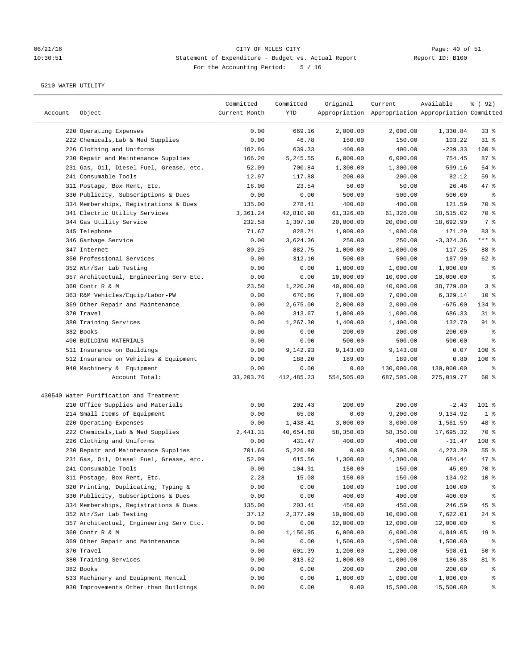# 06/21/16 CITY OF MILES CITY CONTRIBER CONSISTING Page: 40 of 51<br>10:30:51 Statement of Expenditure - Budget vs. Actual Report (Report ID: B100 10:30:51 Statement of Expenditure - Budget vs. Actual Report Report ID: B100 For the Accounting Period: 5 / 16

| Account | Object                                  | Committed<br>Current Month | Committed<br>YTD | Original   | Current<br>Appropriation Appropriation Appropriation Committed | Available   | % ( 92 )        |
|---------|-----------------------------------------|----------------------------|------------------|------------|----------------------------------------------------------------|-------------|-----------------|
|         | 220 Operating Expenses                  | 0.00                       | 669.16           | 2,000.00   | 2,000.00                                                       | 1,330.84    | 33%             |
|         | 222 Chemicals, Lab & Med Supplies       | 0.00                       | 46.78            | 150.00     | 150.00                                                         | 103.22      | $31$ %          |
|         | 226 Clothing and Uniforms               | 182.86                     | 639.33           | 400.00     | 400.00                                                         | $-239.33$   | $160*$          |
|         | 230 Repair and Maintenance Supplies     | 166.20                     | 5,245.55         | 6,000.00   | 6,000.00                                                       | 754.45      | 87%             |
|         | 231 Gas, Oil, Diesel Fuel, Grease, etc. | 52.09                      | 700.84           | 1,300.00   | 1,300.00                                                       | 599.16      | 54 %            |
|         | 241 Consumable Tools                    | 12.97                      | 117.88           | 200.00     | 200.00                                                         | 82.12       | 59 %            |
|         | 311 Postage, Box Rent, Etc.             | 16.00                      | 23.54            | 50.00      | 50.00                                                          | 26.46       | $47$ %          |
|         | 330 Publicity, Subscriptions & Dues     | 0.00                       | 0.00             | 500.00     | 500.00                                                         | 500.00      | နွ              |
|         | 334 Memberships, Registrations & Dues   | 135.00                     | 278.41           | 400.00     | 400.00                                                         | 121.59      | 70 %            |
|         | 341 Electric Utility Services           | 3,361.24                   | 42,810.98        | 61,326.00  | 61,326.00                                                      | 18,515.02   | 70 %            |
|         | 344 Gas Utility Service                 | 232.58                     | 1,307.10         | 20,000.00  | 20,000.00                                                      | 18,692.90   | 7 %             |
|         | 345 Telephone                           | 71.67                      | 828.71           | 1,000.00   | 1,000.00                                                       | 171.29      | 83%             |
|         | 346 Garbage Service                     | 0.00                       | 3,624.36         | 250.00     | 250.00                                                         | $-3,374.36$ | $***$ $%$       |
|         | 347 Internet                            | 80.25                      | 882.75           | 1,000.00   | 1,000.00                                                       | 117.25      | 88 %            |
|         | 350 Professional Services               | 0.00                       | 312.10           | 500.00     | 500.00                                                         | 187.90      | 62 %            |
|         | 352 Wtr/Swr Lab Testing                 | 0.00                       | 0.00             | 1,000.00   | 1,000.00                                                       | 1,000.00    | ್ಠಿ             |
|         | 357 Architectual, Engineering Serv Etc. | 0.00                       | 0.00             | 10,000.00  | 10,000.00                                                      | 10,000.00   | ್ಠಿ             |
|         | 360 Contr R & M                         | 23.50                      | 1,220.20         | 40,000.00  | 40,000.00                                                      | 38,779.80   | 3 <sup>°</sup>  |
|         | 363 R&M Vehicles/Equip/Labor-PW         | 0.00                       | 670.86           | 7,000.00   | 7,000.00                                                       | 6,329.14    | $10*$           |
|         | 369 Other Repair and Maintenance        | 0.00                       | 2,675.00         | 2,000.00   | 2,000.00                                                       | $-675.00$   | 134 %           |
|         | 370 Travel                              | 0.00                       | 313.67           | 1,000.00   | 1,000.00                                                       | 686.33      | $31$ %          |
|         | 380 Training Services                   | 0.00                       | 1,267.30         | 1,400.00   | 1,400.00                                                       | 132.70      | $91$ %          |
|         | 382 Books                               | 0.00                       | 0.00             | 200.00     | 200.00                                                         | 200.00      | နွ              |
|         | 400 BUILDING MATERIALS                  | 0.00                       | 0.00             | 500.00     | 500.00                                                         | 500.00      | ి               |
|         | 511 Insurance on Buildings              | 0.00                       | 9,142.93         | 9,143.00   | 9,143.00                                                       | 0.07        | 100 %           |
|         | 512 Insurance on Vehicles & Equipment   | 0.00                       | 188.20           | 189.00     | 189.00                                                         | 0.80        | 100 %           |
|         | 940 Machinery & Equipment               | 0.00                       | 0.00             | 0.00       | 130,000.00                                                     | 130,000.00  | နွ              |
|         | Account Total:                          | 33, 203. 76                | 412, 485.23      | 554,505.00 | 687,505.00                                                     | 275,019.77  | 60 %            |
|         | 430540 Water Purification and Treatment |                            |                  |            |                                                                |             |                 |
|         | 210 Office Supplies and Materials       | 0.00                       | 202.43           | 200.00     | 200.00                                                         | $-2.43$     | 101 %           |
|         | 214 Small Items of Equipment            | 0.00                       | 65.08            | 0.00       | 9,200.00                                                       | 9,134.92    | 1 <sup>8</sup>  |
|         | 220 Operating Expenses                  | 0.00                       | 1,438.41         | 3,000.00   | 3,000.00                                                       | 1,561.59    | 48 %            |
|         | 222 Chemicals, Lab & Med Supplies       | 2,441.31                   | 40,654.68        | 58,350.00  | 58,350.00                                                      | 17,695.32   | 70 %            |
|         | 226 Clothing and Uniforms               | 0.00                       | 431.47           | 400.00     | 400.00                                                         | $-31.47$    | 108 %           |
|         | 230 Repair and Maintenance Supplies     | 701.66                     | 5,226.80         | 0.00       | 9,500.00                                                       | 4,273.20    | $55$ %          |
|         | 231 Gas, Oil, Diesel Fuel, Grease, etc. | 52.09                      | 615.56           | 1,300.00   | 1,300.00                                                       | 684.44      | 47 %            |
|         | 241 Consumable Tools                    | 0.00                       | 104.91           | 150.00     | 150.00                                                         | 45.09       | 70 %            |
|         | 311 Postage, Box Rent, Etc.             | 2.28                       | 15.08            | 150.00     | 150.00                                                         | 134.92      | $10*$           |
|         | 320 Printing, Duplicating, Typing &     | 0.00                       | 0.00             | 100.00     | 100.00                                                         | 100.00      | ွေ              |
|         | 330 Publicity, Subscriptions & Dues     | 0.00                       | 0.00             | 400.00     | 400.00                                                         | 400.00      | ိစ              |
|         | 334 Memberships, Registrations & Dues   | 135.00                     | 203.41           | 450.00     | 450.00                                                         | 246.59      | 45 %            |
|         | 352 Wtr/Swr Lab Testing                 | 37.12                      | 2,377.99         | 10,000.00  | 10,000.00                                                      | 7,622.01    | $24$ %          |
|         | 357 Architectual, Engineering Serv Etc. | 0.00                       | 0.00             | 12,000.00  | 12,000.00                                                      | 12,000.00   | ိစ              |
|         | 360 Contr R & M                         | 0.00                       | 1,150.95         | 6,000.00   | 6,000.00                                                       | 4,849.05    | 19 <sup>°</sup> |
|         | 369 Other Repair and Maintenance        | 0.00                       | 0.00             | 1,500.00   | 1,500.00                                                       | 1,500.00    | ႜ               |
|         | 370 Travel                              | 0.00                       | 601.39           | 1,200.00   | 1,200.00                                                       | 598.61      | $50*$           |
|         | 380 Training Services                   | 0.00                       | 813.62           | 1,000.00   | 1,000.00                                                       | 186.38      | 81 %            |
|         | 382 Books                               | 0.00                       | 0.00             | 200.00     | 200.00                                                         | 200.00      | ွေ              |
|         | 533 Machinery and Equipment Rental      | 0.00                       | 0.00             | 1,000.00   | 1,000.00                                                       | 1,000.00    | ွေ              |
|         | 930 Improvements Other than Buildings   | 0.00                       | 0.00             | 0.00       | 15,500.00                                                      | 15,500.00   | နွ              |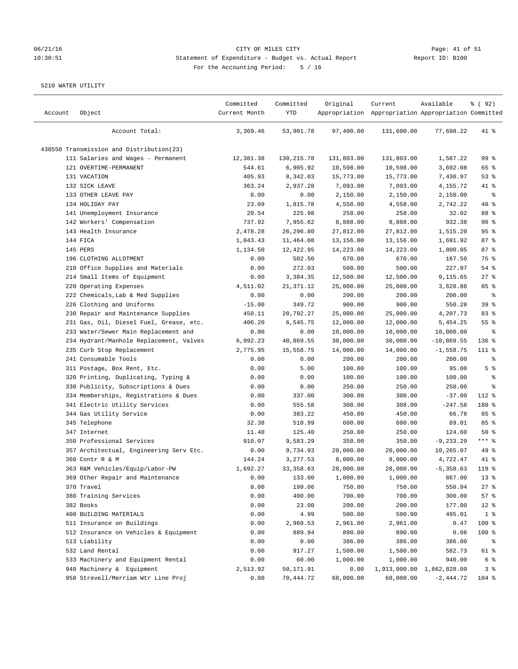# 06/21/16 Page: 41 of 51 10:30:51 Statement of Expenditure - Budget vs. Actual Report Changer Report ID: B100 For the Accounting Period: 5 / 16

| Account | Object                                   | Committed<br>Current Month | Committed<br>YTD | Original   | Current<br>Appropriation Appropriation Appropriation Committed | Available                 | % ( 92 )        |
|---------|------------------------------------------|----------------------------|------------------|------------|----------------------------------------------------------------|---------------------------|-----------------|
|         | Account Total:                           | 3,369.46                   | 53,901.78        | 97,400.00  | 131,600.00                                                     | 77,698.22                 | $41$ %          |
|         | 430550 Transmission and Distribution(23) |                            |                  |            |                                                                |                           |                 |
|         | 111 Salaries and Wages - Permanent       | 12,381.38                  | 130, 215.78      | 131,803.00 | 131,803.00                                                     | 1,587.22                  | 99%             |
|         | 121 OVERTIME-PERMANENT                   | 544.61                     | 6,905.92         | 10,598.00  | 10,598.00                                                      | 3,692.08                  | 65 %            |
|         | 131 VACATION                             | 405.93                     | 8,342.03         | 15,773.00  | 15,773.00                                                      | 7,430.97                  | 53%             |
|         | 132 SICK LEAVE                           | 363.24                     | 2,937.28         | 7,093.00   | 7,093.00                                                       | 4,155.72                  | 41 %            |
|         | 133 OTHER LEAVE PAY                      | 0.00                       | 0.00             | 2,150.00   | 2,150.00                                                       | 2,150.00                  | နွ              |
|         | 134 HOLIDAY PAY                          | 23.09                      | 1,815.78         | 4,558.00   | 4,558.00                                                       | 2,742.22                  | $40*$           |
|         | 141 Unemployment Insurance               | 20.54                      | 225.98           | 258.00     | 258.00                                                         | 32.02                     | 88 %            |
|         | 142 Workers' Compensation                | 737.92                     | 7,955.62         | 8,888.00   | 8,888.00                                                       | 932.38                    | $90*$           |
|         | 143 Health Insurance                     | 2,478.28                   | 26,296.80        | 27,812.00  | 27,812.00                                                      | 1,515.20                  | 95 <sup>8</sup> |
|         | 144 FICA                                 | 1,043.43                   | 11,464.08        | 13,156.00  | 13,156.00                                                      | 1,691.92                  | 87%             |
|         | 145 PERS                                 | 1,134.50                   | 12,422.95        | 14,223.00  | 14,223.00                                                      | 1,800.05                  | 87%             |
|         | 196 CLOTHING ALLOTMENT                   | 0.00                       | 502.50           | 670.00     | 670.00                                                         | 167.50                    | 75 %            |
|         | 210 Office Supplies and Materials        | 0.00                       | 272.03           | 500.00     | 500.00                                                         | 227.97                    | 54 %            |
|         | 214 Small Items of Equipment             | 0.00                       | 3,384.35         | 12,500.00  | 12,500.00                                                      | 9,115.65                  | $27$ %          |
|         | 220 Operating Expenses                   | 4,511.92                   | 21, 371.12       | 25,000.00  | 25,000.00                                                      | 3,628.88                  | 85%             |
|         | 222 Chemicals, Lab & Med Supplies        | 0.00                       | 0.00             | 200.00     | 200.00                                                         | 200.00                    | နွ              |
|         | 226 Clothing and Uniforms                | $-15.00$                   | 349.72           | 900.00     | 900.00                                                         | 550.28                    | 39 %            |
|         | 230 Repair and Maintenance Supplies      | 450.11                     | 20,792.27        | 25,000.00  | 25,000.00                                                      | 4,207.73                  | 83%             |
|         | 231 Gas, Oil, Diesel Fuel, Grease, etc.  | 406.20                     | 6,545.75         | 12,000.00  | 12,000.00                                                      | 5,454.25                  | 55%             |
|         | 233 Water/Sewer Main Replacement and     | 0.00                       | 0.00             | 10,000.00  | 10,000.00                                                      | 10,000.00                 | နွ              |
|         | 234 Hydrant/Manhole Replacement, Valves  | 6,992.23                   | 40,869.55        | 30,000.00  | 30,000.00                                                      | $-10,869.55$              | 136 %           |
|         | 235 Curb Stop Replacement                | 2,775.95                   | 15,558.75        | 14,000.00  | 14,000.00                                                      | $-1,558.75$               | 111 %           |
|         | 241 Consumable Tools                     | 0.00                       | 0.00             | 200.00     | 200.00                                                         | 200.00                    | ್ಠಿ             |
|         | 311 Postage, Box Rent, Etc.              | 0.00                       | 5.00             | 100.00     | 100.00                                                         | 95.00                     | 5 <sup>°</sup>  |
|         | 320 Printing, Duplicating, Typing &      | 0.00                       | 0.00             | 100.00     | 100.00                                                         | 100.00                    | နွ              |
|         | 330 Publicity, Subscriptions & Dues      | 0.00                       | 0.00             | 250.00     | 250.00                                                         | 250.00                    | ್ಠಿ             |
|         | 334 Memberships, Registrations & Dues    | 0.00                       | 337.00           | 300.00     | 300.00                                                         | $-37.00$                  | 112 %           |
|         | 341 Electric Utility Services            | 0.00                       | 555.58           | 308.00     | 308.00                                                         | $-247.58$                 | 180 %           |
|         | 344 Gas Utility Service                  | 0.00                       | 383.22           | 450.00     | 450.00                                                         | 66.78                     | 85%             |
|         | 345 Telephone                            | 32.38                      | 510.99           | 600.00     | 600.00                                                         | 89.01                     | 85%             |
|         | 347 Internet                             | 11.40                      | 125.40           | 250.00     | 250.00                                                         | 124.60                    | 50%             |
|         | 350 Professional Services                | 910.07                     | 9,583.29         | 350.00     | 350.00                                                         | $-9, 233.29$              | $***$ $-$       |
|         | 357 Architectual, Engineering Serv Etc.  | 0.00                       | 9,734.93         | 20,000.00  | 20,000.00                                                      | 10,265.07                 | 49 %            |
|         | 360 Contr R & M                          | 144.24                     | 3,277.53         | 8,000.00   | 8,000.00                                                       | 4,722.47                  | 41 %            |
|         | 363 R&M Vehicles/Equip/Labor-PW          | 1,692.27                   | 33, 358.63       | 28,000.00  | 28,000.00                                                      | $-5, 358.63$              | 119 %           |
|         | 369 Other Repair and Maintenance         | 0.00                       | 133.00           | 1,000.00   | 1,000.00                                                       | 867.00                    | 13 <sup>°</sup> |
|         | 370 Travel                               | 0.00                       | 199.06           | 750.00     | 750.00                                                         | 550.94                    | $27$ %          |
|         | 380 Training Services                    | 0.00                       | 400.00           | 700.00     | 700.00                                                         | 300.00                    | 57%             |
|         | 382 Books                                | 0.00                       | 23.00            | 200.00     | 200.00                                                         | 177.00                    | $12$ %          |
|         | 400 BUILDING MATERIALS                   | 0.00                       | 4.99             | 500.00     | 500.00                                                         | 495.01                    | 1 <sup>8</sup>  |
|         | 511 Insurance on Buildings               | 0.00                       | 2,960.53         | 2,961.00   | 2,961.00                                                       | 0.47                      | 100 %           |
|         | 512 Insurance on Vehicles & Equipment    | 0.00                       | 889.94           | 890.00     | 890.00                                                         | 0.06                      | 100 %           |
|         | 513 Liability                            | 0.00                       | 0.00             | 386.00     | 386.00                                                         | 386.00                    | ိစ              |
|         | 532 Land Rental                          | 0.00                       | 917.27           | 1,500.00   | 1,500.00                                                       | 582.73                    | 61 %            |
|         | 533 Machinery and Equipment Rental       | 0.00                       | 60.00            | 1,000.00   | 1,000.00                                                       | 940.00                    | 6 %             |
|         | 940 Machinery & Equipment                | 2,513.92                   | 50,171.91        | 0.00       |                                                                | 1,913,000.00 1,862,828.09 | 3%              |
|         | 958 Strevell/Merriam Wtr Line Proj       | 0.00                       | 70,444.72        | 68,000.00  | 68,000.00                                                      | $-2,444.72$               | 104 %           |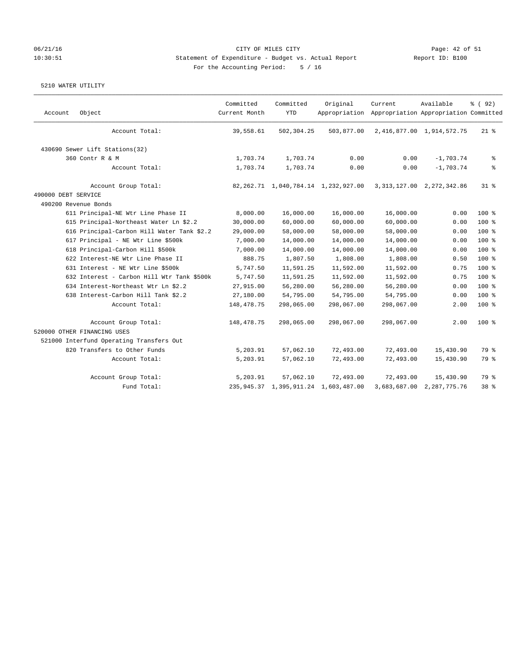# 06/21/16 Page: 42 of 51 10:30:51 Statement of Expenditure - Budget vs. Actual Report Report ID: B100 For the Accounting Period: 5 / 16

| Account             | Object                                     | Committed<br>Current Month | Committed<br><b>YTD</b> | Original<br>Appropriation                 | Current    | Available<br>Appropriation Appropriation Committed | % (92) |
|---------------------|--------------------------------------------|----------------------------|-------------------------|-------------------------------------------|------------|----------------------------------------------------|--------|
|                     | Account Total:                             | 39,558.61                  | 502,304.25              | 503,877.00                                |            | 2, 416, 877.00 1, 914, 572.75                      | $21$ % |
|                     | 430690 Sewer Lift Stations(32)             |                            |                         |                                           |            |                                                    |        |
|                     | 360 Contr R & M                            | 1,703.74                   | 1,703.74                | 0.00                                      | 0.00       | $-1,703.74$                                        | နွ     |
|                     | Account Total:                             | 1,703.74                   | 1,703.74                | 0.00                                      | 0.00       | $-1,703.74$                                        | ి      |
|                     | Account Group Total:                       |                            |                         | 82, 262.71 1, 040, 784.14 1, 232, 927.00  |            | 3, 313, 127.00 2, 272, 342.86                      | 318    |
| 490000 DEBT SERVICE |                                            |                            |                         |                                           |            |                                                    |        |
|                     | 490200 Revenue Bonds                       |                            |                         |                                           |            |                                                    |        |
|                     | 611 Principal-NE Wtr Line Phase II         | 8,000.00                   | 16,000.00               | 16,000.00                                 | 16,000.00  | 0.00                                               | 100%   |
|                     | 615 Principal-Northeast Water Ln \$2.2     | 30,000.00                  | 60,000.00               | 60,000.00                                 | 60,000.00  | 0.00                                               | $100*$ |
|                     | 616 Principal-Carbon Hill Water Tank \$2.2 | 29,000.00                  | 58,000.00               | 58,000.00                                 | 58,000.00  | 0.00                                               | 100 %  |
|                     | 617 Principal - NE Wtr Line \$500k         | 7,000.00                   | 14,000.00               | 14,000.00                                 | 14,000.00  | 0.00                                               | 100%   |
|                     | 618 Principal-Carbon Hill \$500k           | 7,000.00                   | 14,000.00               | 14,000.00                                 | 14,000.00  | 0.00                                               | 100%   |
|                     | 622 Interest-NE Wtr Line Phase II          | 888.75                     | 1,807.50                | 1,808.00                                  | 1,808.00   | 0.50                                               | 100 %  |
|                     | 631 Interest - NE Wtr Line \$500k          | 5,747.50                   | 11,591.25               | 11,592.00                                 | 11,592.00  | 0.75                                               | 100 %  |
|                     | 632 Interest - Carbon Hill Wtr Tank \$500k | 5,747.50                   | 11,591.25               | 11,592.00                                 | 11,592.00  | 0.75                                               | 100%   |
|                     | 634 Interest-Northeast Wtr Ln \$2.2        | 27,915.00                  | 56,280.00               | 56,280.00                                 | 56,280.00  | 0.00                                               | $100*$ |
|                     | 638 Interest-Carbon Hill Tank \$2.2        | 27,180.00                  | 54,795.00               | 54,795.00                                 | 54,795.00  | 0.00                                               | $100*$ |
|                     | Account Total:                             | 148, 478. 75               | 298,065.00              | 298,067.00                                | 298,067.00 | 2.00                                               | 100 %  |
|                     | Account Group Total:                       | 148,478.75                 | 298,065.00              | 298,067.00                                | 298,067.00 | 2.00                                               | $100*$ |
|                     | 520000 OTHER FINANCING USES                |                            |                         |                                           |            |                                                    |        |
|                     | 521000 Interfund Operating Transfers Out   |                            |                         |                                           |            |                                                    |        |
|                     | 820 Transfers to Other Funds               | 5,203.91                   | 57,062.10               | 72,493.00                                 | 72,493.00  | 15,430.90                                          | 79 %   |
|                     | Account Total:                             | 5,203.91                   | 57,062.10               | 72,493.00                                 | 72,493.00  | 15,430.90                                          | 79 %   |
|                     | Account Group Total:                       | 5,203.91                   | 57,062.10               | 72,493.00                                 | 72,493.00  | 15,430.90                                          | 79 %   |
|                     | Fund Total:                                |                            |                         | 235, 945.37 1, 395, 911.24 1, 603, 487.00 |            | 3,683,687.00 2,287,775.76                          | 38 %   |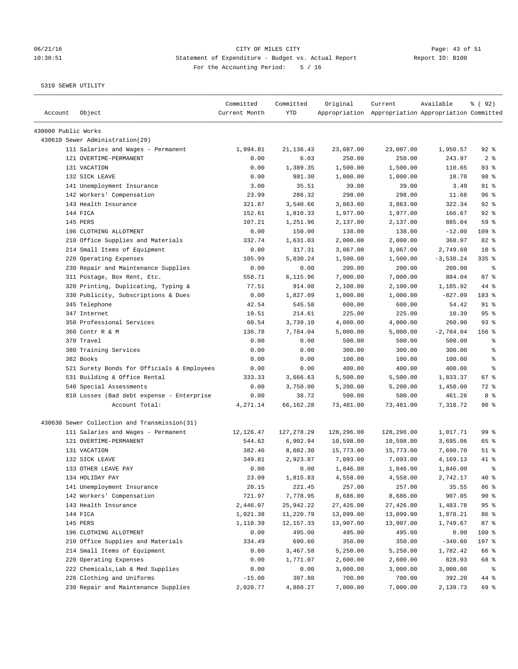# 06/21/16 Page: 43 of 51 10:30:51 Statement of Expenditure - Budget vs. Actual Report Changer Report ID: B100 For the Accounting Period: 5 / 16

| Account             | Object                                       | Committed<br>Current Month | Committed<br><b>YTD</b> | Original   | Current<br>Appropriation Appropriation Appropriation Committed | Available   | 8 (92)          |
|---------------------|----------------------------------------------|----------------------------|-------------------------|------------|----------------------------------------------------------------|-------------|-----------------|
| 430000 Public Works |                                              |                            |                         |            |                                                                |             |                 |
|                     | 430610 Sewer Administration (29)             |                            |                         |            |                                                                |             |                 |
|                     | 111 Salaries and Wages - Permanent           | 1,994.81                   | 21, 136. 43             | 23,087.00  | 23,087.00                                                      | 1,950.57    | $92$ $%$        |
|                     | 121 OVERTIME-PERMANENT                       | 0.00                       | 6.03                    | 250.00     | 250.00                                                         | 243.97      | 2 <sub>8</sub>  |
|                     | 131 VACATION                                 | 0.00                       | 1,389.35                | 1,500.00   | 1,500.00                                                       | 110.65      | 93%             |
|                     | 132 SICK LEAVE                               | 0.00                       | 981.30                  | 1,000.00   | 1,000.00                                                       | 18.70       | 98 %            |
|                     | 141 Unemployment Insurance                   | 3.00                       | 35.51                   | 39.00      | 39.00                                                          | 3.49        | $91$ %          |
|                     | 142 Workers' Compensation                    | 23.99                      | 286.32                  | 298.00     | 298.00                                                         | 11.68       | 96 %            |
|                     | 143 Health Insurance                         | 321.87                     | 3,540.66                | 3,863.00   | 3,863.00                                                       | 322.34      | 92%             |
|                     | 144 FICA                                     | 152.61                     | 1,810.33                | 1,977.00   | 1,977.00                                                       | 166.67      | $92$ $%$        |
|                     | 145 PERS                                     | 107.21                     | 1,251.96                | 2,137.00   | 2,137.00                                                       | 885.04      | 59 %            |
|                     | 196 CLOTHING ALLOTMENT                       | 0.00                       | 150.00                  | 138.00     | 138.00                                                         | $-12.00$    | $109$ %         |
|                     | 210 Office Supplies and Materials            | 332.74                     | 1,631.03                | 2,000.00   | 2,000.00                                                       | 368.97      | 82 %            |
|                     | 214 Small Items of Equipment                 | 0.00                       | 317.31                  | 3,067.00   | 3,067.00                                                       | 2,749.69    | $10*$           |
|                     | 220 Operating Expenses                       | 105.99                     | 5,030.24                | 1,500.00   | 1,500.00                                                       | $-3,530.24$ | $335$ $%$       |
|                     | 230 Repair and Maintenance Supplies          | 0.00                       | 0.00                    | 200.00     | 200.00                                                         | 200.00      | နွ              |
|                     | 311 Postage, Box Rent, Etc.                  | 558.71                     | 6,115.96                | 7,000.00   | 7,000.00                                                       | 884.04      | 87%             |
|                     | 320 Printing, Duplicating, Typing &          | 77.51                      | 914.08                  | 2,100.00   | 2,100.00                                                       | 1,185.92    | 44 %            |
|                     | 330 Publicity, Subscriptions & Dues          | 0.00                       | 1,827.09                | 1,000.00   | 1,000.00                                                       | $-827.09$   | 183 %           |
|                     | 345 Telephone                                | 42.54                      | 545.58                  | 600.00     | 600.00                                                         | 54.42       | 91 %            |
|                     | 347 Internet                                 | 19.51                      | 214.61                  | 225.00     | 225.00                                                         | 10.39       | 95%             |
|                     | 350 Professional Services                    | 60.54                      | 3,739.10                | 4,000.00   | 4,000.00                                                       | 260.90      | $93$ $%$        |
|                     | 360 Contr R & M                              | 136.78                     | 7,784.04                | 5,000.00   | 5,000.00                                                       | $-2,784.04$ | 156%            |
|                     | 370 Travel                                   | 0.00                       | 0.00                    | 500.00     | 500.00                                                         | 500.00      | る               |
|                     | 380 Training Services                        | 0.00                       | 0.00                    | 300.00     | 300.00                                                         | 300.00      | ి               |
|                     | 382 Books                                    | 0.00                       | 0.00                    | 100.00     | 100.00                                                         | 100.00      | る               |
|                     | 521 Surety Bonds for Officials & Employees   | 0.00                       | 0.00                    | 400.00     | 400.00                                                         | 400.00      | နွ              |
|                     | 531 Building & Office Rental                 | 333.33                     | 3,666.63                | 5,500.00   | 5,500.00                                                       | 1,833.37    | 67 %            |
|                     | 540 Special Assessments                      | 0.00                       | 3,750.00                | 5,200.00   | 5,200.00                                                       | 1,450.00    | 72 %            |
|                     | 810 Losses (Bad debt expense - Enterprise    | 0.00                       | 38.72                   | 500.00     | 500.00                                                         | 461.28      | 8 %             |
|                     | Account Total:                               | 4,271.14                   | 66,162.28               | 73,481.00  | 73,481.00                                                      | 7,318.72    | 90%             |
|                     | 430630 Sewer Collection and Transmission(31) |                            |                         |            |                                                                |             |                 |
|                     | 111 Salaries and Wages - Permanent           | 12,126.47                  | 127, 278.29             | 128,296.00 | 128,296.00                                                     | 1,017.71    | 99 <sub>8</sub> |
|                     | 121 OVERTIME-PERMANENT                       | 544.62                     | 6,902.94                | 10,598.00  | 10,598.00                                                      | 3,695.06    | 65 %            |
|                     | 131 VACATION                                 | 382.46                     | 8,082.30                | 15,773.00  | 15,773.00                                                      | 7,690.70    | $51$ %          |
|                     | 132 SICK LEAVE                               | 349.81                     | 2,923.87                | 7,093.00   | 7,093.00                                                       | 4,169.13    | 41 %            |
|                     | 133 OTHER LEAVE PAY                          | 0.00                       | 0.00                    | 1,846.00   | 1,846.00                                                       | 1,846.00    | ま               |
|                     | 134 HOLIDAY PAY                              | 23.09                      | 1,815.83                | 4,558.00   | 4,558.00                                                       | 2,742.17    | 40 %            |
|                     | 141 Unemployment Insurance                   | 20.15                      | 221.45                  | 257.00     | 257.00                                                         | 35.55       | 86 %            |
|                     | 142 Workers' Compensation                    | 721.97                     | 7,778.95                | 8,686.00   | 8,686.00                                                       | 907.05      | $90*$           |
|                     | 143 Health Insurance                         | 2,446.07                   | 25,942.22               | 27,426.00  | 27,426.00                                                      | 1,483.78    | 95%             |
|                     | 144 FICA                                     | 1,021.38                   | 11,220.79               | 13,099.00  | 13,099.00                                                      | 1,878.21    | 86 %            |
|                     | 145 PERS                                     | 1,110.39                   | 12, 157.33              | 13,907.00  | 13,907.00                                                      | 1,749.67    | 87%             |
|                     | 196 CLOTHING ALLOTMENT                       | 0.00                       | 495.00                  | 495.00     | 495.00                                                         | 0.00        | 100 %           |
|                     | 210 Office Supplies and Materials            | 334.49                     | 690.60                  | 350.00     | 350.00                                                         | $-340.60$   | 197 %           |
|                     | 214 Small Items of Equipment                 | 0.00                       | 3,467.58                | 5,250.00   | 5,250.00                                                       | 1,782.42    | 66 %            |
|                     | 220 Operating Expenses                       | 0.00                       | 1,771.07                | 2,600.00   | 2,600.00                                                       | 828.93      | 68 %            |
|                     | 222 Chemicals, Lab & Med Supplies            | 0.00                       | 0.00                    | 3,000.00   | 3,000.00                                                       | 3,000.00    | ႜ               |
|                     | 226 Clothing and Uniforms                    | $-15.00$                   | 307.80                  | 700.00     | 700.00                                                         | 392.20      | 44 %            |
|                     | 230 Repair and Maintenance Supplies          | 2,020.77                   | 4,860.27                | 7,000.00   | 7,000.00                                                       | 2,139.73    | 69 %            |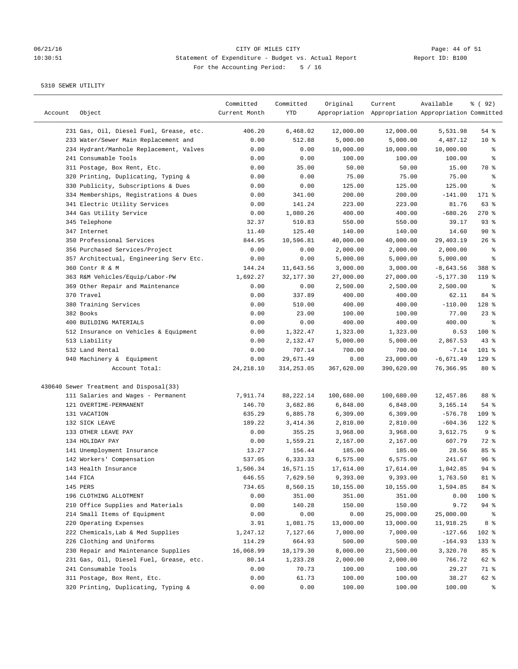# 06/21/16 Page: 44 of 51 10:30:51 Statement of Expenditure - Budget vs. Actual Report Report ID: B100 For the Accounting Period: 5 / 16

| Account | Object                                  | Committed<br>Current Month | Committed<br>YTD | Original   | Current<br>Appropriation Appropriation Appropriation Committed | Available    | % ( 92 )       |
|---------|-----------------------------------------|----------------------------|------------------|------------|----------------------------------------------------------------|--------------|----------------|
|         | 231 Gas, Oil, Diesel Fuel, Grease, etc. | 406.20                     | 6,468.02         | 12,000.00  | 12,000.00                                                      | 5,531.98     | $54$ %         |
|         | 233 Water/Sewer Main Replacement and    | 0.00                       | 512.88           | 5,000.00   | 5,000.00                                                       | 4,487.12     | $10*$          |
|         | 234 Hydrant/Manhole Replacement, Valves | 0.00                       | 0.00             | 10,000.00  | 10,000.00                                                      | 10,000.00    | နွ             |
|         | 241 Consumable Tools                    | 0.00                       | 0.00             | 100.00     | 100.00                                                         | 100.00       | ್ಠಿ            |
|         | 311 Postage, Box Rent, Etc.             | 0.00                       | 35.00            | 50.00      | 50.00                                                          | 15.00        | 70 %           |
|         | 320 Printing, Duplicating, Typing &     | 0.00                       | 0.00             | 75.00      | 75.00                                                          | 75.00        | ి              |
|         | 330 Publicity, Subscriptions & Dues     | 0.00                       | 0.00             | 125.00     | 125.00                                                         | 125.00       | ి              |
|         | 334 Memberships, Registrations & Dues   | 0.00                       | 341.00           | 200.00     | 200.00                                                         | $-141.00$    | 171 %          |
|         | 341 Electric Utility Services           | 0.00                       | 141.24           | 223.00     | 223.00                                                         | 81.76        | 63 %           |
|         | 344 Gas Utility Service                 | 0.00                       | 1,080.26         | 400.00     | 400.00                                                         | $-680.26$    | $270$ %        |
|         | 345 Telephone                           | 32.37                      | 510.83           | 550.00     | 550.00                                                         | 39.17        | 93%            |
|         | 347 Internet                            | 11.40                      | 125.40           | 140.00     | 140.00                                                         | 14.60        | $90*$          |
|         | 350 Professional Services               | 844.95                     | 10,596.81        | 40,000.00  | 40,000.00                                                      | 29,403.19    | 26%            |
|         | 356 Purchased Services/Project          | 0.00                       | 0.00             | 2,000.00   | 2,000.00                                                       | 2,000.00     | ್ಠಿ            |
|         | 357 Architectual, Engineering Serv Etc. | 0.00                       | 0.00             | 5,000.00   | 5,000.00                                                       | 5,000.00     | ್ಠಿ            |
|         | 360 Contr R & M                         | 144.24                     | 11,643.56        | 3,000.00   | 3,000.00                                                       | $-8,643.56$  | 388 %          |
|         | 363 R&M Vehicles/Equip/Labor-PW         | 1,692.27                   | 32, 177.30       | 27,000.00  | 27,000.00                                                      | $-5, 177.30$ | $119*$         |
|         | 369 Other Repair and Maintenance        | 0.00                       | 0.00             | 2,500.00   | 2,500.00                                                       | 2,500.00     | နွ             |
|         | 370 Travel                              | 0.00                       | 337.89           | 400.00     | 400.00                                                         | 62.11        | 84 %           |
|         | 380 Training Services                   | 0.00                       | 510.00           | 400.00     | 400.00                                                         | $-110.00$    | 128 %          |
|         | 382 Books                               | 0.00                       | 23.00            | 100.00     | 100.00                                                         | 77.00        | $23$ $%$       |
|         | 400 BUILDING MATERIALS                  | 0.00                       | 0.00             | 400.00     | 400.00                                                         | 400.00       | နွ             |
|         | 512 Insurance on Vehicles & Equipment   | 0.00                       | 1,322.47         | 1,323.00   | 1,323.00                                                       | 0.53         | 100 %          |
|         | 513 Liability                           | 0.00                       | 2,132.47         | 5,000.00   | 5,000.00                                                       | 2,867.53     | 43%            |
|         | 532 Land Rental                         | 0.00                       | 707.14           | 700.00     | 700.00                                                         | $-7.14$      | $101$ %        |
|         | 940 Machinery & Equipment               | 0.00                       | 29,671.49        | 0.00       | 23,000.00                                                      | $-6,671.49$  | $129$ %        |
|         | Account Total:                          | 24, 218.10                 | 314,253.05       | 367,620.00 | 390,620.00                                                     | 76,366.95    | $80*$          |
|         | 430640 Sewer Treatment and Disposal(33) |                            |                  |            |                                                                |              |                |
|         | 111 Salaries and Wages - Permanent      | 7,911.74                   | 88,222.14        | 100,680.00 | 100,680.00                                                     | 12,457.86    | 88 %           |
|         | 121 OVERTIME-PERMANENT                  | 146.70                     | 3,682.86         | 6,848.00   | 6,848.00                                                       | 3,165.14     | $54$ %         |
|         | 131 VACATION                            | 635.29                     | 6,885.78         | 6,309.00   | 6,309.00                                                       | $-576.78$    | $109$ %        |
|         | 132 SICK LEAVE                          | 189.22                     | 3,414.36         | 2,810.00   | 2,810.00                                                       | $-604.36$    | $122$ %        |
|         | 133 OTHER LEAVE PAY                     | 0.00                       | 355.25           | 3,968.00   | 3,968.00                                                       | 3,612.75     | 9%             |
|         | 134 HOLIDAY PAY                         | 0.00                       | 1,559.21         | 2,167.00   | 2,167.00                                                       | 607.79       | 72 %           |
|         | 141 Unemployment Insurance              | 13.27                      | 156.44           | 185.00     | 185.00                                                         | 28.56        | 85 %           |
|         | 142 Workers' Compensation               | 537.05                     | 6,333.33         | 6,575.00   | 6,575.00                                                       | 241.67       | 96%            |
|         | 143 Health Insurance                    | 1,506.34                   | 16,571.15        | 17,614.00  | 17,614.00                                                      | 1,042.85     | $94$ $%$       |
|         | 144 FICA                                | 646.55                     | 7,629.50         | 9,393.00   | 9,393.00                                                       | 1,763.50     | 81 %           |
|         | 145 PERS                                | 734.65                     | 8,560.15         | 10,155.00  | 10,155.00                                                      | 1,594.85     | 84 %           |
|         | 196 CLOTHING ALLOTMENT                  | 0.00                       | 351.00           | 351.00     | 351.00                                                         | 0.00         | 100 %          |
|         | 210 Office Supplies and Materials       | 0.00                       | 140.28           | 150.00     | 150.00                                                         | 9.72         | $94$ %         |
|         | 214 Small Items of Equipment            | 0.00                       | 0.00             | 0.00       | 25,000.00                                                      | 25,000.00    | ိစ             |
|         | 220 Operating Expenses                  | 3.91                       | 1,081.75         | 13,000.00  | 13,000.00                                                      | 11,918.25    | 8 <sup>8</sup> |
|         | 222 Chemicals, Lab & Med Supplies       | 1,247.12                   | 7,127.66         | 7,000.00   | 7,000.00                                                       | $-127.66$    | 102 %          |
|         | 226 Clothing and Uniforms               | 114.29                     | 664.93           | 500.00     | 500.00                                                         | $-164.93$    | 133 %          |
|         | 230 Repair and Maintenance Supplies     | 16,068.99                  | 18,179.30        | 8,000.00   | 21,500.00                                                      | 3,320.70     | 85 %           |
|         | 231 Gas, Oil, Diesel Fuel, Grease, etc. | 80.14                      | 1,233.28         | 2,000.00   | 2,000.00                                                       | 766.72       | 62 %           |
|         | 241 Consumable Tools                    | 0.00                       | 70.73            | 100.00     | 100.00                                                         | 29.27        | 71 %           |
|         | 311 Postage, Box Rent, Etc.             | 0.00                       | 61.73            | 100.00     | 100.00                                                         | 38.27        | 62 %           |
|         | 320 Printing, Duplicating, Typing &     | 0.00                       | 0.00             | 100.00     | 100.00                                                         | 100.00       | ႜ              |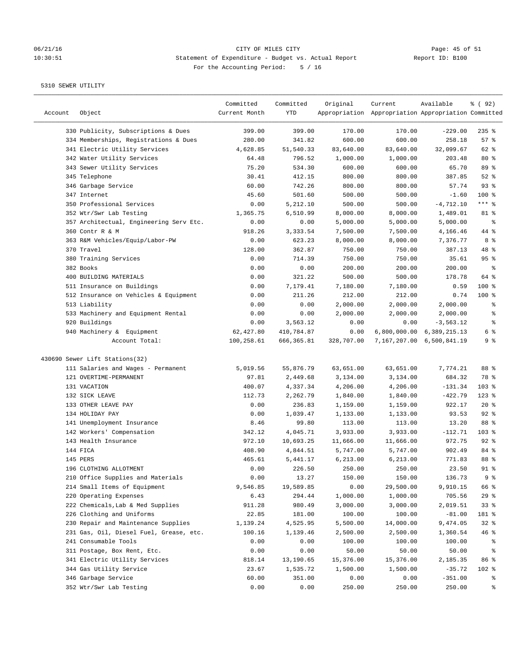## 06/21/16 CITY OF MILES CITY<br>10:30:51 Statement of Expenditure - Budget vs. Actual Report Report ID: B100 10:30:51 Statement of Expenditure - Budget vs. Actual Report For the Accounting Period: 5 / 16

| Account | Object                                  | Committed<br>Current Month | Committed<br>YTD | Original   | Current<br>Appropriation Appropriation Appropriation Committed | Available                 | % (92)    |
|---------|-----------------------------------------|----------------------------|------------------|------------|----------------------------------------------------------------|---------------------------|-----------|
|         | 330 Publicity, Subscriptions & Dues     | 399.00                     | 399.00           | 170.00     | 170.00                                                         | $-229.00$                 | $235$ $%$ |
|         | 334 Memberships, Registrations & Dues   | 280.00                     | 341.82           | 600.00     | 600.00                                                         | 258.18                    | 57%       |
|         | 341 Electric Utility Services           | 4,628.85                   | 51,540.33        | 83,640.00  | 83,640.00                                                      | 32,099.67                 | 62 %      |
|         | 342 Water Utility Services              | 64.48                      | 796.52           | 1,000.00   | 1,000.00                                                       | 203.48                    | $80*$     |
|         | 343 Sewer Utility Services              | 75.20                      | 534.30           | 600.00     | 600.00                                                         | 65.70                     | 89 %      |
|         | 345 Telephone                           | 30.41                      | 412.15           | 800.00     | 800.00                                                         | 387.85                    | $52$ $%$  |
|         | 346 Garbage Service                     | 60.00                      | 742.26           | 800.00     | 800.00                                                         | 57.74                     | 93%       |
|         | 347 Internet                            | 45.60                      | 501.60           | 500.00     | 500.00                                                         | $-1.60$                   | $100$ %   |
|         | 350 Professional Services               | 0.00                       | 5,212.10         | 500.00     | 500.00                                                         | $-4,712.10$               | $***$ $%$ |
|         | 352 Wtr/Swr Lab Testing                 | 1,365.75                   | 6,510.99         | 8,000.00   | 8,000.00                                                       | 1,489.01                  | 81 %      |
|         | 357 Architectual, Engineering Serv Etc. | 0.00                       | 0.00             | 5,000.00   | 5,000.00                                                       | 5,000.00                  | ್ಠಿ       |
|         | 360 Contr R & M                         | 918.26                     | 3,333.54         | 7,500.00   | 7,500.00                                                       | 4,166.46                  | 44 %      |
|         | 363 R&M Vehicles/Equip/Labor-PW         | 0.00                       | 623.23           | 8,000.00   | 8,000.00                                                       | 7,376.77                  | 8 %       |
|         | 370 Travel                              | 128.00                     | 362.87           | 750.00     | 750.00                                                         | 387.13                    | 48 %      |
|         | 380 Training Services                   | 0.00                       | 714.39           | 750.00     | 750.00                                                         | 35.61                     | 95%       |
|         | 382 Books                               | 0.00                       | 0.00             | 200.00     | 200.00                                                         | 200.00                    | ి         |
|         | 400 BUILDING MATERIALS                  | 0.00                       | 321.22           | 500.00     | 500.00                                                         | 178.78                    | 64 %      |
|         | 511 Insurance on Buildings              | 0.00                       | 7,179.41         | 7,180.00   | 7,180.00                                                       | 0.59                      | $100$ %   |
|         | 512 Insurance on Vehicles & Equipment   | 0.00                       | 211.26           | 212.00     | 212.00                                                         | 0.74                      | $100$ %   |
|         | 513 Liability                           | 0.00                       | 0.00             | 2,000.00   | 2,000.00                                                       | 2,000.00                  | ್ಠಿ       |
|         | 533 Machinery and Equipment Rental      | 0.00                       | 0.00             | 2,000.00   | 2,000.00                                                       | 2,000.00                  | ್ಠಿ       |
|         | 920 Buildings                           | 0.00                       | 3,563.12         | 0.00       | 0.00                                                           | $-3,563.12$               | ್ಠಿ       |
|         | 940 Machinery & Equipment               | 62,427.80                  | 410,784.87       | 0.00       | 6,800,000.00                                                   | 6,389,215.13              | 6 %       |
|         | Account Total:                          | 100,258.61                 | 666, 365.81      | 328,707.00 |                                                                | 7,167,207.00 6,500,841.19 | 9%        |
|         | 430690 Sewer Lift Stations(32)          |                            |                  |            |                                                                |                           |           |
|         | 111 Salaries and Wages - Permanent      | 5,019.56                   | 55,876.79        | 63,651.00  | 63,651.00                                                      | 7,774.21                  | 88 %      |
|         | 121 OVERTIME-PERMANENT                  | 97.81                      | 2,449.68         | 3,134.00   | 3,134.00                                                       | 684.32                    | 78 %      |
|         | 131 VACATION                            | 400.07                     | 4,337.34         | 4,206.00   | 4,206.00                                                       | $-131.34$                 | $103$ %   |
|         | 132 SICK LEAVE                          | 112.73                     | 2,262.79         | 1,840.00   | 1,840.00                                                       | $-422.79$                 | $123$ %   |
|         | 133 OTHER LEAVE PAY                     | 0.00                       | 236.83           | 1,159.00   | 1,159.00                                                       | 922.17                    | 20%       |
|         | 134 HOLIDAY PAY                         | 0.00                       | 1,039.47         | 1,133.00   | 1,133.00                                                       | 93.53                     | 92%       |
|         | 141 Unemployment Insurance              | 8.46                       | 99.80            | 113.00     | 113.00                                                         | 13.20                     | 88 %      |
|         | 142 Workers' Compensation               | 342.12                     | 4,045.71         | 3,933.00   | 3,933.00                                                       | $-112.71$                 | 103 %     |
|         | 143 Health Insurance                    | 972.10                     | 10,693.25        | 11,666.00  | 11,666.00                                                      | 972.75                    | $92$ %    |
|         | 144 FICA                                | 408.90                     | 4,844.51         | 5,747.00   | 5,747.00                                                       | 902.49                    | 84 %      |
|         | 145 PERS                                | 465.61                     | 5,441.17         | 6,213.00   | 6, 213.00                                                      | 771.83                    | 88 %      |
|         | 196 CLOTHING ALLOTMENT                  | 0.00                       | 226.50           | 250.00     | 250.00                                                         | 23.50                     | $91*$     |
|         | 210 Office Supplies and Materials       | 0.00                       | 13.27            | 150.00     | 150.00                                                         | 136.73                    | 9 %       |
|         | 214 Small Items of Equipment            | 9,546.85                   | 19,589.85        | 0.00       | 29,500.00                                                      | 9,910.15                  | 66 %      |
|         | 220 Operating Expenses                  | 6.43                       | 294.44           | 1,000.00   | 1,000.00                                                       | 705.56                    | 29%       |
|         | 222 Chemicals, Lab & Med Supplies       | 911.28                     | 980.49           | 3,000.00   | 3,000.00                                                       | 2,019.51                  | 33%       |
|         | 226 Clothing and Uniforms               | 22.85                      | 181.00           | 100.00     | 100.00                                                         | $-81.00$                  | 181 %     |
|         | 230 Repair and Maintenance Supplies     | 1,139.24                   | 4,525.95         | 5,500.00   | 14,000.00                                                      | 9,474.05                  | 32%       |
|         | 231 Gas, Oil, Diesel Fuel, Grease, etc. | 100.16                     | 1,139.46         | 2,500.00   | 2,500.00                                                       | 1,360.54                  | 46%       |
|         | 241 Consumable Tools                    | 0.00                       | 0.00             | 100.00     | 100.00                                                         | 100.00                    | ႜ         |
|         | 311 Postage, Box Rent, Etc.             | 0.00                       | 0.00             | 50.00      | 50.00                                                          | 50.00                     | ್ಠಿ       |
|         | 341 Electric Utility Services           | 818.14                     | 13,190.65        | 15,376.00  | 15,376.00                                                      | 2,185.35                  | 86 %      |
|         | 344 Gas Utility Service                 | 23.67                      | 1,535.72         | 1,500.00   | 1,500.00                                                       | $-35.72$                  | 102 %     |
|         | 346 Garbage Service                     | 60.00                      | 351.00           | 0.00       | 0.00                                                           | $-351.00$                 | ွေ        |
|         | 352 Wtr/Swr Lab Testing                 | 0.00                       | 0.00             | 250.00     | 250.00                                                         | 250.00                    | ႜ         |
|         |                                         |                            |                  |            |                                                                |                           |           |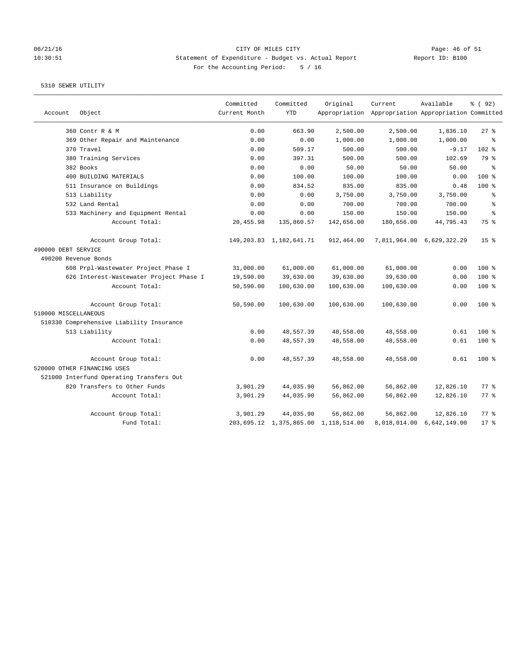### 06/21/16 CITY OF MILES CITY Page: 46 of 51 10:30:51 Statement of Expenditure - Budget vs. Actual Report Report ID: B100 For the Accounting Period: 5 / 16

|                      |                                          | Committed     | Committed                  | Original                             | Current                                             | Available                 | % (92)             |
|----------------------|------------------------------------------|---------------|----------------------------|--------------------------------------|-----------------------------------------------------|---------------------------|--------------------|
| Account              | Object                                   | Current Month | <b>YTD</b>                 |                                      | Appropriation Appropriation Appropriation Committed |                           |                    |
|                      | 360 Contr R & M                          | 0.00          | 663.90                     | 2,500.00                             | 2,500.00                                            | 1,836.10                  | 27%                |
|                      | 369 Other Repair and Maintenance         | 0.00          | 0.00                       | 1,000.00                             | 1,000.00                                            | 1,000.00                  | နွ                 |
|                      | 370 Travel                               | 0.00          | 509.17                     | 500.00                               | 500.00                                              | $-9.17$                   | $102$ %            |
|                      | 380 Training Services                    | 0.00          | 397.31                     | 500.00                               | 500.00                                              | 102.69                    | 79 %               |
|                      | 382 Books                                | 0.00          | 0.00                       | 50.00                                | 50.00                                               | 50.00                     | နွ                 |
|                      | 400 BUILDING MATERIALS                   | 0.00          | 100.00                     | 100.00                               | 100.00                                              | 0.00                      | $100*$             |
|                      | 511 Insurance on Buildings               | 0.00          | 834.52                     | 835.00                               | 835.00                                              | 0.48                      | 100 %              |
|                      | 513 Liability                            | 0.00          | 0.00                       | 3,750.00                             | 3,750.00                                            | 3,750.00                  | နွ                 |
|                      | 532 Land Rental                          | 0.00          | 0.00                       | 700.00                               | 700.00                                              | 700.00                    | ి                  |
|                      | 533 Machinery and Equipment Rental       | 0.00          | 0.00                       | 150.00                               | 150.00                                              | 150.00                    | $\approx$          |
|                      | Account Total:                           | 20,455.98     | 135,860.57                 | 142,656.00                           | 180,656.00                                          | 44,795.43                 | 75 %               |
|                      | Account Group Total:                     |               | 149, 203.83 1, 182, 641.71 | 912,464.00                           |                                                     | 7,811,964.00 6,629,322.29 | 15 <sup>8</sup>    |
| 490000 DEBT SERVICE  |                                          |               |                            |                                      |                                                     |                           |                    |
| 490200 Revenue Bonds |                                          |               |                            |                                      |                                                     |                           |                    |
|                      | 608 Prpl-Wastewater Project Phase I      | 31,000.00     | 61,000.00                  | 61,000.00                            | 61,000.00                                           | 0.00                      | $100*$             |
|                      | 626 Interest-Wastewater Project Phase I  | 19,590.00     | 39,630.00                  | 39,630.00                            | 39,630.00                                           | 0.00                      | $100$ %            |
|                      | Account Total:                           | 50,590.00     | 100,630.00                 | 100,630.00                           | 100,630.00                                          | 0.00                      | $100$ %            |
|                      | Account Group Total:                     | 50,590.00     | 100,630.00                 | 100,630.00                           | 100,630.00                                          | 0.00                      | $100*$             |
| 510000 MISCELLANEOUS |                                          |               |                            |                                      |                                                     |                           |                    |
|                      | 510330 Comprehensive Liability Insurance |               |                            |                                      |                                                     |                           |                    |
|                      | 513 Liability                            | 0.00          | 48,557.39                  | 48,558.00                            | 48,558.00                                           | 0.61                      | $100$ %            |
|                      | Account Total:                           | 0.00          | 48,557.39                  | 48,558.00                            | 48,558.00                                           | 0.61                      | 100 %              |
|                      | Account Group Total:                     | 0.00          | 48,557.39                  | 48,558.00                            | 48,558.00                                           | 0.61                      | $100*$             |
|                      | 520000 OTHER FINANCING USES              |               |                            |                                      |                                                     |                           |                    |
|                      | 521000 Interfund Operating Transfers Out |               |                            |                                      |                                                     |                           |                    |
|                      | 820 Transfers to Other Funds             | 3,901.29      | 44,035.90                  | 56,862.00                            | 56,862.00                                           | 12,826.10                 | 77.8               |
|                      | Account Total:                           | 3,901.29      | 44,035.90                  | 56,862.00                            | 56,862.00                                           | 12,826.10                 | $77$ $\frac{6}{9}$ |
|                      | Account Group Total:                     | 3,901.29      | 44,035.90                  | 56,862.00                            | 56,862.00                                           | 12,826.10                 | 77.8               |
|                      | Fund Total:                              |               |                            | 203,695.12 1,375,865.00 1,118,514.00 |                                                     | 8,018,014.00 6,642,149.00 | $17*$              |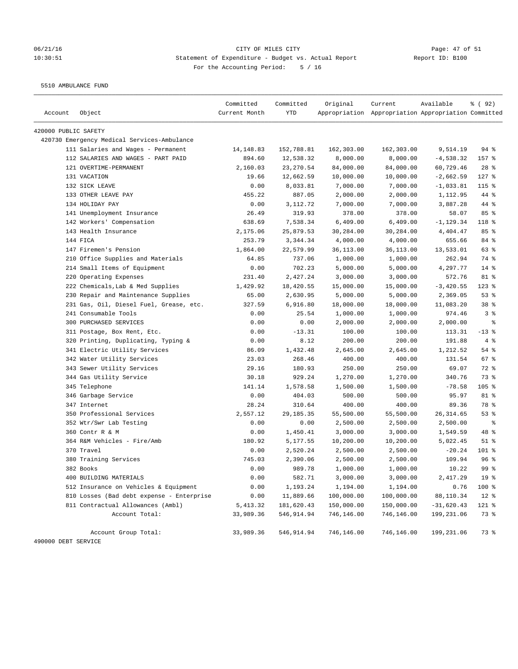# 06/21/16 Page: 47 of 51 10:30:51 Statement of Expenditure - Budget vs. Actual Report Changer Report ID: B100 For the Accounting Period: 5 / 16

5510 AMBULANCE FUND

|                      |                                             | Committed     | Committed  | Original   | Current                                             | Available    | 8 (92)          |
|----------------------|---------------------------------------------|---------------|------------|------------|-----------------------------------------------------|--------------|-----------------|
| Account              | Object                                      | Current Month | <b>YTD</b> |            | Appropriation Appropriation Appropriation Committed |              |                 |
| 420000 PUBLIC SAFETY |                                             |               |            |            |                                                     |              |                 |
|                      | 420730 Emergency Medical Services-Ambulance |               |            |            |                                                     |              |                 |
|                      | 111 Salaries and Wages - Permanent          | 14, 148.83    | 152,788.81 | 162,303.00 | 162,303.00                                          | 9,514.19     | $94$ %          |
|                      | 112 SALARIES AND WAGES - PART PAID          | 894.60        | 12,538.32  | 8,000.00   | 8,000.00                                            | $-4,538.32$  | 157 %           |
|                      | 121 OVERTIME-PERMANENT                      | 2,160.03      | 23, 270.54 | 84,000.00  | 84,000.00                                           | 60,729.46    | $28$ %          |
|                      | 131 VACATION                                | 19.66         | 12,662.59  | 10,000.00  | 10,000.00                                           | $-2,662.59$  | $127$ %         |
|                      | 132 SICK LEAVE                              | 0.00          | 8,033.81   | 7,000.00   | 7,000.00                                            | $-1,033.81$  | $115$ %         |
|                      | 133 OTHER LEAVE PAY                         | 455.22        | 887.05     | 2,000.00   | 2,000.00                                            | 1,112.95     | 44 %            |
|                      | 134 HOLIDAY PAY                             | 0.00          | 3,112.72   | 7,000.00   | 7,000.00                                            | 3,887.28     | 44 %            |
|                      | 141 Unemployment Insurance                  | 26.49         | 319.93     | 378.00     | 378.00                                              | 58.07        | 85 %            |
|                      | 142 Workers' Compensation                   | 638.69        | 7,538.34   | 6,409.00   | 6,409.00                                            | $-1, 129.34$ | 118 %           |
|                      | 143 Health Insurance                        | 2,175.06      | 25,879.53  | 30,284.00  | 30,284.00                                           | 4,404.47     | 85 %            |
|                      | 144 FICA                                    | 253.79        | 3,344.34   | 4,000.00   | 4,000.00                                            | 655.66       | 84 %            |
|                      | 147 Firemen's Pension                       | 1,864.00      | 22,579.99  | 36,113.00  | 36,113.00                                           | 13,533.01    | 63 %            |
|                      | 210 Office Supplies and Materials           | 64.85         | 737.06     | 1,000.00   | 1,000.00                                            | 262.94       | 74 %            |
|                      | 214 Small Items of Equipment                | 0.00          | 702.23     | 5,000.00   | 5,000.00                                            | 4,297.77     | 14 %            |
|                      | 220 Operating Expenses                      | 231.40        | 2,427.24   | 3,000.00   | 3,000.00                                            | 572.76       | 81 %            |
|                      | 222 Chemicals, Lab & Med Supplies           | 1,429.92      | 18,420.55  | 15,000.00  | 15,000.00                                           | $-3,420.55$  | $123$ %         |
|                      | 230 Repair and Maintenance Supplies         | 65.00         | 2,630.95   | 5,000.00   | 5,000.00                                            | 2,369.05     | 53%             |
|                      | 231 Gas, Oil, Diesel Fuel, Grease, etc.     | 327.59        | 6,916.80   | 18,000.00  | 18,000.00                                           | 11,083.20    | 38 %            |
|                      | 241 Consumable Tools                        | 0.00          | 25.54      | 1,000.00   | 1,000.00                                            | 974.46       | 3%              |
|                      | 300 PURCHASED SERVICES                      | 0.00          | 0.00       | 2,000.00   | 2,000.00                                            | 2,000.00     | $\epsilon$      |
|                      | 311 Postage, Box Rent, Etc.                 | 0.00          | $-13.31$   | 100.00     | 100.00                                              | 113.31       | $-13$ %         |
|                      | 320 Printing, Duplicating, Typing &         | 0.00          | 8.12       | 200.00     | 200.00                                              | 191.88       | 4%              |
|                      | 341 Electric Utility Services               | 86.09         | 1,432.48   | 2,645.00   | 2,645.00                                            | 1,212.52     | 54 %            |
|                      | 342 Water Utility Services                  | 23.03         | 268.46     | 400.00     | 400.00                                              | 131.54       | 67 %            |
|                      | 343 Sewer Utility Services                  | 29.16         | 180.93     | 250.00     | 250.00                                              | 69.07        | 72 %            |
|                      | 344 Gas Utility Service                     | 30.18         | 929.24     | 1,270.00   | 1,270.00                                            | 340.76       | 73 %            |
|                      | 345 Telephone                               | 141.14        | 1,578.58   | 1,500.00   | 1,500.00                                            | $-78.58$     | 105 %           |
|                      | 346 Garbage Service                         | 0.00          | 404.03     | 500.00     | 500.00                                              | 95.97        | 81 %            |
|                      | 347 Internet                                | 28.24         | 310.64     | 400.00     | 400.00                                              | 89.36        | 78 %            |
|                      | 350 Professional Services                   | 2,557.12      | 29,185.35  | 55,500.00  | 55,500.00                                           | 26,314.65    | 53%             |
|                      | 352 Wtr/Swr Lab Testing                     | 0.00          | 0.00       | 2,500.00   | 2,500.00                                            | 2,500.00     | နွ              |
|                      | 360 Contr R & M                             | 0.00          | 1,450.41   | 3,000.00   | 3,000.00                                            | 1,549.59     | 48 %            |
|                      | 364 R&M Vehicles - Fire/Amb                 | 180.92        | 5,177.55   | 10,200.00  | 10,200.00                                           | 5,022.45     | $51$ %          |
|                      | 370 Travel                                  | 0.00          | 2,520.24   | 2,500.00   | 2,500.00                                            | $-20.24$     | $101$ %         |
|                      | 380 Training Services                       | 745.03        | 2,390.06   | 2,500.00   | 2,500.00                                            | 109.94       | 96%             |
|                      | 382 Books                                   | 0.00          | 989.78     | 1,000.00   | 1,000.00                                            | 10.22        | 99 <sub>8</sub> |
|                      | 400 BUILDING MATERIALS                      | 0.00          | 582.71     | 3,000.00   | 3,000.00                                            | 2,417.29     | 19 <sup>°</sup> |
|                      | 512 Insurance on Vehicles & Equipment       | 0.00          | 1,193.24   | 1,194.00   | 1,194.00                                            | 0.76         | 100 %           |
|                      | 810 Losses (Bad debt expense - Enterprise   | 0.00          | 11,889.66  | 100,000.00 | 100,000.00                                          | 88,110.34    | $12$ %          |
|                      | 811 Contractual Allowances (Ambl)           | 5,413.32      | 181,620.43 | 150,000.00 | 150,000.00                                          | $-31,620.43$ | 121 %           |
|                      | Account Total:                              | 33,989.36     | 546,914.94 | 746,146.00 | 746,146.00                                          | 199,231.06   | 73 %            |
|                      | Account Group Total:                        | 33,989.36     | 546,914.94 | 746,146.00 | 746,146.00                                          | 199,231.06   | 73 %            |
| 490000 DEBT SERVICE  |                                             |               |            |            |                                                     |              |                 |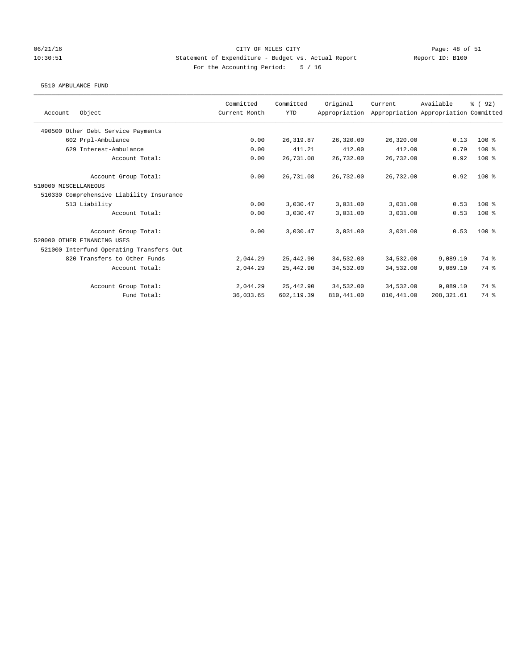### 06/21/16 Page: 48 of 51 10:30:51 Statement of Expenditure - Budget vs. Actual Report Report ID: B100 For the Accounting Period: 5 / 16

### 5510 AMBULANCE FUND

|                                          | Committed     | Committed  | Original      | Current     | Available                             | 8 (92) |
|------------------------------------------|---------------|------------|---------------|-------------|---------------------------------------|--------|
| Object<br>Account                        | Current Month | <b>YTD</b> | Appropriation |             | Appropriation Appropriation Committed |        |
| 490500 Other Debt Service Payments       |               |            |               |             |                                       |        |
| 602 Prpl-Ambulance                       | 0.00          | 26, 319.87 | 26,320.00     | 26,320.00   | 0.13                                  | 100 %  |
| 629 Interest-Ambulance                   | 0.00          | 411.21     | 412.00        | 412.00      | 0.79                                  | 100 %  |
| Account Total:                           | 0.00          | 26,731.08  | 26,732.00     | 26,732.00   | 0.92                                  | 100 %  |
| Account Group Total:                     | 0.00          | 26,731.08  | 26,732.00     | 26,732.00   | 0.92                                  | $100*$ |
| 510000 MISCELLANEOUS                     |               |            |               |             |                                       |        |
| 510330 Comprehensive Liability Insurance |               |            |               |             |                                       |        |
| 513 Liability                            | 0.00          | 3,030.47   | 3,031.00      | 3,031.00    | 0.53                                  | $100*$ |
| Account Total:                           | 0.00          | 3,030.47   | 3,031.00      | 3,031.00    | 0.53                                  | $100*$ |
| Account Group Total:                     | 0.00          | 3,030.47   | 3,031.00      | 3,031.00    | 0.53                                  | $100*$ |
| 520000 OTHER FINANCING USES              |               |            |               |             |                                       |        |
| 521000 Interfund Operating Transfers Out |               |            |               |             |                                       |        |
| 820 Transfers to Other Funds             | 2,044.29      | 25,442.90  | 34,532.00     | 34,532.00   | 9,089.10                              | 74 %   |
| Account Total:                           | 2,044.29      | 25,442.90  | 34,532.00     | 34,532.00   | 9,089.10                              | 74 %   |
| Account Group Total:                     | 2,044.29      | 25,442.90  | 34,532.00     | 34,532.00   | 9,089.10                              | 74 %   |
| Fund Total:                              | 36,033.65     | 602,119.39 | 810, 441.00   | 810, 441.00 | 208, 321.61                           | 74 %   |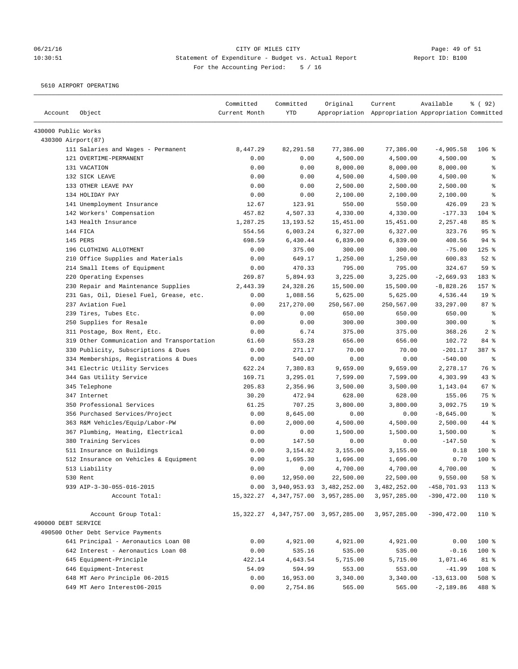# 06/21/16 Page: 49 of 51 10:30:51 Statement of Expenditure - Budget vs. Actual Report Changer Report ID: B100 For the Accounting Period: 5 / 16

5610 AIRPORT OPERATING

| Account             | Object                                     | Committed<br>Current Month | Committed<br><b>YTD</b> | Original                                     | Current<br>Appropriation Appropriation Appropriation Committed | Available      | % (92)          |
|---------------------|--------------------------------------------|----------------------------|-------------------------|----------------------------------------------|----------------------------------------------------------------|----------------|-----------------|
| 430000 Public Works |                                            |                            |                         |                                              |                                                                |                |                 |
| 430300 Airport(87)  |                                            |                            |                         |                                              |                                                                |                |                 |
|                     | 111 Salaries and Wages - Permanent         | 8,447.29                   | 82,291.58               | 77,386.00                                    | 77,386.00                                                      | $-4,905.58$    | 106%            |
|                     | 121 OVERTIME-PERMANENT                     | 0.00                       | 0.00                    | 4,500.00                                     | 4,500.00                                                       | 4,500.00       | ್ಠಿ             |
|                     | 131 VACATION                               | 0.00                       | 0.00                    | 8,000.00                                     | 8,000.00                                                       | 8,000.00       | ి               |
|                     | 132 SICK LEAVE                             | 0.00                       | 0.00                    | 4,500.00                                     | 4,500.00                                                       | 4,500.00       | る               |
|                     | 133 OTHER LEAVE PAY                        | 0.00                       | 0.00                    | 2,500.00                                     | 2,500.00                                                       | 2,500.00       | $\epsilon$      |
|                     | 134 HOLIDAY PAY                            | 0.00                       | 0.00                    | 2,100.00                                     | 2,100.00                                                       | 2,100.00       | ి               |
|                     | 141 Unemployment Insurance                 | 12.67                      | 123.91                  | 550.00                                       | 550.00                                                         | 426.09         | $23$ %          |
|                     | 142 Workers' Compensation                  | 457.82                     | 4,507.33                | 4,330.00                                     | 4,330.00                                                       | $-177.33$      | $104$ %         |
|                     | 143 Health Insurance                       | 1,287.25                   | 13, 193.52              | 15,451.00                                    | 15,451.00                                                      | 2,257.48       | 85 %            |
|                     | 144 FICA                                   | 554.56                     | 6,003.24                | 6,327.00                                     | 6,327.00                                                       | 323.76         | 95%             |
|                     | 145 PERS                                   | 698.59                     | 6,430.44                | 6,839.00                                     | 6,839.00                                                       | 408.56         | $94$ %          |
|                     | 196 CLOTHING ALLOTMENT                     | 0.00                       | 375.00                  | 300.00                                       | 300.00                                                         | $-75.00$       | $125$ %         |
|                     | 210 Office Supplies and Materials          | 0.00                       | 649.17                  | 1,250.00                                     | 1,250.00                                                       | 600.83         | $52$ %          |
|                     | 214 Small Items of Equipment               | 0.00                       | 470.33                  | 795.00                                       | 795.00                                                         | 324.67         | 59 %            |
|                     | 220 Operating Expenses                     | 269.87                     | 5,894.93                | 3,225.00                                     | 3,225.00                                                       | $-2,669.93$    | 183 %           |
|                     | 230 Repair and Maintenance Supplies        | 2,443.39                   | 24,328.26               | 15,500.00                                    | 15,500.00                                                      | $-8,828.26$    | 157 %           |
|                     | 231 Gas, Oil, Diesel Fuel, Grease, etc.    | 0.00                       | 1,088.56                | 5,625.00                                     | 5,625.00                                                       | 4,536.44       | 19 <sup>°</sup> |
|                     | 237 Aviation Fuel                          | 0.00                       | 217,270.00              | 250,567.00                                   | 250,567.00                                                     | 33,297.00      | 87%             |
|                     | 239 Tires, Tubes Etc.                      | 0.00                       | 0.00                    | 650.00                                       | 650.00                                                         | 650.00         | $\epsilon$      |
|                     | 250 Supplies for Resale                    | 0.00                       | 0.00                    | 300.00                                       | 300.00                                                         | 300.00         | $\epsilon$      |
|                     | 311 Postage, Box Rent, Etc.                | 0.00                       | 6.74                    | 375.00                                       | 375.00                                                         | 368.26         | 2 <sup>8</sup>  |
|                     | 319 Other Communication and Transportation | 61.60                      | 553.28                  | 656.00                                       | 656.00                                                         | 102.72         | 84 %            |
|                     | 330 Publicity, Subscriptions & Dues        | 0.00                       | 271.17                  | 70.00                                        | 70.00                                                          | $-201.17$      | 387 %           |
|                     | 334 Memberships, Registrations & Dues      | 0.00                       | 540.00                  | 0.00                                         | 0.00                                                           | $-540.00$      | $\epsilon$      |
|                     | 341 Electric Utility Services              | 622.24                     | 7,380.83                | 9,659.00                                     | 9,659.00                                                       | 2,278.17       | 76 %            |
|                     | 344 Gas Utility Service                    | 169.71                     | 3,295.01                | 7,599.00                                     | 7,599.00                                                       | 4,303.99       | 43%             |
|                     | 345 Telephone                              | 205.83                     | 2,356.96                | 3,500.00                                     | 3,500.00                                                       | 1,143.04       | 67 %            |
|                     | 347 Internet                               | 30.20                      | 472.94                  | 628.00                                       | 628.00                                                         | 155.06         | 75 %            |
|                     | 350 Professional Services                  | 61.25                      | 707.25                  | 3,800.00                                     | 3,800.00                                                       | 3,092.75       | 19 <sup>°</sup> |
|                     | 356 Purchased Services/Project             | 0.00                       | 8,645.00                | 0.00                                         | 0.00                                                           | $-8,645.00$    | ႜ               |
|                     | 363 R&M Vehicles/Equip/Labor-PW            | 0.00                       | 2,000.00                | 4,500.00                                     | 4,500.00                                                       | 2,500.00       | 44 %            |
|                     | 367 Plumbing, Heating, Electrical          | 0.00                       | 0.00                    | 1,500.00                                     | 1,500.00                                                       | 1,500.00       | နွ              |
|                     | 380 Training Services                      | 0.00                       | 147.50                  | 0.00                                         | 0.00                                                           | $-147.50$      | る               |
|                     | 511 Insurance on Buildings                 | 0.00                       | 3,154.82                | 3,155.00                                     | 3,155.00                                                       | 0.18           | 100 %           |
|                     | 512 Insurance on Vehicles & Equipment      | 0.00                       | 1,695.30                | 1,696.00                                     | 1,696.00                                                       | 0.70           | $100$ %         |
|                     | 513 Liability                              | 0.00                       | 0.00                    | 4,700.00                                     | 4,700.00                                                       | 4,700.00       | ま               |
|                     | 530 Rent                                   | 0.00                       | 12,950.00               | 22,500.00                                    | 22,500.00                                                      | 9,550.00       | 58 %            |
|                     | 939 AIP-3-30-055-016-2015                  |                            |                         | $0.00 \quad 3,940,953.93 \quad 3,482,252.00$ | 3,482,252.00                                                   | $-458,701.93$  | $113$ %         |
|                     | Account Total:                             |                            |                         | 15, 322. 27 4, 347, 757. 00 3, 957, 285. 00  | 3,957,285.00                                                   | $-390, 472.00$ | 110 %           |
| 490000 DEBT SERVICE | Account Group Total:                       |                            |                         | 15, 322.27 4, 347, 757.00 3, 957, 285.00     | 3,957,285.00                                                   | $-390, 472.00$ | 110 %           |
|                     | 490500 Other Debt Service Payments         |                            |                         |                                              |                                                                |                |                 |
|                     | 641 Principal - Aeronautics Loan 08        | 0.00                       | 4,921.00                | 4,921.00                                     | 4,921.00                                                       | 0.00           | 100 %           |
|                     | 642 Interest - Aeronautics Loan 08         | 0.00                       | 535.16                  | 535.00                                       | 535.00                                                         | $-0.16$        | 100 %           |
|                     | 645 Equipment-Principle                    | 422.14                     | 4,643.54                | 5,715.00                                     | 5,715.00                                                       | 1,071.46       | 81 %            |
|                     | 646 Equipment-Interest                     | 54.09                      | 594.99                  | 553.00                                       | 553.00                                                         | $-41.99$       | 108 %           |
|                     | 648 MT Aero Principle 06-2015              | 0.00                       | 16,953.00               | 3,340.00                                     | 3,340.00                                                       | $-13,613.00$   | $508$ %         |
|                     | 649 MT Aero Interest06-2015                | 0.00                       | 2,754.86                | 565.00                                       | 565.00                                                         | $-2,189.86$    | 488 %           |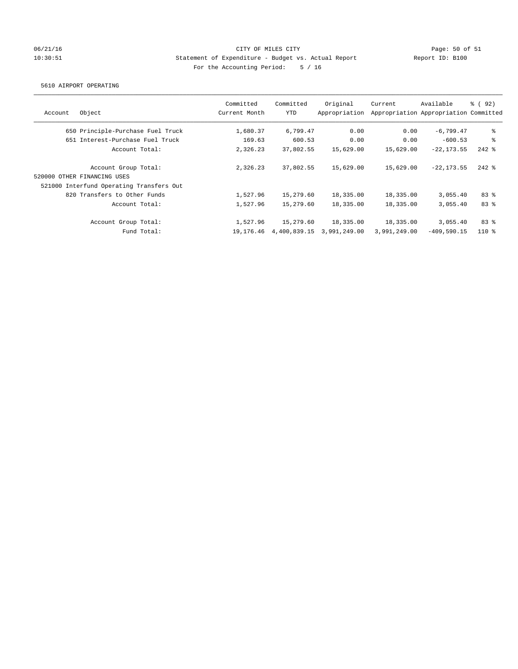### 06/21/16 Page: 50 of 51 10:30:51 Statement of Expenditure - Budget vs. Actual Report Report ID: B100 For the Accounting Period: 5 / 16

#### 5610 AIRPORT OPERATING

| Committed<br>Current Month | Committed<br><b>YTD</b> | Original<br>Appropriation | Current                   | Available     | <sub>ර</sub> ි (92)                                                                                                                                                                                          |
|----------------------------|-------------------------|---------------------------|---------------------------|---------------|--------------------------------------------------------------------------------------------------------------------------------------------------------------------------------------------------------------|
| 1,680.37                   | 6,799.47                | 0.00                      |                           | $-6,799.47$   | နွ                                                                                                                                                                                                           |
| 169.63                     | 600.53                  | 0.00                      |                           | $-600.53$     | နွ                                                                                                                                                                                                           |
| 2,326.23                   | 37,802.55               | 15,629.00                 |                           |               | $242$ %                                                                                                                                                                                                      |
| 2,326.23                   | 37,802.55               | 15,629.00                 |                           |               | $242$ %                                                                                                                                                                                                      |
|                            |                         |                           |                           |               |                                                                                                                                                                                                              |
|                            |                         |                           |                           |               |                                                                                                                                                                                                              |
|                            |                         |                           |                           |               | 83%                                                                                                                                                                                                          |
| 1,527.96                   | 15,279.60               | 18,335.00                 |                           |               | 83%                                                                                                                                                                                                          |
| 1,527.96                   | 15,279.60               | 18,335.00                 |                           |               | 83%                                                                                                                                                                                                          |
| 19,176.46                  |                         | 3,991,249.00              |                           | $-409,590.15$ | $110*$                                                                                                                                                                                                       |
|                            | 1,527.96                | 15,279.60                 | 18,335.00<br>4,400,839.15 |               | Appropriation Appropriation Committed<br>0.00<br>0.00<br>15,629.00<br>$-22, 173.55$<br>15,629.00<br>$-22, 173.55$<br>18,335.00<br>3,055.40<br>18,335.00<br>3.055.40<br>18,335.00<br>3,055.40<br>3,991,249.00 |